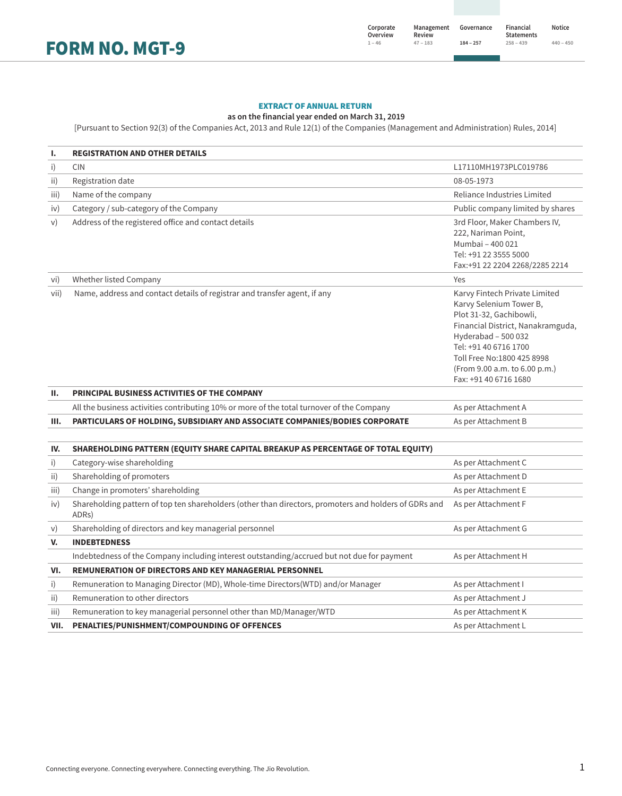FORM NO. MGT-9

### EXTRACT OF ANNUAL RETURN

#### **as on the financial year ended on March 31, 2019**

[Pursuant to Section 92(3) of the Companies Act, 2013 and Rule 12(1) of the Companies (Management and Administration) Rules, 2014]

| Ι.   | <b>REGISTRATION AND OTHER DETAILS</b>                                                                                       |                                                                                                                                                                                                                                                                  |
|------|-----------------------------------------------------------------------------------------------------------------------------|------------------------------------------------------------------------------------------------------------------------------------------------------------------------------------------------------------------------------------------------------------------|
| i)   | <b>CIN</b>                                                                                                                  | L17110MH1973PLC019786                                                                                                                                                                                                                                            |
| ii)  | Registration date                                                                                                           | 08-05-1973                                                                                                                                                                                                                                                       |
| iii) | Name of the company                                                                                                         | Reliance Industries Limited                                                                                                                                                                                                                                      |
| iv)  | Category / sub-category of the Company                                                                                      | Public company limited by shares                                                                                                                                                                                                                                 |
| V)   | Address of the registered office and contact details                                                                        | 3rd Floor, Maker Chambers IV,<br>222, Nariman Point,<br>Mumbai - 400 021<br>Tel: +91 22 3555 5000<br>Fax:+91 22 2204 2268/2285 2214                                                                                                                              |
| vi)  | Whether listed Company                                                                                                      | Yes                                                                                                                                                                                                                                                              |
| vii) | Name, address and contact details of registrar and transfer agent, if any                                                   | Karvy Fintech Private Limited<br>Karvy Selenium Tower B,<br>Plot 31-32, Gachibowli,<br>Financial District, Nanakramguda,<br>Hyderabad - 500 032<br>Tel: +91 40 6716 1700<br>Toll Free No:1800 425 8998<br>(From 9.00 a.m. to 6.00 p.m.)<br>Fax: +91 40 6716 1680 |
| Ш.   | PRINCIPAL BUSINESS ACTIVITIES OF THE COMPANY                                                                                |                                                                                                                                                                                                                                                                  |
|      | All the business activities contributing 10% or more of the total turnover of the Company                                   | As per Attachment A                                                                                                                                                                                                                                              |
| Ш.   | PARTICULARS OF HOLDING, SUBSIDIARY AND ASSOCIATE COMPANIES/BODIES CORPORATE                                                 | As per Attachment B                                                                                                                                                                                                                                              |
| IV.  | SHAREHOLDING PATTERN (EQUITY SHARE CAPITAL BREAKUP AS PERCENTAGE OF TOTAL EQUITY)                                           |                                                                                                                                                                                                                                                                  |
| i)   | Category-wise shareholding                                                                                                  | As per Attachment C                                                                                                                                                                                                                                              |
| ii)  | Shareholding of promoters                                                                                                   | As per Attachment D                                                                                                                                                                                                                                              |
| iii) | Change in promoters' shareholding                                                                                           | As per Attachment E                                                                                                                                                                                                                                              |
| iv)  | Shareholding pattern of top ten shareholders (other than directors, promoters and holders of GDRs and<br>ADR <sub>S</sub> ) | As per Attachment F                                                                                                                                                                                                                                              |
| V)   | Shareholding of directors and key managerial personnel                                                                      | As per Attachment G                                                                                                                                                                                                                                              |
| V.   | <b>INDEBTEDNESS</b>                                                                                                         |                                                                                                                                                                                                                                                                  |
|      | Indebtedness of the Company including interest outstanding/accrued but not due for payment                                  | As per Attachment H                                                                                                                                                                                                                                              |
| VI.  | <b>REMUNERATION OF DIRECTORS AND KEY MANAGERIAL PERSONNEL</b>                                                               |                                                                                                                                                                                                                                                                  |
| i)   | Remuneration to Managing Director (MD), Whole-time Directors(WTD) and/or Manager                                            | As per Attachment I                                                                                                                                                                                                                                              |
| ii)  | Remuneration to other directors                                                                                             | As per Attachment J                                                                                                                                                                                                                                              |
| iii) | Remuneration to key managerial personnel other than MD/Manager/WTD                                                          | As per Attachment K                                                                                                                                                                                                                                              |
| VII. | PENALTIES/PUNISHMENT/COMPOUNDING OF OFFENCES                                                                                | As per Attachment L                                                                                                                                                                                                                                              |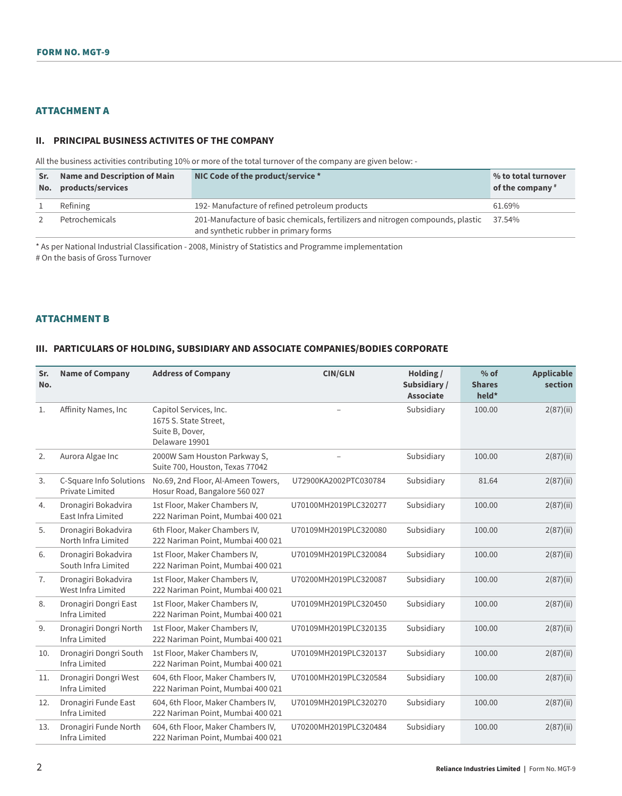# ATTACHMENT A

#### **II. PRINCIPAL BUSINESS ACTIVITES OF THE COMPANY**

All the business activities contributing 10% or more of the total turnover of the company are given below: -

| Sr.<br>No. | <b>Name and Description of Main</b><br>products/services | NIC Code of the product/service *                                                                                               | % to total turnover<br>of the company $*$ |
|------------|----------------------------------------------------------|---------------------------------------------------------------------------------------------------------------------------------|-------------------------------------------|
|            | Refining                                                 | 192- Manufacture of refined petroleum products                                                                                  | 61.69%                                    |
|            | Petrochemicals                                           | 201-Manufacture of basic chemicals, fertilizers and nitrogen compounds, plastic 37.54%<br>and synthetic rubber in primary forms |                                           |

\* As per National Industrial Classification - 2008, Ministry of Statistics and Programme implementation # On the basis of Gross Turnover

#### ATTACHMENT B

### **III. PARTICULARS OF HOLDING, SUBSIDIARY AND ASSOCIATE COMPANIES/BODIES CORPORATE**

| Sr.<br>No. | <b>Name of Company</b>                            | <b>Address of Company</b>                                                            | <b>CIN/GLN</b>        | Holding /<br>Subsidiary /<br><b>Associate</b> | $%$ of<br><b>Shares</b><br>held* | <b>Applicable</b><br>section |
|------------|---------------------------------------------------|--------------------------------------------------------------------------------------|-----------------------|-----------------------------------------------|----------------------------------|------------------------------|
| 1.         | Affinity Names, Inc                               | Capitol Services, Inc.<br>1675 S. State Street,<br>Suite B, Dover,<br>Delaware 19901 |                       | Subsidiary                                    | 100.00                           | 2(87)(ii)                    |
| 2.         | Aurora Algae Inc                                  | 2000W Sam Houston Parkway S,<br>Suite 700, Houston, Texas 77042                      |                       | Subsidiary                                    | 100.00                           | 2(87)(ii)                    |
| 3.         | C-Square Info Solutions<br><b>Private Limited</b> | No.69, 2nd Floor, Al-Ameen Towers,<br>Hosur Road, Bangalore 560 027                  | U72900KA2002PTC030784 | Subsidiary                                    | 81.64                            | 2(87)(ii)                    |
| 4.         | Dronagiri Bokadvira<br>East Infra Limited         | 1st Floor, Maker Chambers IV,<br>222 Nariman Point, Mumbai 400 021                   | U70100MH2019PLC320277 | Subsidiary                                    | 100.00                           | 2(87)(ii)                    |
| 5.         | Dronagiri Bokadvira<br>North Infra Limited        | 6th Floor, Maker Chambers IV,<br>222 Nariman Point, Mumbai 400 021                   | U70109MH2019PLC320080 | Subsidiary                                    | 100.00                           | 2(87)(ii)                    |
| 6.         | Dronagiri Bokadvira<br>South Infra Limited        | 1st Floor, Maker Chambers IV,<br>222 Nariman Point, Mumbai 400 021                   | U70109MH2019PLC320084 | Subsidiary                                    | 100.00                           | 2(87)(ii)                    |
| 7.         | Dronagiri Bokadvira<br>West Infra Limited         | 1st Floor, Maker Chambers IV,<br>222 Nariman Point, Mumbai 400 021                   | U70200MH2019PLC320087 | Subsidiary                                    | 100.00                           | 2(87)(ii)                    |
| 8.         | Dronagiri Dongri East<br>Infra Limited            | 1st Floor, Maker Chambers IV,<br>222 Nariman Point, Mumbai 400 021                   | U70109MH2019PLC320450 | Subsidiary                                    | 100.00                           | 2(87)(ii)                    |
| 9.         | Dronagiri Dongri North<br><b>Infra Limited</b>    | 1st Floor, Maker Chambers IV,<br>222 Nariman Point, Mumbai 400 021                   | U70109MH2019PLC320135 | Subsidiary                                    | 100.00                           | 2(87)(ii)                    |
| 10.        | Dronagiri Dongri South<br><b>Infra Limited</b>    | 1st Floor, Maker Chambers IV,<br>222 Nariman Point, Mumbai 400 021                   | U70109MH2019PLC320137 | Subsidiary                                    | 100.00                           | 2(87)(ii)                    |
| 11.        | Dronagiri Dongri West<br><b>Infra Limited</b>     | 604, 6th Floor, Maker Chambers IV,<br>222 Nariman Point, Mumbai 400 021              | U70100MH2019PLC320584 | Subsidiary                                    | 100.00                           | 2(87)(ii)                    |
| 12.        | Dronagiri Funde East<br>Infra Limited             | 604, 6th Floor, Maker Chambers IV,<br>222 Nariman Point, Mumbai 400 021              | U70109MH2019PLC320270 | Subsidiary                                    | 100.00                           | 2(87)(ii)                    |
| 13.        | Dronagiri Funde North<br>Infra Limited            | 604, 6th Floor, Maker Chambers IV,<br>222 Nariman Point, Mumbai 400 021              | U70200MH2019PLC320484 | Subsidiary                                    | 100.00                           | 2(87)(ii)                    |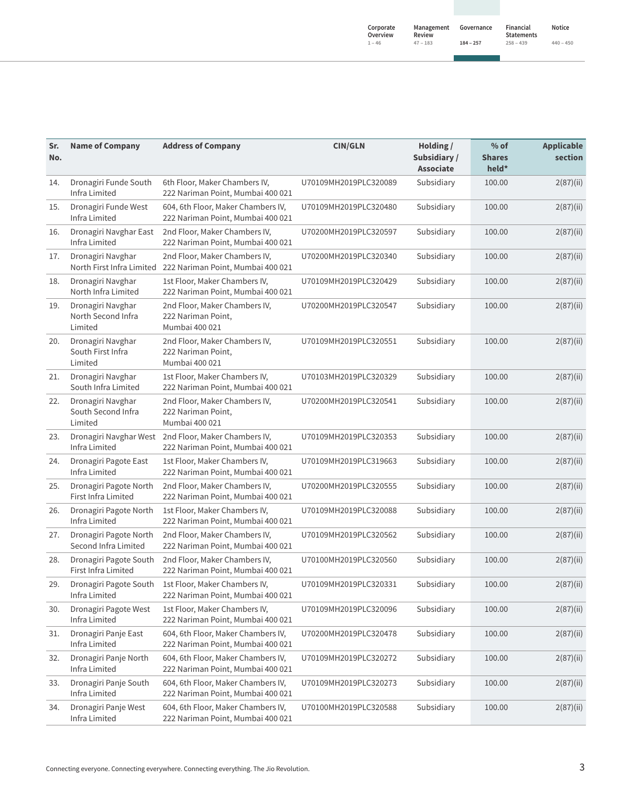**Notice 440 ‒ 450**

| ×. |  |  |  |
|----|--|--|--|

| Sr.<br>No. | <b>Name of Company</b>                             | <b>Address of Company</b>                                               | <b>CIN/GLN</b>        | Holding /<br>Subsidiary/<br><b>Associate</b> | $%$ of<br><b>Shares</b><br>held* | <b>Applicable</b><br>section |
|------------|----------------------------------------------------|-------------------------------------------------------------------------|-----------------------|----------------------------------------------|----------------------------------|------------------------------|
| 14.        | Dronagiri Funde South<br>Infra Limited             | 6th Floor, Maker Chambers IV,<br>222 Nariman Point, Mumbai 400 021      | U70109MH2019PLC320089 | Subsidiary                                   | 100.00                           | 2(87)(ii)                    |
| 15.        | Dronagiri Funde West<br>Infra Limited              | 604, 6th Floor, Maker Chambers IV,<br>222 Nariman Point, Mumbai 400 021 | U70109MH2019PLC320480 | Subsidiary                                   | 100.00                           | 2(87)(ii)                    |
| 16.        | Dronagiri Navghar East<br>Infra Limited            | 2nd Floor, Maker Chambers IV,<br>222 Nariman Point, Mumbai 400 021      | U70200MH2019PLC320597 | Subsidiary                                   | 100.00                           | 2(87)(ii)                    |
| 17.        | Dronagiri Navghar<br>North First Infra Limited     | 2nd Floor, Maker Chambers IV,<br>222 Nariman Point, Mumbai 400 021      | U70200MH2019PLC320340 | Subsidiary                                   | 100.00                           | 2(87)(ii)                    |
| 18.        | Dronagiri Navghar<br>North Infra Limited           | 1st Floor, Maker Chambers IV,<br>222 Nariman Point, Mumbai 400 021      | U70109MH2019PLC320429 | Subsidiary                                   | 100.00                           | 2(87)(ii)                    |
| 19.        | Dronagiri Navghar<br>North Second Infra<br>Limited | 2nd Floor, Maker Chambers IV,<br>222 Nariman Point,<br>Mumbai 400 021   | U70200MH2019PLC320547 | Subsidiary                                   | 100.00                           | 2(87)(ii)                    |
| 20.        | Dronagiri Navghar<br>South First Infra<br>Limited  | 2nd Floor, Maker Chambers IV,<br>222 Nariman Point,<br>Mumbai 400 021   | U70109MH2019PLC320551 | Subsidiary                                   | 100.00                           | 2(87)(ii)                    |
| 21.        | Dronagiri Navghar<br>South Infra Limited           | 1st Floor, Maker Chambers IV,<br>222 Nariman Point, Mumbai 400 021      | U70103MH2019PLC320329 | Subsidiary                                   | 100.00                           | 2(87)(ii)                    |
| 22.        | Dronagiri Navghar<br>South Second Infra<br>Limited | 2nd Floor, Maker Chambers IV,<br>222 Nariman Point,<br>Mumbai 400 021   | U70200MH2019PLC320541 | Subsidiary                                   | 100.00                           | 2(87)(ii)                    |
| 23.        | Dronagiri Navghar West<br>Infra Limited            | 2nd Floor, Maker Chambers IV,<br>222 Nariman Point, Mumbai 400 021      | U70109MH2019PLC320353 | Subsidiary                                   | 100.00                           | 2(87)(ii)                    |
| 24.        | Dronagiri Pagote East<br>Infra Limited             | 1st Floor, Maker Chambers IV,<br>222 Nariman Point, Mumbai 400 021      | U70109MH2019PLC319663 | Subsidiary                                   | 100.00                           | 2(87)(ii)                    |
| 25.        | Dronagiri Pagote North<br>First Infra Limited      | 2nd Floor, Maker Chambers IV,<br>222 Nariman Point, Mumbai 400 021      | U70200MH2019PLC320555 | Subsidiary                                   | 100.00                           | 2(87)(ii)                    |
| 26.        | Dronagiri Pagote North<br>Infra Limited            | 1st Floor, Maker Chambers IV,<br>222 Nariman Point, Mumbai 400 021      | U70109MH2019PLC320088 | Subsidiary                                   | 100.00                           | 2(87)(ii)                    |
| 27.        | Dronagiri Pagote North<br>Second Infra Limited     | 2nd Floor, Maker Chambers IV,<br>222 Nariman Point, Mumbai 400 021      | U70109MH2019PLC320562 | Subsidiary                                   | 100.00                           | 2(87)(ii)                    |
| 28.        | Dronagiri Pagote South<br>First Infra Limited      | 2nd Floor, Maker Chambers IV,<br>222 Nariman Point, Mumbai 400 021      | U70100MH2019PLC320560 | Subsidiary                                   | 100.00                           | 2(87)(ii)                    |
| 29.        | Dronagiri Pagote South<br>Infra Limited            | 1st Floor, Maker Chambers IV,<br>222 Nariman Point, Mumbai 400 021      | U70109MH2019PLC320331 | Subsidiary                                   | 100.00                           | 2(87)(ii)                    |
| 30.        | Dronagiri Pagote West<br>Infra Limited             | 1st Floor, Maker Chambers IV,<br>222 Nariman Point, Mumbai 400 021      | U70109MH2019PLC320096 | Subsidiary                                   | 100.00                           | 2(87)(ii)                    |
| 31.        | Dronagiri Panje East<br>Infra Limited              | 604, 6th Floor, Maker Chambers IV,<br>222 Nariman Point, Mumbai 400 021 | U70200MH2019PLC320478 | Subsidiary                                   | 100.00                           | 2(87)(ii)                    |
| 32.        | Dronagiri Panje North<br>Infra Limited             | 604, 6th Floor, Maker Chambers IV,<br>222 Nariman Point, Mumbai 400 021 | U70109MH2019PLC320272 | Subsidiary                                   | 100.00                           | 2(87)(ii)                    |
| 33.        | Dronagiri Panje South<br>Infra Limited             | 604, 6th Floor, Maker Chambers IV,<br>222 Nariman Point, Mumbai 400 021 | U70109MH2019PLC320273 | Subsidiary                                   | 100.00                           | 2(87)(ii)                    |
| 34.        | Dronagiri Panje West<br>Infra Limited              | 604, 6th Floor, Maker Chambers IV,<br>222 Nariman Point, Mumbai 400 021 | U70100MH2019PLC320588 | Subsidiary                                   | 100.00                           | 2(87)(ii)                    |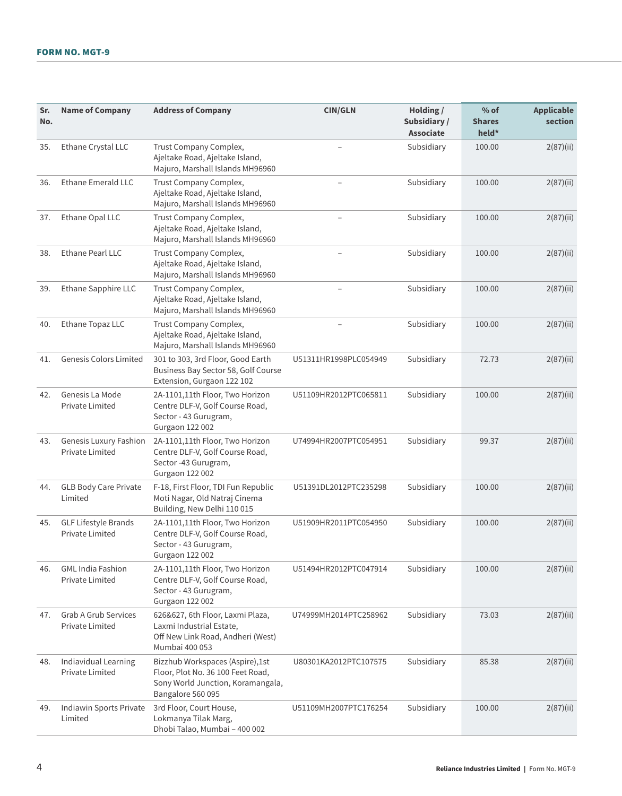| Sr.<br>No. | <b>Name of Company</b>                                | <b>Address of Company</b>                                                                                                      | <b>CIN/GLN</b>        | Holding /<br>Subsidiary /<br><b>Associate</b> | $%$ of<br><b>Shares</b><br>held* | <b>Applicable</b><br>section |
|------------|-------------------------------------------------------|--------------------------------------------------------------------------------------------------------------------------------|-----------------------|-----------------------------------------------|----------------------------------|------------------------------|
| 35.        | Ethane Crystal LLC                                    | Trust Company Complex,<br>Ajeltake Road, Ajeltake Island,<br>Majuro, Marshall Islands MH96960                                  |                       | Subsidiary                                    | 100.00                           | 2(87)(ii)                    |
| 36.        | <b>Ethane Emerald LLC</b>                             | Trust Company Complex,<br>Ajeltake Road, Ajeltake Island,<br>Majuro, Marshall Islands MH96960                                  |                       | Subsidiary                                    | 100.00                           | 2(87)(ii)                    |
| 37.        | Ethane Opal LLC                                       | Trust Company Complex,<br>Ajeltake Road, Ajeltake Island,<br>Majuro, Marshall Islands MH96960                                  |                       | Subsidiary                                    | 100.00                           | 2(87)(ii)                    |
| 38.        | Ethane Pearl LLC                                      | Trust Company Complex,<br>Ajeltake Road, Ajeltake Island,<br>Majuro, Marshall Islands MH96960                                  |                       | Subsidiary                                    | 100.00                           | 2(87)(ii)                    |
| 39.        | Ethane Sapphire LLC                                   | Trust Company Complex,<br>Ajeltake Road, Ajeltake Island,<br>Majuro, Marshall Islands MH96960                                  |                       | Subsidiary                                    | 100.00                           | 2(87)(ii)                    |
| 40.        | Ethane Topaz LLC                                      | Trust Company Complex,<br>Ajeltake Road, Ajeltake Island,<br>Majuro, Marshall Islands MH96960                                  |                       | Subsidiary                                    | 100.00                           | 2(87)(ii)                    |
| 41.        | <b>Genesis Colors Limited</b>                         | 301 to 303, 3rd Floor, Good Earth<br>Business Bay Sector 58, Golf Course<br>Extension, Gurgaon 122 102                         | U51311HR1998PLC054949 | Subsidiary                                    | 72.73                            | 2(87)(ii)                    |
| 42.        | Genesis La Mode<br>Private Limited                    | 2A-1101,11th Floor, Two Horizon<br>Centre DLF-V, Golf Course Road,<br>Sector - 43 Gurugram,<br><b>Gurgaon 122 002</b>          | U51109HR2012PTC065811 | Subsidiary                                    | 100.00                           | 2(87)(ii)                    |
| 43.        | <b>Genesis Luxury Fashion</b><br>Private Limited      | 2A-1101,11th Floor, Two Horizon<br>Centre DLF-V, Golf Course Road,<br>Sector -43 Gurugram,<br><b>Gurgaon 122 002</b>           | U74994HR2007PTC054951 | Subsidiary                                    | 99.37                            | 2(87)(ii)                    |
| 44.        | <b>GLB Body Care Private</b><br>Limited               | F-18, First Floor, TDI Fun Republic<br>Moti Nagar, Old Natraj Cinema<br>Building, New Delhi 110 015                            | U51391DL2012PTC235298 | Subsidiary                                    | 100.00                           | 2(87)(ii)                    |
| 45.        | <b>GLF Lifestyle Brands</b><br><b>Private Limited</b> | 2A-1101,11th Floor, Two Horizon<br>Centre DLF-V, Golf Course Road,<br>Sector - 43 Gurugram,<br><b>Gurgaon 122 002</b>          | U51909HR2011PTC054950 | Subsidiary                                    | 100.00                           | 2(87)(ii)                    |
| 46.        | <b>GML India Fashion</b><br>Private Limited           | 2A-1101,11th Floor, Two Horizon<br>Centre DLF-V, Golf Course Road,<br>Sector - 43 Gurugram,<br><b>Gurgaon 122 002</b>          | U51494HR2012PTC047914 | Subsidiary                                    | 100.00                           | 2(87)(ii)                    |
| 47.        | <b>Grab A Grub Services</b><br>Private Limited        | 626&627, 6th Floor, Laxmi Plaza,<br>Laxmi Industrial Estate,<br>Off New Link Road, Andheri (West)<br>Mumbai 400 053            | U74999MH2014PTC258962 | Subsidiary                                    | 73.03                            | 2(87)(ii)                    |
| 48.        | Indiavidual Learning<br>Private Limited               | Bizzhub Workspaces (Aspire),1st<br>Floor, Plot No. 36 100 Feet Road,<br>Sony World Junction, Koramangala,<br>Bangalore 560 095 | U80301KA2012PTC107575 | Subsidiary                                    | 85.38                            | 2(87)(ii)                    |
| 49.        | Indiawin Sports Private<br>Limited                    | 3rd Floor, Court House,<br>Lokmanya Tilak Marg,<br>Dhobi Talao, Mumbai - 400 002                                               | U51109MH2007PTC176254 | Subsidiary                                    | 100.00                           | 2(87)(ii)                    |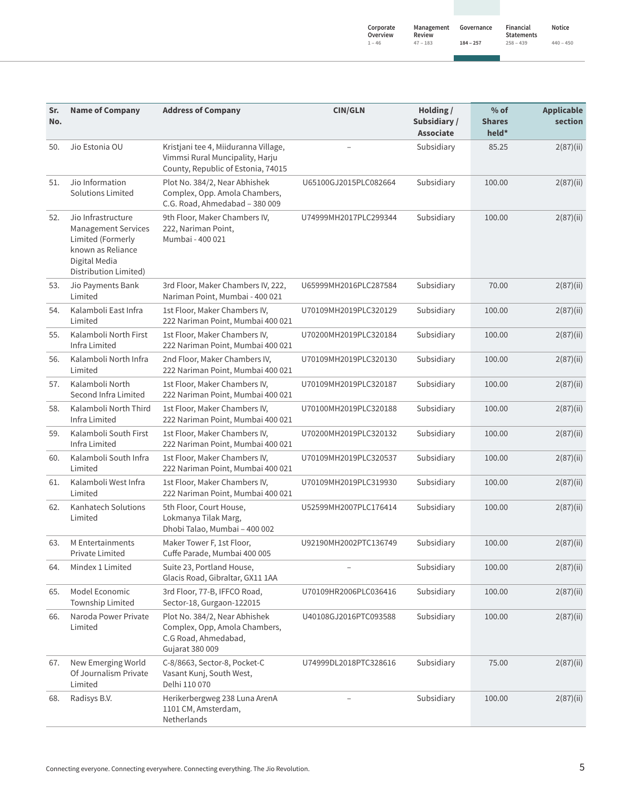| Sr.<br>No. | <b>Name of Company</b>                                                                                                               | <b>Address of Company</b>                                                                                     | <b>CIN/GLN</b>        | Holding /<br>Subsidiary /<br><b>Associate</b> | $%$ of<br><b>Shares</b><br>held* | <b>Applicable</b><br>section |
|------------|--------------------------------------------------------------------------------------------------------------------------------------|---------------------------------------------------------------------------------------------------------------|-----------------------|-----------------------------------------------|----------------------------------|------------------------------|
| 50.        | Jio Estonia OU                                                                                                                       | Kristjani tee 4, Miiduranna Village,<br>Vimmsi Rural Muncipality, Harju<br>County, Republic of Estonia, 74015 |                       | Subsidiary                                    | 85.25                            | 2(87)(ii)                    |
| 51.        | Jio Information<br><b>Solutions Limited</b>                                                                                          | Plot No. 384/2, Near Abhishek<br>Complex, Opp. Amola Chambers,<br>C.G. Road, Ahmedabad - 380 009              | U65100GJ2015PLC082664 | Subsidiary                                    | 100.00                           | 2(87)(ii)                    |
| 52.        | Jio Infrastructure<br><b>Management Services</b><br>Limited (Formerly<br>known as Reliance<br>Digital Media<br>Distribution Limited) | 9th Floor, Maker Chambers IV,<br>222, Nariman Point,<br>Mumbai - 400 021                                      | U74999MH2017PLC299344 | Subsidiary                                    | 100.00                           | 2(87)(ii)                    |
| 53.        | Jio Payments Bank<br>Limited                                                                                                         | 3rd Floor, Maker Chambers IV, 222,<br>Nariman Point, Mumbai - 400 021                                         | U65999MH2016PLC287584 | Subsidiary                                    | 70.00                            | 2(87)(ii)                    |
| 54.        | Kalamboli East Infra<br>Limited                                                                                                      | 1st Floor, Maker Chambers IV,<br>222 Nariman Point, Mumbai 400 021                                            | U70109MH2019PLC320129 | Subsidiary                                    | 100.00                           | 2(87)(ii)                    |
| 55.        | Kalamboli North First<br>Infra Limited                                                                                               | 1st Floor, Maker Chambers IV,<br>222 Nariman Point, Mumbai 400 021                                            | U70200MH2019PLC320184 | Subsidiary                                    | 100.00                           | 2(87)(ii)                    |
| 56.        | Kalamboli North Infra<br>Limited                                                                                                     | 2nd Floor, Maker Chambers IV,<br>222 Nariman Point, Mumbai 400 021                                            | U70109MH2019PLC320130 | Subsidiary                                    | 100.00                           | 2(87)(ii)                    |
| 57.        | Kalamboli North<br>Second Infra Limited                                                                                              | 1st Floor, Maker Chambers IV,<br>222 Nariman Point, Mumbai 400 021                                            | U70109MH2019PLC320187 | Subsidiary                                    | 100.00                           | 2(87)(ii)                    |
| 58.        | Kalamboli North Third<br>Infra Limited                                                                                               | 1st Floor, Maker Chambers IV,<br>222 Nariman Point, Mumbai 400 021                                            | U70100MH2019PLC320188 | Subsidiary                                    | 100.00                           | 2(87)(ii)                    |
| 59.        | Kalamboli South First<br>Infra Limited                                                                                               | 1st Floor, Maker Chambers IV,<br>222 Nariman Point, Mumbai 400 021                                            | U70200MH2019PLC320132 | Subsidiary                                    | 100.00                           | 2(87)(ii)                    |
| 60.        | Kalamboli South Infra<br>Limited                                                                                                     | 1st Floor, Maker Chambers IV,<br>222 Nariman Point, Mumbai 400 021                                            | U70109MH2019PLC320537 | Subsidiary                                    | 100.00                           | 2(87)(ii)                    |
| 61.        | Kalamboli West Infra<br>Limited                                                                                                      | 1st Floor, Maker Chambers IV,<br>222 Nariman Point, Mumbai 400 021                                            | U70109MH2019PLC319930 | Subsidiary                                    | 100.00                           | 2(87)(ii)                    |
| 62.        | Kanhatech Solutions<br>Limited                                                                                                       | 5th Floor, Court House,<br>Lokmanya Tilak Marg,<br>Dhobi Talao, Mumbai - 400 002                              | U52599MH2007PLC176414 | Subsidiary                                    | 100.00                           | 2(87)(ii)                    |
| 63.        | M Entertainments<br>Private Limited                                                                                                  | Maker Tower F, 1st Floor,<br>Cuffe Parade, Mumbai 400 005                                                     | U92190MH2002PTC136749 | Subsidiary                                    | 100.00                           | 2(87)(ii)                    |
| 64.        | Mindex 1 Limited                                                                                                                     | Suite 23, Portland House,<br>Glacis Road, Gibraltar, GX11 1AA                                                 |                       | Subsidiary                                    | 100.00                           | 2(87)(ii)                    |
| 65.        | Model Economic<br>Township Limited                                                                                                   | 3rd Floor, 77-B, IFFCO Road,<br>Sector-18, Gurgaon-122015                                                     | U70109HR2006PLC036416 | Subsidiary                                    | 100.00                           | 2(87)(ii)                    |
| 66.        | Naroda Power Private<br>Limited                                                                                                      | Plot No. 384/2, Near Abhishek<br>Complex, Opp, Amola Chambers,<br>C.G Road, Ahmedabad,<br>Gujarat 380 009     | U40108GJ2016PTC093588 | Subsidiary                                    | 100.00                           | 2(87)(ii)                    |
| 67.        | New Emerging World<br>Of Journalism Private<br>Limited                                                                               | C-8/8663, Sector-8, Pocket-C<br>Vasant Kunj, South West,<br>Delhi 110 070                                     | U74999DL2018PTC328616 | Subsidiary                                    | 75.00                            | 2(87)(ii)                    |
| 68.        | Radisys B.V.                                                                                                                         | Herikerbergweg 238 Luna ArenA<br>1101 CM, Amsterdam,<br>Netherlands                                           |                       | Subsidiary                                    | 100.00                           | 2(87)(ii)                    |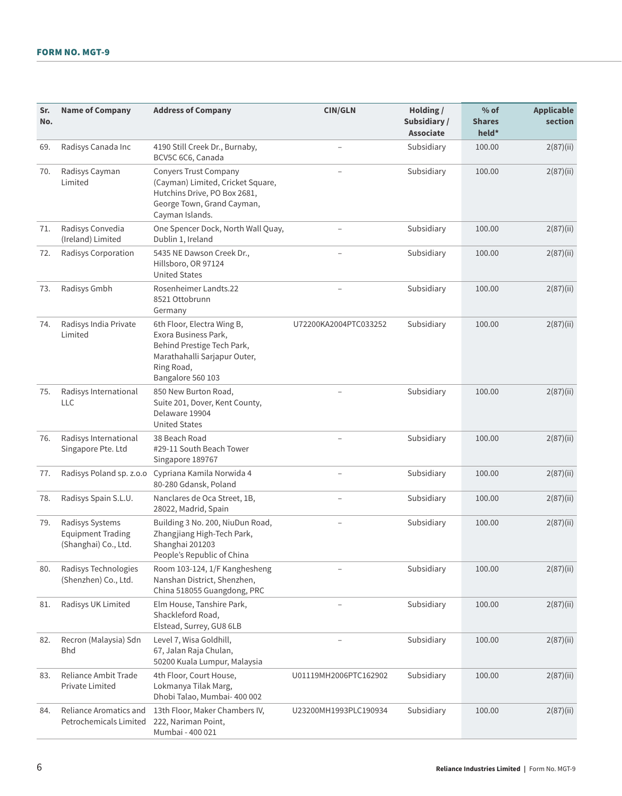| Sr.<br>No. | <b>Name of Company</b>                                              | <b>Address of Company</b>                                                                                                                           | <b>CIN/GLN</b>        | Holding /<br>Subsidiary /<br><b>Associate</b> | $%$ of<br><b>Shares</b><br>held* | <b>Applicable</b><br>section |
|------------|---------------------------------------------------------------------|-----------------------------------------------------------------------------------------------------------------------------------------------------|-----------------------|-----------------------------------------------|----------------------------------|------------------------------|
| 69.        | Radisys Canada Inc                                                  | 4190 Still Creek Dr., Burnaby,<br>BCV5C 6C6, Canada                                                                                                 |                       | Subsidiary                                    | 100.00                           | 2(87)(ii)                    |
| 70.        | Radisys Cayman<br>Limited                                           | <b>Conyers Trust Company</b><br>(Cayman) Limited, Cricket Square,<br>Hutchins Drive, PO Box 2681,<br>George Town, Grand Cayman,<br>Cayman Islands.  |                       | Subsidiary                                    | 100.00                           | 2(87)(ii)                    |
| 71.        | Radisys Convedia<br>(Ireland) Limited                               | One Spencer Dock, North Wall Quay,<br>Dublin 1, Ireland                                                                                             |                       | Subsidiary                                    | 100.00                           | 2(87)(ii)                    |
| 72.        | Radisys Corporation                                                 | 5435 NE Dawson Creek Dr.,<br>Hillsboro, OR 97124<br><b>United States</b>                                                                            |                       | Subsidiary                                    | 100.00                           | 2(87)(ii)                    |
| 73.        | Radisys Gmbh                                                        | Rosenheimer Landts.22<br>8521 Ottobrunn<br>Germany                                                                                                  |                       | Subsidiary                                    | 100.00                           | 2(87)(ii)                    |
| 74.        | Radisys India Private<br>Limited                                    | 6th Floor, Electra Wing B,<br>Exora Business Park,<br>Behind Prestige Tech Park,<br>Marathahalli Sarjapur Outer,<br>Ring Road,<br>Bangalore 560 103 | U72200KA2004PTC033252 | Subsidiary                                    | 100.00                           | 2(87)(ii)                    |
| 75.        | Radisys International<br>LLC                                        | 850 New Burton Road,<br>Suite 201, Dover, Kent County,<br>Delaware 19904<br><b>United States</b>                                                    |                       | Subsidiary                                    | 100.00                           | 2(87)(ii)                    |
| 76.        | Radisys International<br>Singapore Pte. Ltd                         | 38 Beach Road<br>#29-11 South Beach Tower<br>Singapore 189767                                                                                       |                       | Subsidiary                                    | 100.00                           | 2(87)(ii)                    |
| 77.        | Radisys Poland sp. z.o.o                                            | Cypriana Kamila Norwida 4<br>80-280 Gdansk, Poland                                                                                                  |                       | Subsidiary                                    | 100.00                           | 2(87)(ii)                    |
| 78.        | Radisys Spain S.L.U.                                                | Nanclares de Oca Street, 1B,<br>28022, Madrid, Spain                                                                                                |                       | Subsidiary                                    | 100.00                           | 2(87)(ii)                    |
| 79.        | Radisys Systems<br><b>Equipment Trading</b><br>(Shanghai) Co., Ltd. | Building 3 No. 200, NiuDun Road,<br>Zhangjiang High-Tech Park,<br>Shanghai 201203<br>People's Republic of China                                     |                       | Subsidiary                                    | 100.00                           | 2(87)(ii)                    |
| 80.        | Radisys Technologies<br>(Shenzhen) Co., Ltd.                        | Room 103-124, 1/F Kanghesheng<br>Nanshan District, Shenzhen,<br>China 518055 Guangdong, PRC                                                         |                       | Subsidiary                                    | 100.00                           | 2(87)(ii)                    |
| 81.        | Radisys UK Limited                                                  | Elm House, Tanshire Park,<br>Shackleford Road,<br>Elstead, Surrey, GU8 6LB                                                                          |                       | Subsidiary                                    | 100.00                           | 2(87)(ii)                    |
| 82.        | Recron (Malaysia) Sdn<br><b>Bhd</b>                                 | Level 7, Wisa Goldhill,<br>67, Jalan Raja Chulan,<br>50200 Kuala Lumpur, Malaysia                                                                   |                       | Subsidiary                                    | 100.00                           | 2(87)(ii)                    |
| 83.        | Reliance Ambit Trade<br>Private Limited                             | 4th Floor, Court House,<br>Lokmanya Tilak Marg,<br>Dhobi Talao, Mumbai- 400 002                                                                     | U01119MH2006PTC162902 | Subsidiary                                    | 100.00                           | 2(87)(ii)                    |
| 84.        | Reliance Aromatics and<br>Petrochemicals Limited                    | 13th Floor, Maker Chambers IV,<br>222, Nariman Point,<br>Mumbai - 400 021                                                                           | U23200MH1993PLC190934 | Subsidiary                                    | 100.00                           | 2(87)(ii)                    |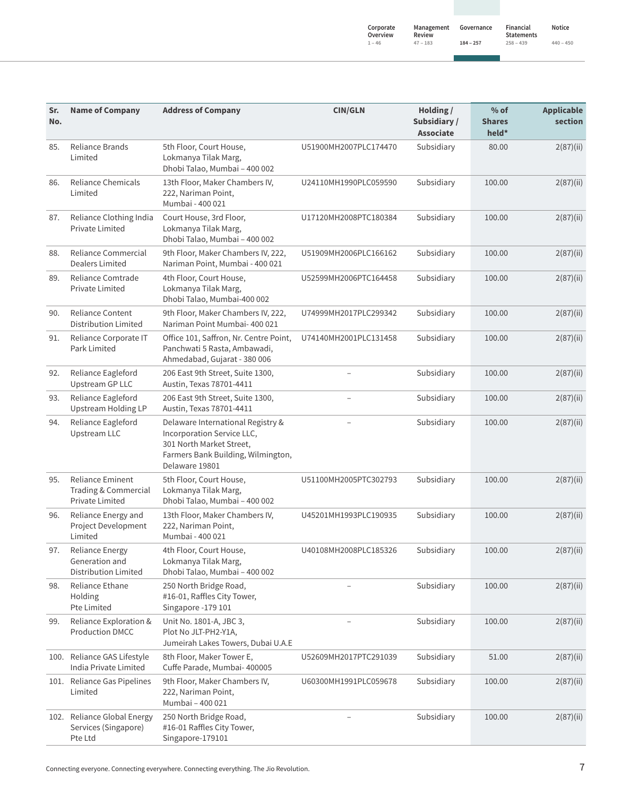**Notice 440 ‒ 450**

|  |  | 44 |
|--|--|----|
|  |  |    |

| Sr.<br>No. | <b>Name of Company</b>                                                    | <b>Address of Company</b>                                                                                                                           | <b>CIN/GLN</b>        | Holding /<br>Subsidiary /<br><b>Associate</b> | $%$ of<br><b>Shares</b><br>held* | <b>Applicable</b><br>section |
|------------|---------------------------------------------------------------------------|-----------------------------------------------------------------------------------------------------------------------------------------------------|-----------------------|-----------------------------------------------|----------------------------------|------------------------------|
| 85.        | Reliance Brands<br>Limited                                                | 5th Floor, Court House,<br>Lokmanya Tilak Marg,<br>Dhobi Talao, Mumbai - 400 002                                                                    | U51900MH2007PLC174470 | Subsidiary                                    | 80.00                            | 2(87)(ii)                    |
| 86.        | <b>Reliance Chemicals</b><br>Limited                                      | 13th Floor, Maker Chambers IV,<br>222, Nariman Point,<br>Mumbai - 400 021                                                                           | U24110MH1990PLC059590 | Subsidiary                                    | 100.00                           | 2(87)(ii)                    |
| 87.        | Reliance Clothing India<br>Private Limited                                | Court House, 3rd Floor,<br>Lokmanya Tilak Marg,<br>Dhobi Talao, Mumbai - 400 002                                                                    | U17120MH2008PTC180384 | Subsidiary                                    | 100.00                           | 2(87)(ii)                    |
| 88.        | Reliance Commercial<br><b>Dealers Limited</b>                             | 9th Floor, Maker Chambers IV, 222,<br>Nariman Point, Mumbai - 400 021                                                                               | U51909MH2006PLC166162 | Subsidiary                                    | 100.00                           | 2(87)(ii)                    |
| 89.        | Reliance Comtrade<br>Private Limited                                      | 4th Floor, Court House,<br>Lokmanya Tilak Marg,<br>Dhobi Talao, Mumbai-400 002                                                                      | U52599MH2006PTC164458 | Subsidiary                                    | 100.00                           | 2(87)(ii)                    |
| 90.        | Reliance Content<br>Distribution Limited                                  | 9th Floor, Maker Chambers IV, 222,<br>Nariman Point Mumbai- 400 021                                                                                 | U74999MH2017PLC299342 | Subsidiary                                    | 100.00                           | 2(87)(ii)                    |
| 91.        | Reliance Corporate IT<br>Park Limited                                     | Office 101, Saffron, Nr. Centre Point,<br>Panchwati 5 Rasta, Ambawadi,<br>Ahmedabad, Gujarat - 380 006                                              | U74140MH2001PLC131458 | Subsidiary                                    | 100.00                           | 2(87)(ii)                    |
| 92.        | Reliance Eagleford<br>Upstream GP LLC                                     | 206 East 9th Street, Suite 1300,<br>Austin, Texas 78701-4411                                                                                        |                       | Subsidiary                                    | 100.00                           | 2(87)(ii)                    |
| 93.        | Reliance Eagleford<br>Upstream Holding LP                                 | 206 East 9th Street, Suite 1300,<br>Austin, Texas 78701-4411                                                                                        |                       | Subsidiary                                    | 100.00                           | 2(87)(ii)                    |
| 94.        | Reliance Eagleford<br><b>Upstream LLC</b>                                 | Delaware International Registry &<br>Incorporation Service LLC,<br>301 North Market Street,<br>Farmers Bank Building, Wilmington,<br>Delaware 19801 |                       | Subsidiary                                    | 100.00                           | 2(87)(ii)                    |
| 95.        | <b>Reliance Eminent</b><br>Trading & Commercial<br><b>Private Limited</b> | 5th Floor, Court House,<br>Lokmanya Tilak Marg,<br>Dhobi Talao, Mumbai - 400 002                                                                    | U51100MH2005PTC302793 | Subsidiary                                    | 100.00                           | 2(87)(ii)                    |
| 96.        | Reliance Energy and<br>Project Development<br>Limited                     | 13th Floor, Maker Chambers IV,<br>222, Nariman Point,<br>Mumbai - 400 021                                                                           | U45201MH1993PLC190935 | Subsidiary                                    | 100.00                           | 2(87)(ii)                    |
| 97.        | <b>Reliance Energy</b><br>Generation and<br>Distribution Limited          | 4th Floor, Court House,<br>Lokmanya Tilak Marg,<br>Dhobi Talao, Mumbai - 400 002                                                                    | U40108MH2008PLC185326 | Subsidiary                                    | 100.00                           | 2(87)(ii)                    |
| 98.        | Reliance Ethane<br>Holding<br>Pte Limited                                 | 250 North Bridge Road,<br>#16-01, Raffles City Tower,<br>Singapore -179 101                                                                         |                       | Subsidiary                                    | 100.00                           | 2(87)(ii)                    |
| 99.        | Reliance Exploration &<br><b>Production DMCC</b>                          | Unit No. 1801-A, JBC 3,<br>Plot No JLT-PH2-Y1A,<br>Jumeirah Lakes Towers, Dubai U.A.E                                                               |                       | Subsidiary                                    | 100.00                           | 2(87)(ii)                    |
|            | 100. Reliance GAS Lifestyle<br>India Private Limited                      | 8th Floor, Maker Tower E,<br>Cuffe Parade, Mumbai- 400005                                                                                           | U52609MH2017PTC291039 | Subsidiary                                    | 51.00                            | 2(87)(ii)                    |
|            | 101. Reliance Gas Pipelines<br>Limited                                    | 9th Floor, Maker Chambers IV,<br>222, Nariman Point,<br>Mumbai - 400 021                                                                            | U60300MH1991PLC059678 | Subsidiary                                    | 100.00                           | 2(87)(ii)                    |
|            | 102. Reliance Global Energy<br>Services (Singapore)<br>Pte Ltd            | 250 North Bridge Road,<br>#16-01 Raffles City Tower,<br>Singapore-179101                                                                            |                       | Subsidiary                                    | 100.00                           | 2(87)(ii)                    |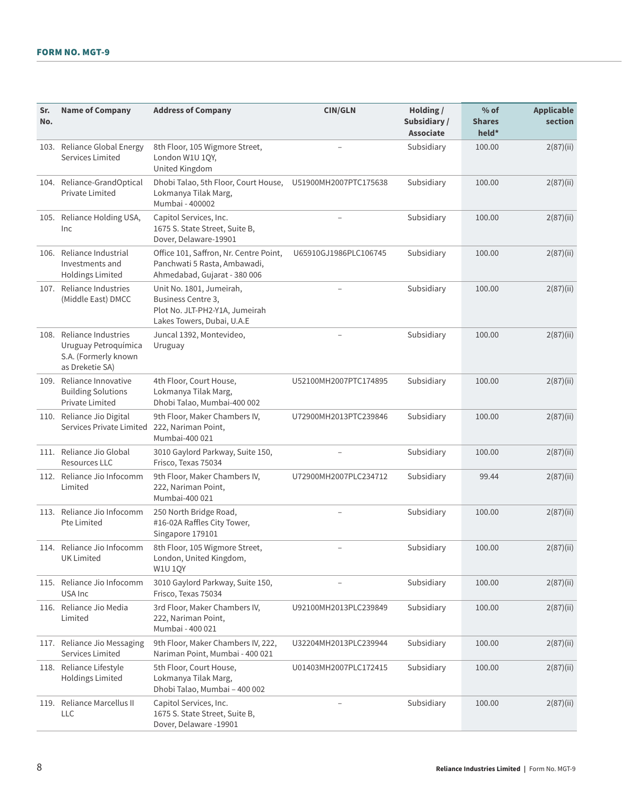| Sr.<br>No. | <b>Name of Company</b>                                                                      | <b>Address of Company</b>                                                                                      | <b>CIN/GLN</b>        | Holding /<br>Subsidiary /<br><b>Associate</b> | $%$ of<br><b>Shares</b><br>held* | <b>Applicable</b><br>section |
|------------|---------------------------------------------------------------------------------------------|----------------------------------------------------------------------------------------------------------------|-----------------------|-----------------------------------------------|----------------------------------|------------------------------|
|            | 103. Reliance Global Energy<br>Services Limited                                             | 8th Floor, 105 Wigmore Street,<br>London W1U 1QY,<br>United Kingdom                                            |                       | Subsidiary                                    | 100.00                           | 2(87)(ii)                    |
|            | 104. Reliance-GrandOptical<br>Private Limited                                               | Dhobi Talao, 5th Floor, Court House,<br>Lokmanya Tilak Marg,<br>Mumbai - 400002                                | U51900MH2007PTC175638 | Subsidiary                                    | 100.00                           | 2(87)(ii)                    |
|            | 105. Reliance Holding USA,<br>Inc                                                           | Capitol Services, Inc.<br>1675 S. State Street, Suite B,<br>Dover, Delaware-19901                              |                       | Subsidiary                                    | 100.00                           | 2(87)(ii)                    |
|            | 106. Reliance Industrial<br>Investments and<br><b>Holdings Limited</b>                      | Office 101, Saffron, Nr. Centre Point,<br>Panchwati 5 Rasta, Ambawadi,<br>Ahmedabad, Gujarat - 380 006         | U65910GJ1986PLC106745 | Subsidiary                                    | 100.00                           | 2(87)(ii)                    |
|            | 107. Reliance Industries<br>(Middle East) DMCC                                              | Unit No. 1801, Jumeirah,<br>Business Centre 3,<br>Plot No. JLT-PH2-Y1A, Jumeirah<br>Lakes Towers, Dubai, U.A.E |                       | Subsidiary                                    | 100.00                           | 2(87)(ii)                    |
|            | 108. Reliance Industries<br>Uruguay Petroquímica<br>S.A. (Formerly known<br>as Dreketie SA) | Juncal 1392, Montevideo,<br>Uruguay                                                                            |                       | Subsidiary                                    | 100.00                           | 2(87)(ii)                    |
|            | 109. Reliance Innovative<br><b>Building Solutions</b><br>Private Limited                    | 4th Floor, Court House,<br>Lokmanya Tilak Marg,<br>Dhobi Talao, Mumbai-400 002                                 | U52100MH2007PTC174895 | Subsidiary                                    | 100.00                           | 2(87)(ii)                    |
|            | 110. Reliance Jio Digital<br>Services Private Limited                                       | 9th Floor, Maker Chambers IV,<br>222, Nariman Point,<br>Mumbai-400 021                                         | U72900MH2013PTC239846 | Subsidiary                                    | 100.00                           | 2(87)(ii)                    |
|            | 111. Reliance Jio Global<br><b>Resources LLC</b>                                            | 3010 Gaylord Parkway, Suite 150,<br>Frisco, Texas 75034                                                        |                       | Subsidiary                                    | 100.00                           | 2(87)(ii)                    |
| 112.       | Reliance Jio Infocomm<br>Limited                                                            | 9th Floor, Maker Chambers IV,<br>222, Nariman Point,<br>Mumbai-400 021                                         | U72900MH2007PLC234712 | Subsidiary                                    | 99.44                            | 2(87)(ii)                    |
|            | 113. Reliance Jio Infocomm<br>Pte Limited                                                   | 250 North Bridge Road,<br>#16-02A Raffles City Tower,<br>Singapore 179101                                      |                       | Subsidiary                                    | 100.00                           | 2(87)(ii)                    |
|            | 114. Reliance Jio Infocomm<br><b>UK Limited</b>                                             | 8th Floor, 105 Wigmore Street,<br>London, United Kingdom,<br><b>W1U 1QY</b>                                    |                       | Subsidiary                                    | 100.00                           | 2(87)(ii)                    |
|            | 115. Reliance Jio Infocomm<br>USA Inc                                                       | 3010 Gaylord Parkway, Suite 150,<br>Frisco, Texas 75034                                                        |                       | Subsidiary                                    | 100.00                           | 2(87)(ii)                    |
|            | 116. Reliance Jio Media<br>Limited                                                          | 3rd Floor, Maker Chambers IV,<br>222, Nariman Point,<br>Mumbai - 400 021                                       | U92100MH2013PLC239849 | Subsidiary                                    | 100.00                           | 2(87)(ii)                    |
|            | 117. Reliance Jio Messaging<br>Services Limited                                             | 9th Floor, Maker Chambers IV, 222,<br>Nariman Point, Mumbai - 400 021                                          | U32204MH2013PLC239944 | Subsidiary                                    | 100.00                           | 2(87)(ii)                    |
|            | 118. Reliance Lifestyle<br><b>Holdings Limited</b>                                          | 5th Floor, Court House,<br>Lokmanya Tilak Marg,<br>Dhobi Talao, Mumbai - 400 002                               | U01403MH2007PLC172415 | Subsidiary                                    | 100.00                           | 2(87)(ii)                    |
| 119.       | Reliance Marcellus II<br>LLC                                                                | Capitol Services, Inc.<br>1675 S. State Street, Suite B,<br>Dover, Delaware -19901                             |                       | Subsidiary                                    | 100.00                           | 2(87)(ii)                    |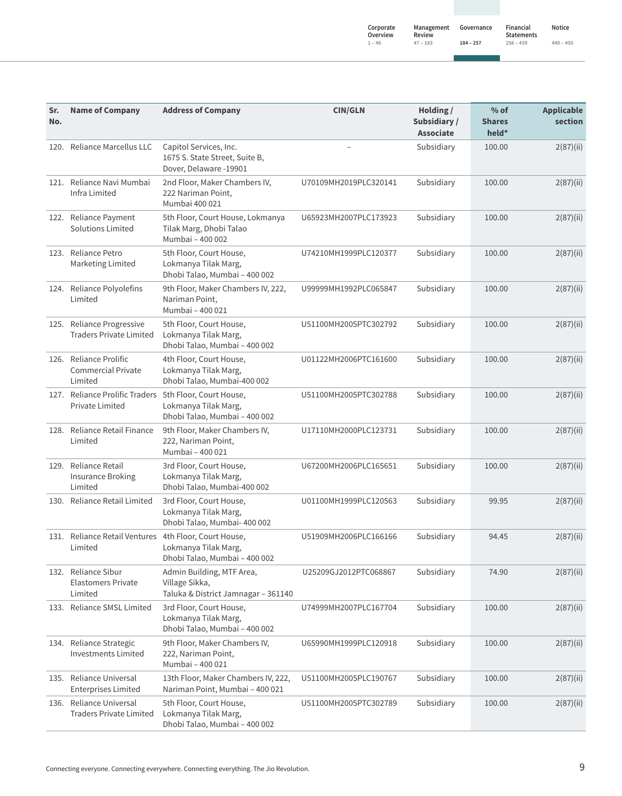| Notice      |
|-------------|
| $440 - 450$ |

| 9 | $\overline{4}$ |
|---|----------------|
|   |                |

| Sr.<br>No. | <b>Name of Company</b>                                                    | <b>Address of Company</b>                                                          | <b>CIN/GLN</b>        | Holding /<br>Subsidiary/<br><b>Associate</b> | $%$ of<br><b>Shares</b><br>held* | <b>Applicable</b><br>section |
|------------|---------------------------------------------------------------------------|------------------------------------------------------------------------------------|-----------------------|----------------------------------------------|----------------------------------|------------------------------|
|            | 120. Reliance Marcellus LLC                                               | Capitol Services, Inc.<br>1675 S. State Street, Suite B,<br>Dover, Delaware -19901 |                       | Subsidiary                                   | 100.00                           | 2(87)(ii)                    |
|            | 121. Reliance Navi Mumbai<br>Infra Limited                                | 2nd Floor, Maker Chambers IV,<br>222 Nariman Point,<br>Mumbai 400 021              | U70109MH2019PLC320141 | Subsidiary                                   | 100.00                           | 2(87)(ii)                    |
|            | 122. Reliance Payment<br>Solutions Limited                                | 5th Floor, Court House, Lokmanya<br>Tilak Marg, Dhobi Talao<br>Mumbai - 400 002    | U65923MH2007PLC173923 | Subsidiary                                   | 100.00                           | 2(87)(ii)                    |
|            | 123. Reliance Petro<br>Marketing Limited                                  | 5th Floor, Court House,<br>Lokmanya Tilak Marg,<br>Dhobi Talao, Mumbai - 400 002   | U74210MH1999PLC120377 | Subsidiary                                   | 100.00                           | 2(87)(ii)                    |
|            | 124. Reliance Polyolefins<br>Limited                                      | 9th Floor, Maker Chambers IV, 222,<br>Nariman Point,<br>Mumbai - 400 021           | U99999MH1992PLC065847 | Subsidiary                                   | 100.00                           | 2(87)(ii)                    |
|            | 125. Reliance Progressive<br><b>Traders Private Limited</b>               | 5th Floor, Court House,<br>Lokmanya Tilak Marg,<br>Dhobi Talao, Mumbai - 400 002   | U51100MH2005PTC302792 | Subsidiary                                   | 100.00                           | 2(87)(ii)                    |
|            | 126. Reliance Prolific<br><b>Commercial Private</b><br>Limited            | 4th Floor, Court House,<br>Lokmanya Tilak Marg,<br>Dhobi Talao, Mumbai-400 002     | U01122MH2006PTC161600 | Subsidiary                                   | 100.00                           | 2(87)(ii)                    |
|            | 127. Reliance Prolific Traders 5th Floor, Court House,<br>Private Limited | Lokmanya Tilak Marg,<br>Dhobi Talao, Mumbai - 400 002                              | U51100MH2005PTC302788 | Subsidiary                                   | 100.00                           | 2(87)(ii)                    |
|            | 128. Reliance Retail Finance<br>Limited                                   | 9th Floor, Maker Chambers IV,<br>222, Nariman Point,<br>Mumbai - 400 021           | U17110MH2000PLC123731 | Subsidiary                                   | 100.00                           | 2(87)(ii)                    |
|            | 129. Reliance Retail<br><b>Insurance Broking</b><br>Limited               | 3rd Floor, Court House,<br>Lokmanya Tilak Marg,<br>Dhobi Talao, Mumbai-400 002     | U67200MH2006PLC165651 | Subsidiary                                   | 100.00                           | 2(87)(ii)                    |
|            | 130. Reliance Retail Limited                                              | 3rd Floor, Court House,<br>Lokmanya Tilak Marg,<br>Dhobi Talao, Mumbai- 400 002    | U01100MH1999PLC120563 | Subsidiary                                   | 99.95                            | 2(87)(ii)                    |
|            | 131. Reliance Retail Ventures 4th Floor, Court House,<br>Limited          | Lokmanya Tilak Marg,<br>Dhobi Talao, Mumbai - 400 002                              | U51909MH2006PLC166166 | Subsidiary                                   | 94.45                            | 2(87)(ii)                    |
|            | 132. Reliance Sibur<br><b>Elastomers Private</b><br>Limited               | Admin Building, MTF Area,<br>Village Sikka,<br>Taluka & District Jamnagar - 361140 | U25209GJ2012PTC068867 | Subsidiary                                   | 74.90                            | 2(87)(ii)                    |
|            | 133. Reliance SMSL Limited                                                | 3rd Floor, Court House,<br>Lokmanya Tilak Marg,<br>Dhobi Talao, Mumbai - 400 002   | U74999MH2007PLC167704 | Subsidiary                                   | 100.00                           | 2(87)(ii)                    |
|            | 134. Reliance Strategic<br><b>Investments Limited</b>                     | 9th Floor, Maker Chambers IV,<br>222, Nariman Point,<br>Mumbai - 400 021           | U65990MH1999PLC120918 | Subsidiary                                   | 100.00                           | 2(87)(ii)                    |
|            | 135. Reliance Universal<br><b>Enterprises Limited</b>                     | 13th Floor, Maker Chambers IV, 222,<br>Nariman Point, Mumbai - 400 021             | U51100MH2005PLC190767 | Subsidiary                                   | 100.00                           | 2(87)(ii)                    |
|            | 136. Reliance Universal<br><b>Traders Private Limited</b>                 | 5th Floor, Court House,<br>Lokmanya Tilak Marg,<br>Dhobi Talao, Mumbai - 400 002   | U51100MH2005PTC302789 | Subsidiary                                   | 100.00                           | 2(87)(ii)                    |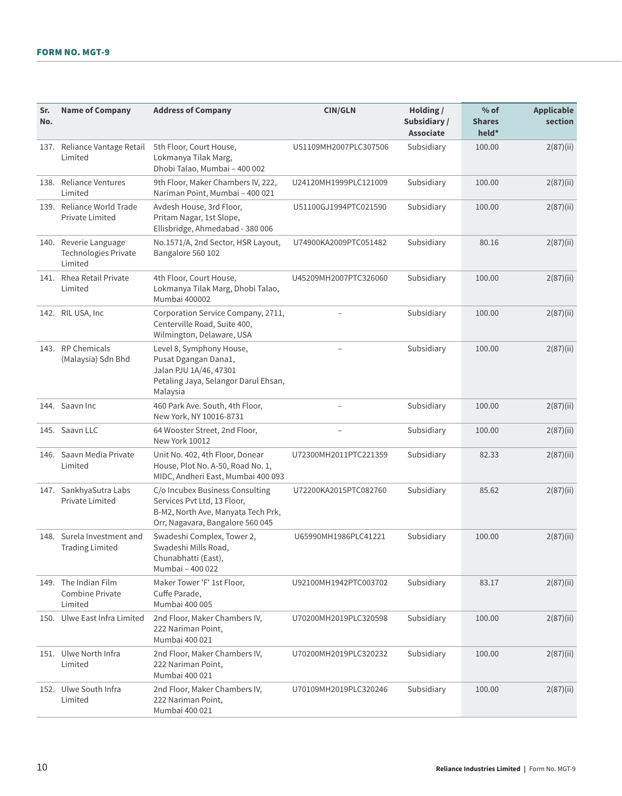| Sr.<br>No. | <b>Name of Company</b>                                          | <b>Address of Company</b>                                                                                                                | <b>CIN/GLN</b>        | Holding $/$<br>Subsidiary/<br><b>Associate</b> | $%$ of<br><b>Shares</b><br>held* | <b>Applicable</b><br>section |
|------------|-----------------------------------------------------------------|------------------------------------------------------------------------------------------------------------------------------------------|-----------------------|------------------------------------------------|----------------------------------|------------------------------|
|            | 137. Reliance Vantage Retail<br>Limited                         | 5th Floor, Court House,<br>Lokmanya Tilak Marg,<br>Dhobi Talao, Mumbai - 400 002                                                         | U51109MH2007PLC307506 | Subsidiary                                     | 100.00                           | 2(87)(ii)                    |
|            | 138. Reliance Ventures<br>Limited                               | 9th Floor, Maker Chambers IV, 222,<br>Nariman Point, Mumbai - 400 021                                                                    | U24120MH1999PLC121009 | Subsidiary                                     | 100.00                           | 2(87)(ii)                    |
|            | 139. Reliance World Trade<br>Private Limited                    | Avdesh House, 3rd Floor,<br>Pritam Nagar, 1st Slope,<br>Ellisbridge, Ahmedabad - 380 006                                                 | U51100GJ1994PTC021590 | Subsidiary                                     | 100.00                           | 2(87)(ii)                    |
|            | 140. Reverie Language<br><b>Technologies Private</b><br>Limited | No.1571/A, 2nd Sector, HSR Layout,<br>Bangalore 560 102                                                                                  | U74900KA2009PTC051482 | Subsidiary                                     | 80.16                            | 2(87)(ii)                    |
|            | 141. Rhea Retail Private<br>Limited                             | 4th Floor, Court House,<br>Lokmanya Tilak Marg, Dhobi Talao,<br>Mumbai 400002                                                            | U45209MH2007PTC326060 | Subsidiary                                     | 100.00                           | 2(87)(ii)                    |
|            | 142. RIL USA, Inc.                                              | Corporation Service Company, 2711,<br>Centerville Road, Suite 400,<br>Wilmington, Delaware, USA                                          |                       | Subsidiary                                     | 100.00                           | 2(87)(ii)                    |
|            | 143. RP Chemicals<br>(Malaysia) Sdn Bhd                         | Level 8, Symphony House,<br>Pusat Dgangan Dana1,<br>Jalan PJU 1A/46, 47301<br>Petaling Jaya, Selangor Darul Ehsan,<br>Malaysia           |                       | Subsidiary                                     | 100.00                           | 2(87)(ii)                    |
|            | 144. Saavn Inc                                                  | 460 Park Ave. South, 4th Floor,<br>New York, NY 10016-8731                                                                               |                       | Subsidiary                                     | 100.00                           | 2(87)(ii)                    |
|            | 145. Saavn LLC                                                  | 64 Wooster Street, 2nd Floor,<br>New York 10012                                                                                          |                       | Subsidiary                                     | 100.00                           | 2(87)(ii)                    |
|            | 146. Saavn Media Private<br>Limited                             | Unit No. 402, 4th Floor, Donear<br>House, Plot No. A-50, Road No. 1,<br>MIDC, Andheri East, Mumbai 400 093                               | U72300MH2011PTC221359 | Subsidiary                                     | 82.33                            | 2(87)(ii)                    |
|            | 147. SankhyaSutra Labs<br>Private Limited                       | C/o Incubex Business Consulting<br>Services Pvt Ltd, 13 Floor,<br>B-M2, North Ave, Manyata Tech Prk,<br>Orr, Nagavara, Bangalore 560 045 | U72200KA2015PTC082760 | Subsidiary                                     | 85.62                            | 2(87)(ii)                    |
|            | 148. Surela Investment and<br><b>Trading Limited</b>            | Swadeshi Complex, Tower 2,<br>Swadeshi Mills Road,<br>Chunabhatti (East),<br>Mumbai - 400 022                                            | U65990MH1986PLC41221  | Subsidiary                                     | 100.00                           | 2(87)(ii)                    |
|            | 149. The Indian Film<br>Combine Private<br>Limited              | Maker Tower 'F' 1st Floor,<br>Cuffe Parade,<br>Mumbai 400 005                                                                            | U92100MH1942PTC003702 | Subsidiary                                     | 83.17                            | 2(87)(ii)                    |
|            | 150. Ulwe East Infra Limited                                    | 2nd Floor, Maker Chambers IV,<br>222 Nariman Point,<br>Mumbai 400 021                                                                    | U70200MH2019PLC320598 | Subsidiary                                     | 100.00                           | 2(87)(ii)                    |
|            | 151. Ulwe North Infra<br>Limited                                | 2nd Floor, Maker Chambers IV,<br>222 Nariman Point,<br>Mumbai 400 021                                                                    | U70200MH2019PLC320232 | Subsidiary                                     | 100.00                           | 2(87)(ii)                    |
|            | 152. Ulwe South Infra<br>Limited                                | 2nd Floor, Maker Chambers IV,<br>222 Nariman Point,<br>Mumbai 400 021                                                                    | U70109MH2019PLC320246 | Subsidiary                                     | 100.00                           | 2(87)(ii)                    |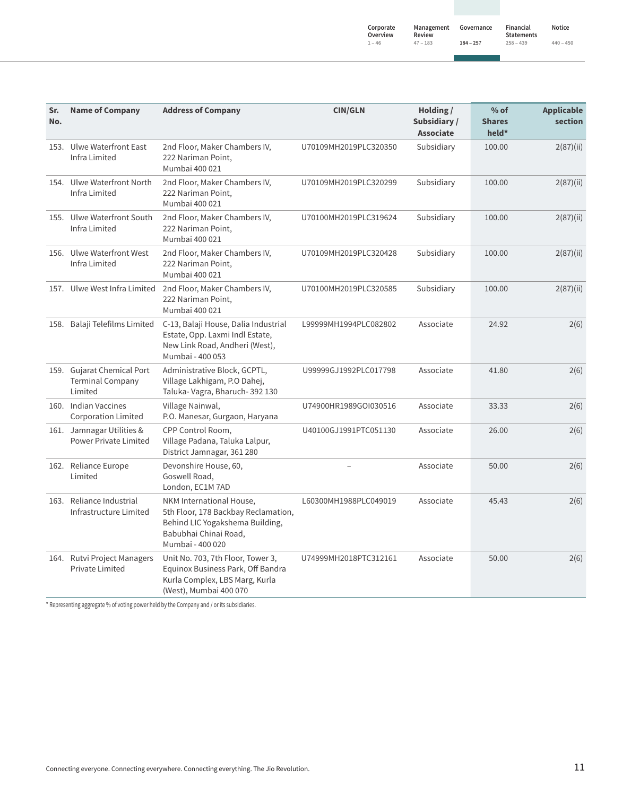| Sr.<br>No. | <b>Name of Company</b>                                           | <b>Address of Company</b>                                                                                                                       | <b>CIN/GLN</b>        | Holding /<br>Subsidiary /<br><b>Associate</b> | $%$ of<br><b>Shares</b><br>held* | <b>Applicable</b><br>section |
|------------|------------------------------------------------------------------|-------------------------------------------------------------------------------------------------------------------------------------------------|-----------------------|-----------------------------------------------|----------------------------------|------------------------------|
|            | 153. Ulwe Waterfront East<br>Infra Limited                       | 2nd Floor, Maker Chambers IV,<br>222 Nariman Point,<br>Mumbai 400 021                                                                           | U70109MH2019PLC320350 | Subsidiary                                    | 100.00                           | 2(87)(ii)                    |
|            | 154. Ulwe Waterfront North<br>Infra Limited                      | 2nd Floor, Maker Chambers IV,<br>222 Nariman Point,<br>Mumbai 400 021                                                                           | U70109MH2019PLC320299 | Subsidiary                                    | 100.00                           | 2(87)(ii)                    |
|            | 155. Ulwe Waterfront South<br>Infra Limited                      | 2nd Floor, Maker Chambers IV,<br>222 Nariman Point,<br>Mumbai 400 021                                                                           | U70100MH2019PLC319624 | Subsidiary                                    | 100.00                           | 2(87)(ii)                    |
|            | 156. Ulwe Waterfront West<br>Infra Limited                       | 2nd Floor, Maker Chambers IV,<br>222 Nariman Point,<br>Mumbai 400 021                                                                           | U70109MH2019PLC320428 | Subsidiary                                    | 100.00                           | 2(87)(ii)                    |
|            | 157. Ulwe West Infra Limited                                     | 2nd Floor, Maker Chambers IV,<br>222 Nariman Point,<br>Mumbai 400 021                                                                           | U70100MH2019PLC320585 | Subsidiary                                    | 100.00                           | 2(87)(ii)                    |
|            | 158. Balaji Telefilms Limited                                    | C-13, Balaji House, Dalia Industrial<br>Estate, Opp. Laxmi Indl Estate,<br>New Link Road, Andheri (West),<br>Mumbai - 400 053                   | L99999MH1994PLC082802 | Associate                                     | 24.92                            | 2(6)                         |
|            | 159. Gujarat Chemical Port<br><b>Terminal Company</b><br>Limited | Administrative Block, GCPTL,<br>Village Lakhigam, P.O Dahej,<br>Taluka-Vagra, Bharuch-392 130                                                   | U99999GJ1992PLC017798 | Associate                                     | 41.80                            | 2(6)                         |
|            | 160. Indian Vaccines<br><b>Corporation Limited</b>               | Village Nainwal,<br>P.O. Manesar, Gurgaon, Haryana                                                                                              | U74900HR1989GOI030516 | Associate                                     | 33.33                            | 2(6)                         |
|            | 161. Jamnagar Utilities &<br><b>Power Private Limited</b>        | CPP Control Room,<br>Village Padana, Taluka Lalpur,<br>District Jamnagar, 361 280                                                               | U40100GJ1991PTC051130 | Associate                                     | 26.00                            | 2(6)                         |
|            | 162. Reliance Europe<br>Limited                                  | Devonshire House, 60,<br>Goswell Road,<br>London, EC1M 7AD                                                                                      |                       | Associate                                     | 50.00                            | 2(6)                         |
|            | 163. Reliance Industrial<br>Infrastructure Limited               | NKM International House,<br>5th Floor, 178 Backbay Reclamation,<br>Behind LIC Yogakshema Building,<br>Babubhai Chinai Road,<br>Mumbai - 400 020 | L60300MH1988PLC049019 | Associate                                     | 45.43                            | 2(6)                         |
|            | 164. Rutvi Project Managers<br>Private Limited                   | Unit No. 703, 7th Floor, Tower 3,<br>Equinox Business Park, Off Bandra<br>Kurla Complex, LBS Marg, Kurla<br>(West), Mumbai 400 070              | U74999MH2018PTC312161 | Associate                                     | 50.00                            | 2(6)                         |

\* Representing aggregate % of voting power held by the Company and / or its subsidiaries.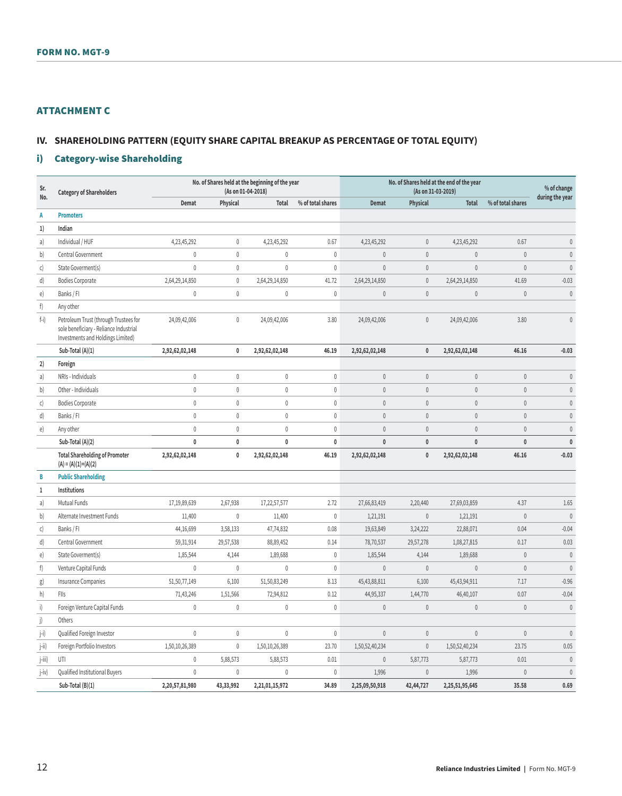# ATTACHMENT C

# **IV. SHAREHOLDING PATTERN (EQUITY SHARE CAPITAL BREAKUP AS PERCENTAGE OF TOTAL EQUITY)**

# i) Category-wise Shareholding

| Sr.<br>No.        | <b>Category of Shareholders</b>                                                                                      |                |              | No. of Shares held at the beginning of the year<br>(As on 01-04-2018) |                   |                | (As on 31-03-2019) | No. of Shares held at the end of the year |                   | % of change<br>during the year |
|-------------------|----------------------------------------------------------------------------------------------------------------------|----------------|--------------|-----------------------------------------------------------------------|-------------------|----------------|--------------------|-------------------------------------------|-------------------|--------------------------------|
|                   |                                                                                                                      | Demat          | Physical     | Total                                                                 | % of total shares | <b>Demat</b>   | Physical           | <b>Total</b>                              | % of total shares |                                |
| A                 | <b>Promoters</b>                                                                                                     |                |              |                                                                       |                   |                |                    |                                           |                   |                                |
| 1)                | Indian                                                                                                               |                |              |                                                                       |                   |                |                    |                                           |                   |                                |
| a)                | Individual / HUF                                                                                                     | 4,23,45,292    | $\mathbf{0}$ | 4,23,45,292                                                           | 0.67              | 4,23,45,292    | $\mathbf{0}$       | 4,23,45,292                               | 0.67              | $\mathbf{0}$                   |
| b)                | Central Government                                                                                                   | $\mathbf{0}$   | $\mathbf{0}$ | $\mathbf 0$                                                           | $\mathbf{0}$      | $\mathbf{0}$   | $\mathbf{0}$       | $\mathbf{0}$                              | $\theta$          | $\mathbb O$                    |
| c)                | State Goverment(s)                                                                                                   | $\mathbf{0}$   | $\mathbf{0}$ | $\mathbf 0$                                                           | $\mathbf{0}$      | $\mathbf{0}$   | $\mathbf{0}$       | $\mathbf{0}$                              | $\mathbf{0}$      | $\mathbb O$                    |
| d)                | <b>Bodies Corporate</b>                                                                                              | 2,64,29,14,850 | $\mathbf{0}$ | 2,64,29,14,850                                                        | 41.72             | 2,64,29,14,850 | $\mathbb O$        | 2,64,29,14,850                            | 41.69             | $-0.03$                        |
| e)                | Banks / FI                                                                                                           | $\mathbf 0$    | $\mathbf{0}$ | $\mathbf 0$                                                           | $\mathbf{0}$      | $\mathbf{0}$   | $\mathbf{0}$       | $\mathbf{0}$                              | $\mathbf{0}$      | $\mathbf{0}$                   |
| f)                | Any other                                                                                                            |                |              |                                                                       |                   |                |                    |                                           |                   |                                |
| $f-i)$            | Petroleum Trust (through Trustees for<br>sole beneficiary - Reliance Industrial<br>Investments and Holdings Limited) | 24,09,42,006   | $\mathbf{0}$ | 24,09,42,006                                                          | 3.80              | 24,09,42,006   | $\mathbf{0}$       | 24,09,42,006                              | 3.80              | $\mathbf{0}$                   |
|                   | Sub-Total (A)(1)                                                                                                     | 2,92,62,02,148 | $\mathbf{0}$ | 2,92,62,02,148                                                        | 46.19             | 2,92,62,02,148 | $\mathbf{0}$       | 2,92,62,02,148                            | 46.16             | $-0.03$                        |
| 2)                | Foreign                                                                                                              |                |              |                                                                       |                   |                |                    |                                           |                   |                                |
| a)                | NRIs - Individuals                                                                                                   | $\mathbf 0$    | $\mathbf 0$  | $\mathbf{0}$                                                          | $\mathbf{0}$      | $\mathbf{0}$   | $\mathbf{0}$       | $\mathbf{0}$                              | $\theta$          | $\theta$                       |
| b)                | Other - Individuals                                                                                                  | $\mathbf 0$    | $\mathbf{0}$ | $\mathbf 0$                                                           | $\mathbf{0}$      | $\mathbf{0}$   | $\mathbf{0}$       | $\mathbf{0}$                              | $\mathbf{0}$      | $\mathbf{0}$                   |
| $\mathsf{C}$      | <b>Bodies Corporate</b>                                                                                              | $\mathbf{0}$   | $\mathbf{0}$ | $\mathbf 0$                                                           | $\mathbf{0}$      | $\mathbf{0}$   | $\mathbf{0}$       | $\overline{0}$                            | $\mathbf{0}$      | $\mathbf{0}$                   |
| d)                | Banks / Fl                                                                                                           | $\mathbf{0}$   | $\mathbf 0$  | $\mathbf{0}$                                                          | $\mathbf 0$       | $\mathbf{0}$   | $\mathbf{0}$       | $\overline{0}$                            | $\mathbf{0}$      | $\mathbf{0}$                   |
| e)                | Any other                                                                                                            | $\mathbf 0$    | $\mathbf{0}$ | $\mathbf 0$                                                           | $\mathbf 0$       | $\mathbf{0}$   | $\mathbf{0}$       | $\overline{0}$                            | $\mathbf{0}$      | $\mathbf{0}$                   |
|                   | Sub-Total (A)(2)                                                                                                     | $\mathbf 0$    | $\pmb{0}$    | $\mathbf{0}$                                                          | $\mathbf 0$       | $\mathbf{0}$   | $\mathbf{0}$       | $\mathbf{0}$                              | $\mathbf{0}$      | $\pmb{0}$                      |
|                   | <b>Total Shareholding of Promoter</b><br>$(A) = (A)(1)+(A)(2)$                                                       | 2,92,62,02,148 | $\pmb{0}$    | 2,92,62,02,148                                                        | 46.19             | 2,92,62,02,148 | $\pmb{0}$          | 2,92,62,02,148                            | 46.16             | $-0.03$                        |
| B                 | <b>Public Shareholding</b>                                                                                           |                |              |                                                                       |                   |                |                    |                                           |                   |                                |
| $\mathbf{1}$      | Institutions                                                                                                         |                |              |                                                                       |                   |                |                    |                                           |                   |                                |
| a)                | Mutual Funds                                                                                                         | 17,19,89,639   | 2,67,938     | 17,22,57,577                                                          | 2.72              | 27,66,83,419   | 2,20,440           | 27,69,03,859                              | 4.37              | 1.65                           |
| b)                | Alternate Investment Funds                                                                                           | 11,400         | 0            | 11,400                                                                | $\mathbf 0$       | 1,21,191       | $\mathbf{0}$       | 1,21,191                                  | $\mathbf{0}$      | $\mathbf{0}$                   |
| $\mathsf{C}\big)$ | Banks / Fl                                                                                                           | 44,16,699      | 3,58,133     | 47,74,832                                                             | 0.08              | 19,63,849      | 3,24,222           | 22,88,071                                 | 0.04              | $-0.04$                        |
| d)                | Central Government                                                                                                   | 59,31,914      | 29,57,538    | 88,89,452                                                             | 0.14              | 78,70,537      | 29,57,278          | 1,08,27,815                               | 0.17              | 0.03                           |
| e)                | State Goverment(s)                                                                                                   | 1,85,544       | 4,144        | 1,89,688                                                              | $\mathbf{0}$      | 1,85,544       | 4,144              | 1,89,688                                  | $\mathbf{0}$      | $\mathbf{0}$                   |
| f)                | Venture Capital Funds                                                                                                | $\mathbf{0}$   | $\mathbf{0}$ | $\mathbf{0}$                                                          | $\mathbf{0}$      | $\mathbf{0}$   | $\mathbf{0}$       | $\mathbf{0}$                              | $\theta$          | $\theta$                       |
| g)                | Insurance Companies                                                                                                  | 51,50,77,149   | 6,100        | 51,50,83,249                                                          | 8.13              | 45,43,88,811   | 6,100              | 45,43,94,911                              | 7.17              | $-0.96$                        |
| h)                | FIIs                                                                                                                 | 71,43,246      | 1,51,566     | 72,94,812                                                             | 0.12              | 44,95,337      | 1,44,770           | 46,40,107                                 | 0.07              | $-0.04$                        |
| $\vert$           | Foreign Venture Capital Funds                                                                                        | $\mathbf{0}$   | $\mathbf{0}$ | $\mathbf{0}$                                                          | $\mathbf{0}$      | $\mathbf{0}$   | $\mathbf{0}$       | $\mathbf{0}$                              | $\theta$          | $\mathbf{0}$                   |
| j)                | Others                                                                                                               |                |              |                                                                       |                   |                |                    |                                           |                   |                                |
| j-i)              | Qualified Foreign Investor                                                                                           | $\mathbf{0}$   | $\mathbf 0$  | $\mathbf 0$                                                           | $\mathbf 0$       | $\mathbf{0}$   | $\mathbf{0}$       | $\mathbf{0}$                              | $\mathbf{0}$      | $\mathbf{0}$                   |
| j-ii)             | Foreign Portfolio Investors                                                                                          | 1,50,10,26,389 | $\mathbf{0}$ | 1,50,10,26,389                                                        | 23.70             | 1,50,52,40,234 | $\mathbf{0}$       | 1,50,52,40,234                            | 23.75             | 0.05                           |
| j-iii)            | UTI                                                                                                                  | $\mathbb O$    | 5,88,573     | 5,88,573                                                              | 0.01              | $\mathbb O$    | 5,87,773           | 5,87,773                                  | 0.01              | $\mathbf{0}$                   |
| $ -iv\rangle$     | Qualified Institutional Buyers                                                                                       | $\mathbf{0}$   | $\mathbf{0}$ | $\mathbf{0}$                                                          | $\mathbf{0}$      | 1,996          | $\mathbf{0}$       | 1,996                                     | $\mathbf{0}$      | $\mathbf{0}$                   |
|                   | Sub-Total (B)(1)                                                                                                     | 2,20,57,81,980 | 43,33,992    | 2,21,01,15,972                                                        | 34.89             | 2,25,09,50,918 | 42,44,727          | 2,25,51,95,645                            | 35.58             | 0.69                           |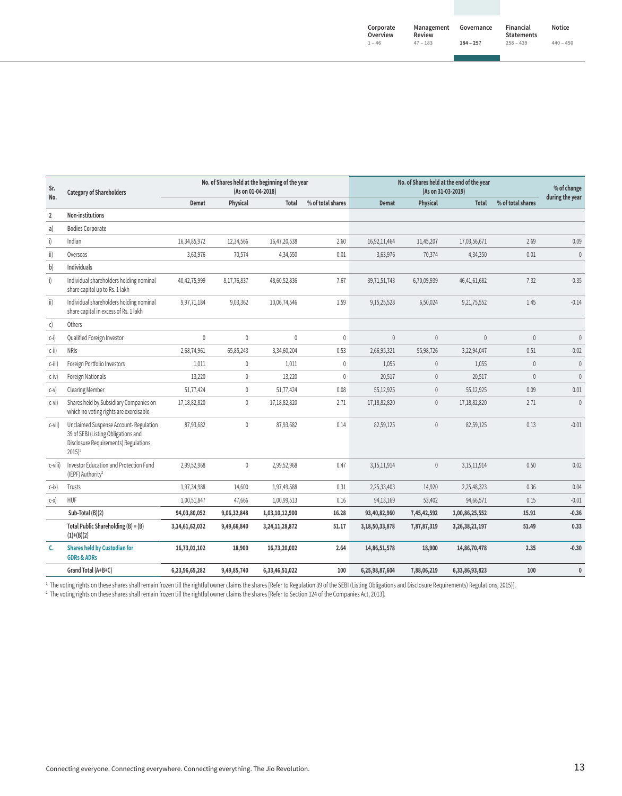| Sr.<br>No.     | <b>Category of Shareholders</b>                                                                                                              |                |                 | No. of Shares held at the beginning of the year<br>(As on 01-04-2018) |                   |                | (As on 31-03-2019) | No. of Shares held at the end of the year |                   | % of change<br>during the year |
|----------------|----------------------------------------------------------------------------------------------------------------------------------------------|----------------|-----------------|-----------------------------------------------------------------------|-------------------|----------------|--------------------|-------------------------------------------|-------------------|--------------------------------|
|                |                                                                                                                                              | <b>Demat</b>   | <b>Physical</b> | Total                                                                 | % of total shares | <b>Demat</b>   | Physical           | <b>Total</b>                              | % of total shares |                                |
| $\overline{2}$ | Non-institutions                                                                                                                             |                |                 |                                                                       |                   |                |                    |                                           |                   |                                |
| a)             | <b>Bodies Corporate</b>                                                                                                                      |                |                 |                                                                       |                   |                |                    |                                           |                   |                                |
| $\mathsf{i}$   | Indian                                                                                                                                       | 16,34,85,972   | 12,34,566       | 16,47,20,538                                                          | 2.60              | 16,92,11,464   | 11,45,207          | 17,03,56,671                              | 2.69              | 0.09                           |
| $\mathsf{ii}$  | Overseas                                                                                                                                     | 3,63,976       | 70,574          | 4,34,550                                                              | 0.01              | 3,63,976       | 70,374             | 4,34,350                                  | 0.01              | $\mathbf{0}$                   |
| b)             | Individuals                                                                                                                                  |                |                 |                                                                       |                   |                |                    |                                           |                   |                                |
| i)             | Individual shareholders holding nominal<br>share capital up to Rs. 1 lakh                                                                    | 40,42,75,999   | 8,17,76,837     | 48,60,52,836                                                          | 7.67              | 39,71,51,743   | 6,70,09,939        | 46,41,61,682                              | 7.32              | $-0.35$                        |
| ii)            | Individual shareholders holding nominal<br>share capital in excess of Rs. 1 lakh                                                             | 9,97,71,184    | 9,03,362        | 10,06,74,546                                                          | 1.59              | 9,15,25,528    | 6,50,024           | 9,21,75,552                               | 1.45              | $-0.14$                        |
| $\mathsf{C}$   | Others                                                                                                                                       |                |                 |                                                                       |                   |                |                    |                                           |                   |                                |
| $C-I$          | Qualified Foreign Investor                                                                                                                   | $\mathbf 0$    | $\mathbf 0$     | $\mathbf 0$                                                           | 0                 | $\mathbf{0}$   | $\mathbf{0}$       | $\mathbf{0}$                              | $\mathbf{0}$      | $\theta$                       |
| $c$ -ii)       | <b>NRIS</b>                                                                                                                                  | 2,68,74,961    | 65,85,243       | 3,34,60,204                                                           | 0.53              | 2,66,95,321    | 55,98,726          | 3,22,94,047                               | 0.51              | $-0.02$                        |
| c-iii)         | Foreign Portfolio Investors                                                                                                                  | 1,011          | $\mathbf{0}$    | 1,011                                                                 | 0                 | 1,055          | $\mathbf{0}$       | 1,055                                     | $\mathbf{0}$      | $\theta$                       |
| $c-iv$         | Foreign Nationals                                                                                                                            | 13,220         | $\mathbf 0$     | 13,220                                                                | $\mathbf{0}$      | 20,517         | $\mathbf{0}$       | 20,517                                    | $\mathbf{0}$      | $\theta$                       |
| $C-V$          | <b>Clearing Member</b>                                                                                                                       | 51,77,424      | $\mathbb O$     | 51,77,424                                                             | 0.08              | 55,12,925      | $\mathbb O$        | 55,12,925                                 | 0.09              | 0.01                           |
| $c-vi)$        | Shares held by Subsidiary Companies on<br>which no voting rights are exercisable                                                             | 17,18,82,820   | $\mathbf 0$     | 17,18,82,820                                                          | 2.71              | 17,18,82,820   | $\mathbf{0}$       | 17,18,82,820                              | 2.71              | $\mathbf{0}$                   |
| c-vii)         | Unclaimed Suspense Account-Regulation<br>39 of SEBI (Listing Obligations and<br>Disclosure Requirements) Regulations,<br>$2015$ <sup>1</sup> | 87,93,682      | $\mathbf{0}$    | 87,93,682                                                             | 0.14              | 82,59,125      | $\mathbf{0}$       | 82,59,125                                 | 0.13              | $-0.01$                        |
| c-viii)        | Investor Education and Protection Fund<br>(IEPF) Authority <sup>2</sup>                                                                      | 2,99,52,968    | $\mathbf 0$     | 2,99,52,968                                                           | 0.47              | 3,15,11,914    | $\mathbb{0}$       | 3,15,11,914                               | 0.50              | 0.02                           |
| $c-ix$         | Trusts                                                                                                                                       | 1,97,34,988    | 14,600          | 1,97,49,588                                                           | 0.31              | 2,25,33,403    | 14,920             | 2,25,48,323                               | 0.36              | 0.04                           |
| $c-x$          | <b>HUF</b>                                                                                                                                   | 1,00,51,847    | 47,666          | 1,00,99,513                                                           | 0.16              | 94,13,169      | 53,402             | 94,66,571                                 | 0.15              | $-0.01$                        |
|                | Sub-Total (B)(2)                                                                                                                             | 94,03,80,052   | 9,06,32,848     | 1,03,10,12,900                                                        | 16.28             | 93,40,82,960   | 7,45,42,592        | 1,00,86,25,552                            | 15.91             | $-0.36$                        |
|                | Total Public Shareholding $(B) = (B)$<br>$(1)+(B)(2)$                                                                                        | 3,14,61,62,032 | 9,49,66,840     | 3,24,11,28,872                                                        | 51.17             | 3,18,50,33,878 | 7,87,87,319        | 3,26,38,21,197                            | 51.49             | 0.33                           |
| c.             | <b>Shares held by Custodian for</b><br><b>GDRs &amp; ADRs</b>                                                                                | 16,73,01,102   | 18,900          | 16,73,20,002                                                          | 2.64              | 14,86,51,578   | 18,900             | 14,86,70,478                              | 2.35              | $-0.30$                        |
|                | Grand Total (A+B+C)                                                                                                                          | 6,23,96,65,282 | 9,49,85,740     | 6,33,46,51,022                                                        | 100               | 6,25,98,87,604 | 7,88,06,219        | 6,33,86,93,823                            | 100               | $\mathbf{0}$                   |

+ The voting rights on these shares shall remain frozen till the righttul owner claims the shares [Refer to Regulation 39 of the SEBI (Listing Obligations and Disclosure Requirements) Regulations, 2015)].<br><sup>2</sup> The voting r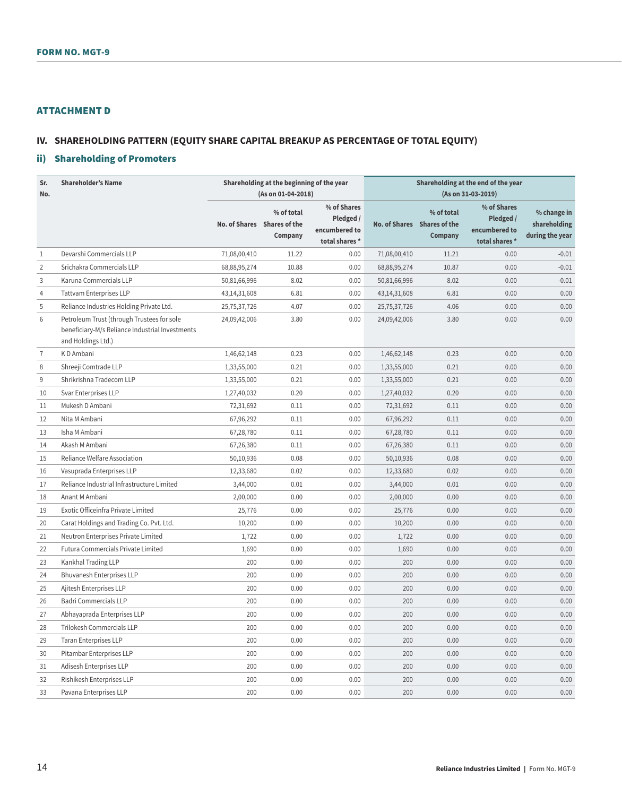# ATTACHMENT D

# **IV. SHAREHOLDING PATTERN (EQUITY SHARE CAPITAL BREAKUP AS PERCENTAGE OF TOTAL EQUITY)**

# ii) Shareholding of Promoters

| Sr.            | <b>Shareholder's Name</b>                                                                                           |                 | Shareholding at the beginning of the year            |                                                             | Shareholding at the end of the year |                                                      |                                                             |                                                |
|----------------|---------------------------------------------------------------------------------------------------------------------|-----------------|------------------------------------------------------|-------------------------------------------------------------|-------------------------------------|------------------------------------------------------|-------------------------------------------------------------|------------------------------------------------|
| No.            |                                                                                                                     |                 | (As on 01-04-2018)                                   |                                                             |                                     |                                                      | (As on 31-03-2019)                                          |                                                |
|                |                                                                                                                     |                 | % of total<br>No. of Shares Shares of the<br>Company | % of Shares<br>Pledged /<br>encumbered to<br>total shares * |                                     | % of total<br>No. of Shares Shares of the<br>Company | % of Shares<br>Pledged /<br>encumbered to<br>total shares * | % change in<br>shareholding<br>during the year |
| 1              | Devarshi Commercials LLP                                                                                            | 71,08,00,410    | 11.22                                                | 0.00                                                        | 71,08,00,410                        | 11.21                                                | 0.00                                                        | $-0.01$                                        |
| $\overline{2}$ | Srichakra Commercials LLP                                                                                           | 68,88,95,274    | 10.88                                                | 0.00                                                        | 68,88,95,274                        | 10.87                                                | 0.00                                                        | $-0.01$                                        |
| 3              | Karuna Commercials LLP                                                                                              | 50,81,66,996    | 8.02                                                 | 0.00                                                        | 50,81,66,996                        | 8.02                                                 | 0.00                                                        | $-0.01$                                        |
| 4              | <b>Tattvam Enterprises LLP</b>                                                                                      | 43, 14, 31, 608 | 6.81                                                 | 0.00                                                        | 43, 14, 31, 608                     | 6.81                                                 | 0.00                                                        | 0.00                                           |
| 5              | Reliance Industries Holding Private Ltd.                                                                            | 25, 75, 37, 726 | 4.07                                                 | 0.00                                                        | 25,75,37,726                        | 4.06                                                 | 0.00                                                        | 0.00                                           |
| 6              | Petroleum Trust (through Trustees for sole<br>beneficiary-M/s Reliance Industrial Investments<br>and Holdings Ltd.) | 24,09,42,006    | 3.80                                                 | 0.00                                                        | 24,09,42,006                        | 3.80                                                 | 0.00                                                        | 0.00                                           |
| $\overline{7}$ | KD Ambani                                                                                                           | 1,46,62,148     | 0.23                                                 | 0.00                                                        | 1,46,62,148                         | 0.23                                                 | 0.00                                                        | 0.00                                           |
| 8              | Shreeji Comtrade LLP                                                                                                | 1,33,55,000     | 0.21                                                 | 0.00                                                        | 1,33,55,000                         | 0.21                                                 | 0.00                                                        | 0.00                                           |
| 9              | Shrikrishna Tradecom LLP                                                                                            | 1,33,55,000     | 0.21                                                 | 0.00                                                        | 1,33,55,000                         | 0.21                                                 | 0.00                                                        | 0.00                                           |
| 10             | Svar Enterprises LLP                                                                                                | 1,27,40,032     | 0.20                                                 | 0.00                                                        | 1,27,40,032                         | 0.20                                                 | 0.00                                                        | 0.00                                           |
| 11             | Mukesh D Ambani                                                                                                     | 72,31,692       | 0.11                                                 | 0.00                                                        | 72,31,692                           | 0.11                                                 | 0.00                                                        | 0.00                                           |
| 12             | Nita M Ambani                                                                                                       | 67,96,292       | 0.11                                                 | 0.00                                                        | 67,96,292                           | 0.11                                                 | 0.00                                                        | 0.00                                           |
| 13             | Isha M Ambani                                                                                                       | 67,28,780       | 0.11                                                 | 0.00                                                        | 67,28,780                           | 0.11                                                 | 0.00                                                        | 0.00                                           |
| 14             | Akash M Ambani                                                                                                      | 67,26,380       | 0.11                                                 | 0.00                                                        | 67,26,380                           | 0.11                                                 | 0.00                                                        | 0.00                                           |
| 15             | Reliance Welfare Association                                                                                        | 50,10,936       | 0.08                                                 | 0.00                                                        | 50,10,936                           | 0.08                                                 | 0.00                                                        | 0.00                                           |
| 16             | Vasuprada Enterprises LLP                                                                                           | 12,33,680       | 0.02                                                 | 0.00                                                        | 12,33,680                           | 0.02                                                 | 0.00                                                        | 0.00                                           |
| 17             | Reliance Industrial Infrastructure Limited                                                                          | 3,44,000        | 0.01                                                 | 0.00                                                        | 3,44,000                            | 0.01                                                 | 0.00                                                        | 0.00                                           |
| 18             | Anant M Ambani                                                                                                      | 2,00,000        | 0.00                                                 | 0.00                                                        | 2,00,000                            | 0.00                                                 | 0.00                                                        | 0.00                                           |
| 19             | Exotic Officeinfra Private Limited                                                                                  | 25,776          | 0.00                                                 | 0.00                                                        | 25,776                              | 0.00                                                 | 0.00                                                        | 0.00                                           |
| 20             | Carat Holdings and Trading Co. Pvt. Ltd.                                                                            | 10,200          | 0.00                                                 | 0.00                                                        | 10,200                              | 0.00                                                 | 0.00                                                        | 0.00                                           |
| 21             | Neutron Enterprises Private Limited                                                                                 | 1,722           | 0.00                                                 | 0.00                                                        | 1,722                               | 0.00                                                 | 0.00                                                        | 0.00                                           |
| 22             | Futura Commercials Private Limited                                                                                  | 1,690           | 0.00                                                 | 0.00                                                        | 1,690                               | 0.00                                                 | 0.00                                                        | 0.00                                           |
| 23             | Kankhal Trading LLP                                                                                                 | 200             | 0.00                                                 | 0.00                                                        | 200                                 | 0.00                                                 | 0.00                                                        | 0.00                                           |
| 24             | Bhuvanesh Enterprises LLP                                                                                           | 200             | 0.00                                                 | 0.00                                                        | 200                                 | 0.00                                                 | 0.00                                                        | 0.00                                           |
| 25             | Ajitesh Enterprises LLP                                                                                             | 200             | 0.00                                                 | 0.00                                                        | 200                                 | 0.00                                                 | 0.00                                                        | 0.00                                           |
| 26             | <b>Badri Commercials LLP</b>                                                                                        | 200             | 0.00                                                 | 0.00                                                        | 200                                 | 0.00                                                 | 0.00                                                        | 0.00                                           |
| 27             | Abhayaprada Enterprises LLP                                                                                         | 200             | 0.00                                                 | 0.00                                                        | 200                                 | 0.00                                                 | 0.00                                                        | 0.00                                           |
| 28             | Trilokesh Commercials LLP                                                                                           | 200             | 0.00                                                 | 0.00                                                        | 200                                 | 0.00                                                 | 0.00                                                        | 0.00                                           |
| 29             | <b>Taran Enterprises LLP</b>                                                                                        | 200             | 0.00                                                 | 0.00                                                        | 200                                 | 0.00                                                 | 0.00                                                        | 0.00                                           |
| 30             | Pitambar Enterprises LLP                                                                                            | 200             | 0.00                                                 | 0.00                                                        | 200                                 | 0.00                                                 | 0.00                                                        | 0.00                                           |
| 31             | Adisesh Enterprises LLP                                                                                             | 200             | 0.00                                                 | 0.00                                                        | 200                                 | 0.00                                                 | 0.00                                                        | 0.00                                           |
| 32             | Rishikesh Enterprises LLP                                                                                           | 200             | 0.00                                                 | 0.00                                                        | 200                                 | 0.00                                                 | 0.00                                                        | 0.00                                           |
| 33             | Pavana Enterprises LLP                                                                                              | 200             | 0.00                                                 | 0.00                                                        | 200                                 | 0.00                                                 | 0.00                                                        | 0.00                                           |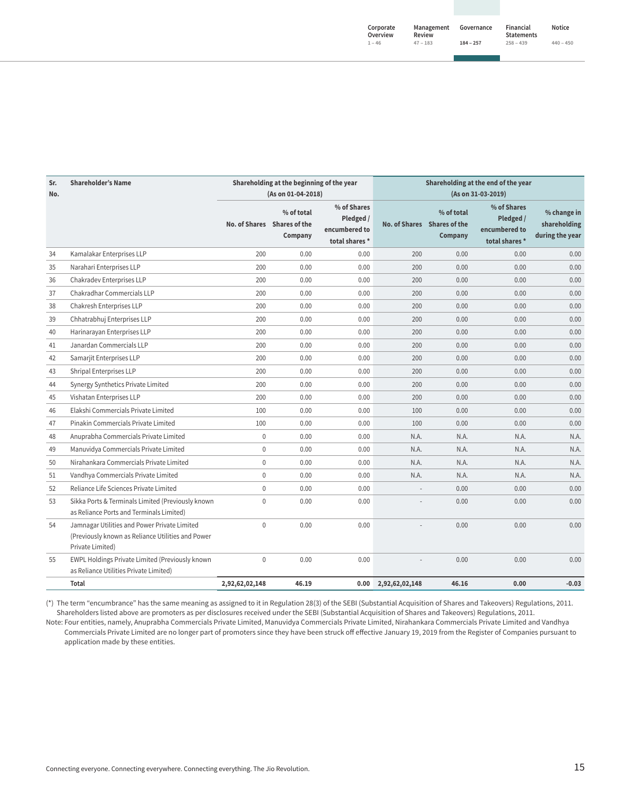| Corporate<br>Overview | Management<br>Review | Governance  | Financial<br><b>Statements</b> | Notice      |
|-----------------------|----------------------|-------------|--------------------------------|-------------|
| $1 - 46$              | $47 - 183$           | $184 - 257$ | $258 - 439$                    | $440 - 450$ |

| Sr.<br>No. | <b>Shareholder's Name</b>                                                                                             |                             | Shareholding at the beginning of the year<br>(As on 01-04-2018) |                                                             |                | Shareholding at the end of the year<br>(As on 31-03-2019) |                                                            |                                                |
|------------|-----------------------------------------------------------------------------------------------------------------------|-----------------------------|-----------------------------------------------------------------|-------------------------------------------------------------|----------------|-----------------------------------------------------------|------------------------------------------------------------|------------------------------------------------|
|            |                                                                                                                       | No. of Shares Shares of the | % of total<br>Company                                           | % of Shares<br>Pledged /<br>encumbered to<br>total shares * |                | % of total<br>No. of Shares Shares of the<br>Company      | % of Shares<br>Pledged /<br>encumbered to<br>total shares* | % change in<br>shareholding<br>during the year |
| 34         | Kamalakar Enterprises LLP                                                                                             | 200                         | 0.00                                                            | 0.00                                                        | 200            | 0.00                                                      | 0.00                                                       | 0.00                                           |
| 35         | Narahari Enterprises LLP                                                                                              | 200                         | 0.00                                                            | 0.00                                                        | 200            | 0.00                                                      | 0.00                                                       | 0.00                                           |
| 36         | Chakradev Enterprises LLP                                                                                             | 200                         | 0.00                                                            | 0.00                                                        | 200            | 0.00                                                      | 0.00                                                       | 0.00                                           |
| 37         | Chakradhar Commercials LLP                                                                                            | 200                         | 0.00                                                            | 0.00                                                        | 200            | 0.00                                                      | 0.00                                                       | 0.00                                           |
| 38         | Chakresh Enterprises LLP                                                                                              | 200                         | 0.00                                                            | 0.00                                                        | 200            | 0.00                                                      | 0.00                                                       | 0.00                                           |
| 39         | Chhatrabhuj Enterprises LLP                                                                                           | 200                         | 0.00                                                            | 0.00                                                        | 200            | 0.00                                                      | 0.00                                                       | 0.00                                           |
| 40         | Harinarayan Enterprises LLP                                                                                           | 200                         | 0.00                                                            | 0.00                                                        | 200            | 0.00                                                      | 0.00                                                       | 0.00                                           |
| 41         | Janardan Commercials LLP                                                                                              | 200                         | 0.00                                                            | 0.00                                                        | 200            | 0.00                                                      | 0.00                                                       | 0.00                                           |
| 42         | Samarjit Enterprises LLP                                                                                              | 200                         | 0.00                                                            | 0.00                                                        | 200            | 0.00                                                      | 0.00                                                       | 0.00                                           |
| 43         | Shripal Enterprises LLP                                                                                               | 200                         | 0.00                                                            | 0.00                                                        | 200            | 0.00                                                      | 0.00                                                       | 0.00                                           |
| 44         | Synergy Synthetics Private Limited                                                                                    | 200                         | 0.00                                                            | 0.00                                                        | 200            | 0.00                                                      | 0.00                                                       | 0.00                                           |
| 45         | Vishatan Enterprises LLP                                                                                              | 200                         | 0.00                                                            | 0.00                                                        | 200            | 0.00                                                      | 0.00                                                       | 0.00                                           |
| 46         | Elakshi Commercials Private Limited                                                                                   | 100                         | 0.00                                                            | 0.00                                                        | 100            | 0.00                                                      | 0.00                                                       | 0.00                                           |
| 47         | Pinakin Commercials Private Limited                                                                                   | 100                         | 0.00                                                            | 0.00                                                        | 100            | 0.00                                                      | 0.00                                                       | 0.00                                           |
| 48         | Anuprabha Commercials Private Limited                                                                                 | $\mathbb O$                 | 0.00                                                            | 0.00                                                        | N.A.           | N.A.                                                      | N.A.                                                       | N.A.                                           |
| 49         | Manuvidya Commercials Private Limited                                                                                 | $\mathbf{0}$                | 0.00                                                            | 0.00                                                        | N.A.           | N.A.                                                      | N.A.                                                       | N.A.                                           |
| 50         | Nirahankara Commercials Private Limited                                                                               | $\mathbb O$                 | 0.00                                                            | 0.00                                                        | N.A.           | N.A.                                                      | N.A.                                                       | N.A.                                           |
| 51         | Vandhya Commercials Private Limited                                                                                   | $\mathbf{0}$                | 0.00                                                            | 0.00                                                        | N.A.           | N.A.                                                      | N.A.                                                       | N.A.                                           |
| 52         | Reliance Life Sciences Private Limited                                                                                | $\mathbf{0}$                | 0.00                                                            | 0.00                                                        |                | 0.00                                                      | 0.00                                                       | 0.00                                           |
| 53         | Sikka Ports & Terminals Limited (Previously known<br>as Reliance Ports and Terminals Limited)                         | $\mathsf{0}$                | 0.00                                                            | 0.00                                                        |                | 0.00                                                      | 0.00                                                       | 0.00                                           |
| 54         | Jamnagar Utilities and Power Private Limited<br>(Previously known as Reliance Utilities and Power<br>Private Limited) | $\mathbb O$                 | 0.00                                                            | 0.00                                                        |                | 0.00                                                      | 0.00                                                       | 0.00                                           |
| 55         | EWPL Holdings Private Limited (Previously known<br>as Reliance Utilities Private Limited)                             | $\mathsf{0}$                | 0.00                                                            | 0.00                                                        |                | 0.00                                                      | 0.00                                                       | 0.00                                           |
|            | Total                                                                                                                 | 2,92,62,02,148              | 46.19                                                           | 0.00                                                        | 2,92,62,02,148 | 46.16                                                     | 0.00                                                       | $-0.03$                                        |

(\*) The term "encumbrance" has the same meaning as assigned to it in Regulation 28(3) of the SEBI (Substantial Acquisition of Shares and Takeovers) Regulations, 2011. Shareholders listed above are promoters as per disclosures received under the SEBI (Substantial Acquisition of Shares and Takeovers) Regulations, 2011.

Note: Four entities, namely, Anuprabha Commercials Private Limited, Manuvidya Commercials Private Limited, Nirahankara Commercials Private Limited and Vandhya Commercials Private Limited are no longer part of promoters since they have been struck off effective January 19, 2019 from the Register of Companies pursuant to application made by these entities.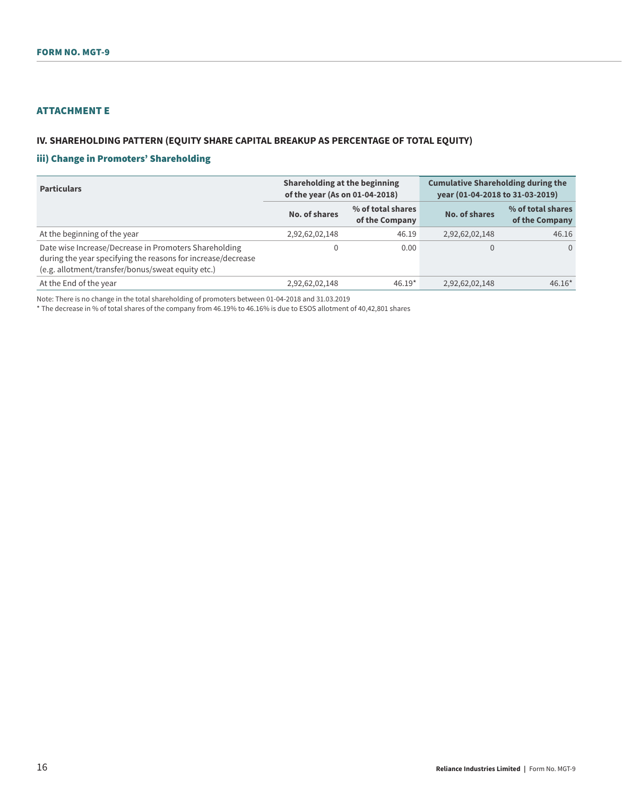# ATTACHMENT E

### **IV. SHAREHOLDING PATTERN (EQUITY SHARE CAPITAL BREAKUP AS PERCENTAGE OF TOTAL EQUITY)**

### iii) Change in Promoters' Shareholding

| <b>Particulars</b>                                                                                                                                                         | Shareholding at the beginning<br>of the year (As on 01-04-2018) |                                     | <b>Cumulative Shareholding during the</b><br>year (01-04-2018 to 31-03-2019) |                                     |  |
|----------------------------------------------------------------------------------------------------------------------------------------------------------------------------|-----------------------------------------------------------------|-------------------------------------|------------------------------------------------------------------------------|-------------------------------------|--|
|                                                                                                                                                                            | No. of shares                                                   | % of total shares<br>of the Company | No. of shares                                                                | % of total shares<br>of the Company |  |
| At the beginning of the year                                                                                                                                               | 2,92,62,02,148                                                  | 46.19                               | 2,92,62,02,148                                                               | 46.16                               |  |
| Date wise Increase/Decrease in Promoters Shareholding<br>during the year specifying the reasons for increase/decrease<br>(e.g. allotment/transfer/bonus/sweat equity etc.) |                                                                 | 0.00                                | $\Omega$                                                                     | $\Omega$                            |  |
| At the End of the year                                                                                                                                                     | 2,92,62,02,148                                                  | $46.19*$                            | 2,92,62,02,148                                                               | $46.16*$                            |  |

Note: There is no change in the total shareholding of promoters between 01-04-2018 and 31.03.2019

\* The decrease in % of total shares of the company from 46.19% to 46.16% is due to ESOS allotment of 40,42,801 shares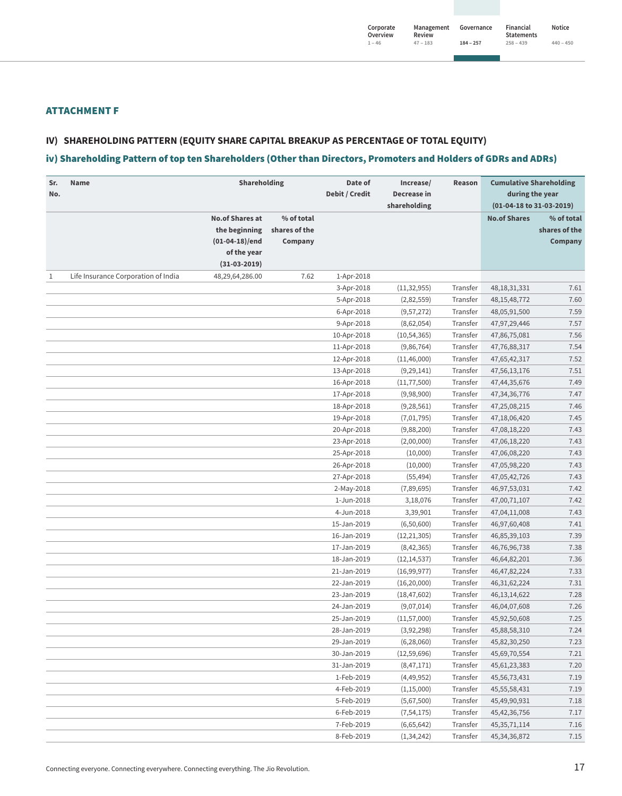## ATTACHMENT F

### **IV) SHAREHOLDING PATTERN (EQUITY SHARE CAPITAL BREAKUP AS PERCENTAGE OF TOTAL EQUITY)**

### iv) Shareholding Pattern of top ten Shareholders (Other than Directors, Promoters and Holders of GDRs and ADRs)

| Sr.<br>No. | Name                                | Shareholding           |               | Date of<br>Debit / Credit  | Increase/<br>Decrease in    | Reason               | <b>Cumulative Shareholding</b><br>during the year |               |
|------------|-------------------------------------|------------------------|---------------|----------------------------|-----------------------------|----------------------|---------------------------------------------------|---------------|
|            |                                     |                        |               |                            | shareholding                |                      | (01-04-18 to 31-03-2019)                          |               |
|            |                                     | <b>No.of Shares at</b> | % of total    |                            |                             |                      | <b>No.of Shares</b>                               | % of total    |
|            |                                     | the beginning          | shares of the |                            |                             |                      |                                                   | shares of the |
|            |                                     | $(01-04-18)/end$       | Company       |                            |                             |                      |                                                   | Company       |
|            |                                     | of the year            |               |                            |                             |                      |                                                   |               |
|            |                                     | $(31-03-2019)$         |               |                            |                             |                      |                                                   |               |
| 1          | Life Insurance Corporation of India | 48,29,64,286.00        | 7.62          | 1-Apr-2018                 |                             |                      |                                                   |               |
|            |                                     |                        |               | 3-Apr-2018                 | (11, 32, 955)               | Transfer             | 48, 18, 31, 331                                   | 7.61          |
|            |                                     |                        |               | 5-Apr-2018                 | (2,82,559)                  | Transfer             | 48, 15, 48, 772                                   | 7.60          |
|            |                                     |                        |               | 6-Apr-2018                 | (9, 57, 272)                | Transfer             | 48,05,91,500                                      | 7.59          |
|            |                                     |                        |               | 9-Apr-2018                 | (8,62,054)                  | Transfer             | 47,97,29,446                                      | 7.57          |
|            |                                     |                        |               | 10-Apr-2018                | (10, 54, 365)               | Transfer             | 47,86,75,081                                      | 7.56          |
|            |                                     |                        |               | 11-Apr-2018                | (9,86,764)                  | Transfer             | 47,76,88,317                                      | 7.54          |
|            |                                     |                        |               | 12-Apr-2018                | (11, 46, 000)               | Transfer             | 47,65,42,317                                      | 7.52          |
|            |                                     |                        |               | 13-Apr-2018                | (9, 29, 141)                | Transfer             | 47,56,13,176                                      | 7.51<br>7.49  |
|            |                                     |                        |               | 16-Apr-2018<br>17-Apr-2018 | (11, 77, 500)<br>(9,98,900) | Transfer<br>Transfer | 47,44,35,676                                      | 7.47          |
|            |                                     |                        |               | 18-Apr-2018                | (9, 28, 561)                | Transfer             | 47, 34, 36, 776<br>47,25,08,215                   | 7.46          |
|            |                                     |                        |               | 19-Apr-2018                | (7,01,795)                  | Transfer             | 47,18,06,420                                      | 7.45          |
|            |                                     |                        |               | 20-Apr-2018                | (9,88,200)                  | Transfer             | 47,08,18,220                                      | 7.43          |
|            |                                     |                        |               | 23-Apr-2018                | (2,00,000)                  | Transfer             | 47,06,18,220                                      | 7.43          |
|            |                                     |                        |               | 25-Apr-2018                | (10,000)                    | Transfer             | 47,06,08,220                                      | 7.43          |
|            |                                     |                        |               | 26-Apr-2018                | (10,000)                    | Transfer             | 47,05,98,220                                      | 7.43          |
|            |                                     |                        |               | 27-Apr-2018                | (55, 494)                   | Transfer             | 47,05,42,726                                      | 7.43          |
|            |                                     |                        |               | 2-May-2018                 | (7,89,695)                  | Transfer             | 46,97,53,031                                      | 7.42          |
|            |                                     |                        |               | 1-Jun-2018                 | 3,18,076                    | Transfer             | 47,00,71,107                                      | 7.42          |
|            |                                     |                        |               | 4-Jun-2018                 | 3,39,901                    | Transfer             | 47,04,11,008                                      | 7.43          |
|            |                                     |                        |               | 15-Jan-2019                | (6,50,600)                  | Transfer             | 46,97,60,408                                      | 7.41          |
|            |                                     |                        |               | 16-Jan-2019                | (12, 21, 305)               | Transfer             | 46,85,39,103                                      | 7.39          |
|            |                                     |                        |               | 17-Jan-2019                | (8,42,365)                  | Transfer             | 46,76,96,738                                      | 7.38          |
|            |                                     |                        |               | 18-Jan-2019                | (12, 14, 537)               | Transfer             | 46,64,82,201                                      | 7.36          |
|            |                                     |                        |               | 21-Jan-2019                | (16,99,977)                 | Transfer             | 46, 47, 82, 224                                   | 7.33          |
|            |                                     |                        |               | 22-Jan-2019                | (16, 20, 000)               | Transfer             | 46, 31, 62, 224                                   | 7.31          |
|            |                                     |                        |               | 23-Jan-2019                | (18, 47, 602)               | Transfer             | 46, 13, 14, 622                                   | 7.28          |
|            |                                     |                        |               | 24-Jan-2019                | (9,07,014)                  | Transfer             | 46,04,07,608                                      | 7.26          |
|            |                                     |                        |               | 25-Jan-2019                | (11, 57, 000)               | Transfer             | 45,92,50,608                                      | 7.25          |
|            |                                     |                        |               | 28-Jan-2019                | (3,92,298)                  | Transfer             | 45,88,58,310                                      | 7.24          |
|            |                                     |                        |               | 29-Jan-2019                | (6, 28, 060)                | Transfer             | 45,82,30,250                                      | 7.23          |
|            |                                     |                        |               | 30-Jan-2019                | (12, 59, 696)               | Transfer             | 45,69,70,554                                      | 7.21          |
|            |                                     |                        |               | 31-Jan-2019                | (8,47,171)                  | Transfer             | 45, 61, 23, 383                                   | 7.20          |
|            |                                     |                        |               | 1-Feb-2019                 | (4,49,952)                  | Transfer             | 45,56,73,431                                      | 7.19          |
|            |                                     |                        |               | 4-Feb-2019                 | (1, 15, 000)                | Transfer             | 45,55,58,431                                      | 7.19          |
|            |                                     |                        |               | 5-Feb-2019                 | (5,67,500)                  | Transfer             | 45,49,90,931                                      | 7.18          |
|            |                                     |                        |               | 6-Feb-2019                 | (7, 54, 175)                | Transfer             | 45, 42, 36, 756                                   | 7.17          |
|            |                                     |                        |               | 7-Feb-2019                 | (6,65,642)                  | Transfer             | 45, 35, 71, 114                                   | 7.16          |
|            |                                     |                        |               | 8-Feb-2019                 | (1, 34, 242)                | Transfer             | 45, 34, 36, 872                                   | 7.15          |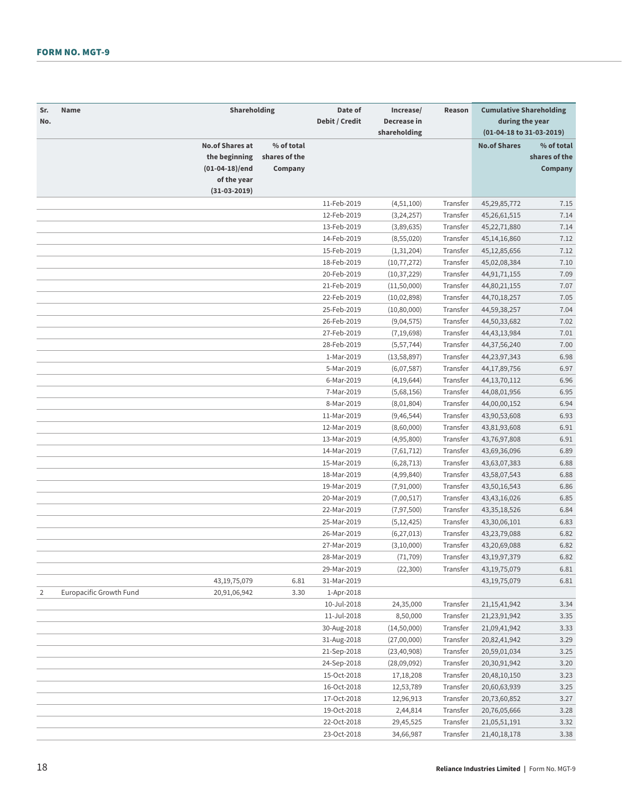| Shareholding<br>Date of<br>Sr.<br>Name<br>Increase/<br>Debit / Credit<br>Decrease in<br>No.<br>shareholding        | Reason   | <b>Cumulative Shareholding</b><br>during the year<br>(01-04-18 to 31-03-2019) |                                        |  |
|--------------------------------------------------------------------------------------------------------------------|----------|-------------------------------------------------------------------------------|----------------------------------------|--|
| <b>No.of Shares at</b><br>% of total<br>shares of the<br>the beginning<br>(01-04-18)/end<br>Company<br>of the year |          | <b>No.of Shares</b>                                                           | % of total<br>shares of the<br>Company |  |
| $(31-03-2019)$                                                                                                     |          |                                                                               |                                        |  |
| 11-Feb-2019<br>(4,51,100)                                                                                          | Transfer | 45,29,85,772                                                                  | 7.15                                   |  |
| 12-Feb-2019<br>(3, 24, 257)                                                                                        | Transfer | 45,26,61,515                                                                  | 7.14                                   |  |
| 13-Feb-2019<br>(3,89,635)                                                                                          | Transfer | 45,22,71,880                                                                  | 7.14                                   |  |
| 14-Feb-2019<br>(8, 55, 020)                                                                                        | Transfer | 45, 14, 16, 860                                                               | 7.12                                   |  |
| 15-Feb-2019<br>(1,31,204)                                                                                          | Transfer | 45, 12, 85, 656                                                               | 7.12                                   |  |
| 18-Feb-2019<br>(10, 77, 272)                                                                                       | Transfer | 45,02,08,384                                                                  | 7.10                                   |  |
| 20-Feb-2019<br>(10, 37, 229)                                                                                       | Transfer | 44, 91, 71, 155                                                               | 7.09                                   |  |
| 21-Feb-2019<br>(11,50,000)                                                                                         | Transfer | 44,80,21,155                                                                  | 7.07                                   |  |
| 22-Feb-2019<br>(10, 02, 898)                                                                                       | Transfer | 44,70,18,257                                                                  | 7.05                                   |  |
| 25-Feb-2019<br>(10, 80, 000)                                                                                       | Transfer | 44,59,38,257                                                                  | 7.04                                   |  |
| 26-Feb-2019<br>(9,04,575)                                                                                          | Transfer | 44,50,33,682                                                                  | 7.02                                   |  |
| 27-Feb-2019<br>(7, 19, 698)                                                                                        | Transfer | 44, 43, 13, 984                                                               | 7.01                                   |  |
| 28-Feb-2019<br>(5, 57, 744)                                                                                        | Transfer | 44,37,56,240                                                                  | 7.00                                   |  |
| 1-Mar-2019<br>(13,58,897)                                                                                          | Transfer | 44,23,97,343                                                                  | 6.98                                   |  |
| 5-Mar-2019<br>(6,07,587)                                                                                           | Transfer | 44,17,89,756                                                                  | 6.97                                   |  |
| 6-Mar-2019<br>(4, 19, 644)                                                                                         | Transfer | 44, 13, 70, 112                                                               | 6.96                                   |  |
| 7-Mar-2019<br>(5,68,156)                                                                                           | Transfer | 44,08,01,956                                                                  | 6.95                                   |  |
| 8-Mar-2019<br>(8,01,804)                                                                                           | Transfer | 44,00,00,152                                                                  | 6.94                                   |  |
| 11-Mar-2019<br>(9, 46, 544)                                                                                        | Transfer | 43,90,53,608                                                                  | 6.93                                   |  |
| 12-Mar-2019<br>(8,60,000)                                                                                          | Transfer | 43,81,93,608                                                                  | 6.91                                   |  |
| 13-Mar-2019<br>(4,95,800)                                                                                          | Transfer | 43,76,97,808                                                                  | 6.91                                   |  |
| 14-Mar-2019<br>(7,61,712)                                                                                          | Transfer | 43,69,36,096                                                                  | 6.89                                   |  |
| 15-Mar-2019<br>(6, 28, 713)                                                                                        | Transfer | 43,63,07,383                                                                  | 6.88                                   |  |
| 18-Mar-2019<br>(4,99,840)                                                                                          | Transfer | 43,58,07,543                                                                  | 6.88                                   |  |
| 19-Mar-2019<br>(7, 91, 000)                                                                                        | Transfer | 43,50,16,543                                                                  | 6.86                                   |  |
| 20-Mar-2019<br>(7,00,517)                                                                                          | Transfer | 43, 43, 16, 026                                                               | 6.85                                   |  |
| 22-Mar-2019<br>(7, 97, 500)                                                                                        | Transfer | 43, 35, 18, 526                                                               | 6.84                                   |  |
| 25-Mar-2019<br>(5, 12, 425)                                                                                        | Transfer | 43,30,06,101                                                                  | 6.83                                   |  |
| 26-Mar-2019<br>(6, 27, 013)                                                                                        | Transfer | 43,23,79,088                                                                  | 6.82                                   |  |
| 27-Mar-2019<br>(3, 10, 000)                                                                                        | Transfer | 43,20,69,088                                                                  | 6.82                                   |  |
| 28-Mar-2019<br>(71, 709)                                                                                           | Transfer | 43, 19, 97, 379                                                               | 6.82                                   |  |
| 29-Mar-2019<br>(22, 300)                                                                                           | Transfer | 43, 19, 75, 079                                                               | 6.81                                   |  |
| 6.81<br>31-Mar-2019<br>43, 19, 75, 079                                                                             |          | 43, 19, 75, 079                                                               | 6.81                                   |  |
| Europacific Growth Fund<br>3.30<br>1-Apr-2018<br>2<br>20,91,06,942                                                 |          |                                                                               |                                        |  |
| 10-Jul-2018<br>24,35,000                                                                                           | Transfer | 21, 15, 41, 942                                                               | 3.34                                   |  |
| 11-Jul-2018<br>8,50,000                                                                                            | Transfer | 21,23,91,942                                                                  | 3.35                                   |  |
| 30-Aug-2018<br>(14,50,000)                                                                                         | Transfer | 21,09,41,942                                                                  | 3.33                                   |  |
| 31-Aug-2018<br>(27,00,000)                                                                                         | Transfer | 20,82,41,942                                                                  | 3.29                                   |  |
| 21-Sep-2018<br>(23, 40, 908)                                                                                       | Transfer | 20,59,01,034                                                                  | 3.25                                   |  |
| 24-Sep-2018<br>(28,09,092)                                                                                         | Transfer | 20,30,91,942                                                                  | 3.20                                   |  |
| 15-Oct-2018<br>17,18,208                                                                                           | Transfer | 20,48,10,150                                                                  | 3.23                                   |  |
| 16-Oct-2018<br>12,53,789                                                                                           | Transfer | 20,60,63,939                                                                  | 3.25                                   |  |
| 17-Oct-2018<br>12,96,913                                                                                           | Transfer | 20,73,60,852                                                                  | 3.27                                   |  |
| 19-Oct-2018<br>2,44,814                                                                                            | Transfer | 20,76,05,666                                                                  | 3.28                                   |  |
| 22-Oct-2018<br>29,45,525                                                                                           | Transfer | 21,05,51,191                                                                  | 3.32                                   |  |
| 23-Oct-2018<br>34,66,987                                                                                           | Transfer | 21,40,18,178                                                                  | 3.38                                   |  |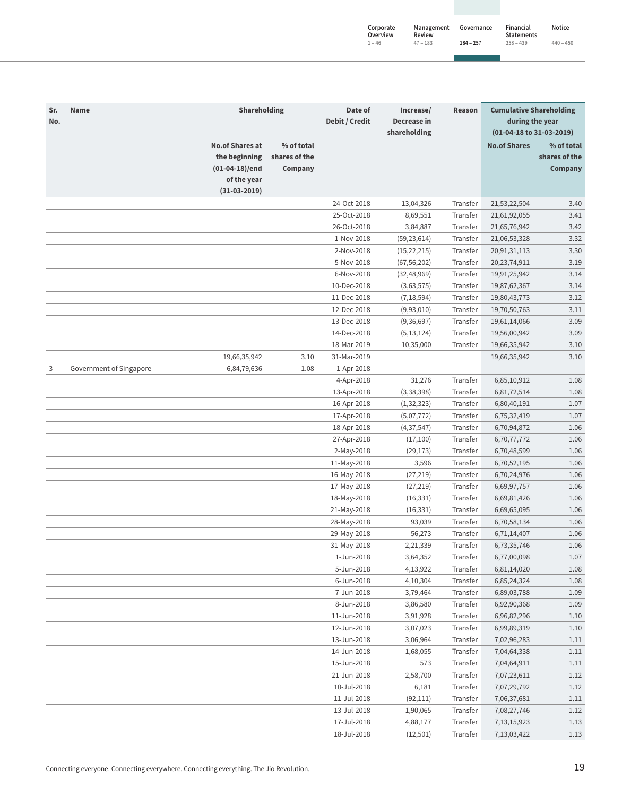| Corporate<br>Overview | Management<br>Review | Governance  | Financial<br><b>Statements</b> | Notice      |
|-----------------------|----------------------|-------------|--------------------------------|-------------|
| $1 - 46$              | $47 - 183$           | $184 - 257$ | $258 - 439$                    | $440 - 450$ |

| Sr.<br>No. | <b>Name</b>             | Shareholding                                                                                 |                                        | Date of<br>Debit / Credit | Increase/<br>Decrease in<br>shareholding | Reason   | <b>Cumulative Shareholding</b><br>during the year<br>(01-04-18 to 31-03-2019) |                                        |
|------------|-------------------------|----------------------------------------------------------------------------------------------|----------------------------------------|---------------------------|------------------------------------------|----------|-------------------------------------------------------------------------------|----------------------------------------|
|            |                         | <b>No.of Shares at</b><br>the beginning<br>$(01-04-18)/end$<br>of the year<br>$(31-03-2019)$ | % of total<br>shares of the<br>Company |                           |                                          |          | <b>No.of Shares</b>                                                           | % of total<br>shares of the<br>Company |
|            |                         |                                                                                              |                                        | 24-Oct-2018               | 13,04,326                                | Transfer | 21,53,22,504                                                                  | 3.40                                   |
|            |                         |                                                                                              |                                        | 25-Oct-2018               | 8,69,551                                 | Transfer | 21,61,92,055                                                                  | 3.41                                   |
|            |                         |                                                                                              |                                        | 26-Oct-2018               | 3,84,887                                 | Transfer | 21,65,76,942                                                                  | 3.42                                   |
|            |                         |                                                                                              |                                        | 1-Nov-2018                | (59, 23, 614)                            | Transfer | 21,06,53,328                                                                  | 3.32                                   |
|            |                         |                                                                                              |                                        | 2-Nov-2018                | (15, 22, 215)                            | Transfer | 20,91,31,113                                                                  | 3.30                                   |
|            |                         |                                                                                              |                                        | 5-Nov-2018                | (67, 56, 202)                            | Transfer | 20, 23, 74, 911                                                               | 3.19                                   |
|            |                         |                                                                                              |                                        | 6-Nov-2018                | (32, 48, 969)                            | Transfer | 19,91,25,942                                                                  | 3.14                                   |
|            |                         |                                                                                              |                                        | 10-Dec-2018               | (3,63,575)                               | Transfer | 19,87,62,367                                                                  | 3.14                                   |
|            |                         |                                                                                              |                                        | 11-Dec-2018               | (7, 18, 594)                             | Transfer | 19,80,43,773                                                                  | 3.12                                   |
|            |                         |                                                                                              |                                        | 12-Dec-2018               | (9,93,010)                               | Transfer | 19,70,50,763                                                                  | 3.11                                   |
|            |                         |                                                                                              |                                        | 13-Dec-2018               |                                          | Transfer | 19,61,14,066                                                                  | 3.09                                   |
|            |                         |                                                                                              |                                        | 14-Dec-2018               | (9, 36, 697)<br>(5, 13, 124)             | Transfer | 19,56,00,942                                                                  | 3.09                                   |
|            |                         |                                                                                              |                                        | 18-Mar-2019               | 10,35,000                                | Transfer | 19,66,35,942                                                                  | 3.10                                   |
|            |                         | 19,66,35,942                                                                                 | 3.10                                   | 31-Mar-2019               |                                          |          | 19,66,35,942                                                                  | 3.10                                   |
|            | Government of Singapore |                                                                                              | 1.08                                   |                           |                                          |          |                                                                               |                                        |
| 3          |                         | 6,84,79,636                                                                                  |                                        | 1-Apr-2018<br>4-Apr-2018  | 31,276                                   | Transfer |                                                                               | 1.08                                   |
|            |                         |                                                                                              |                                        |                           |                                          | Transfer | 6,85,10,912<br>6,81,72,514                                                    | 1.08                                   |
|            |                         |                                                                                              |                                        | 13-Apr-2018               | (3,38,398)                               |          |                                                                               |                                        |
|            |                         |                                                                                              |                                        | 16-Apr-2018               | (1, 32, 323)                             | Transfer | 6,80,40,191                                                                   | 1.07                                   |
|            |                         |                                                                                              |                                        | 17-Apr-2018               | (5,07,772)                               | Transfer | 6,75,32,419                                                                   | 1.07                                   |
|            |                         |                                                                                              |                                        | 18-Apr-2018               | (4, 37, 547)                             | Transfer | 6,70,94,872                                                                   | 1.06                                   |
|            |                         |                                                                                              |                                        | 27-Apr-2018               | (17,100)                                 | Transfer | 6,70,77,772                                                                   | 1.06                                   |
|            |                         |                                                                                              |                                        | 2-May-2018                | (29, 173)                                | Transfer | 6,70,48,599                                                                   | 1.06                                   |
|            |                         |                                                                                              |                                        | 11-May-2018               | 3,596                                    | Transfer | 6,70,52,195                                                                   | 1.06                                   |
|            |                         |                                                                                              |                                        | 16-May-2018               | (27, 219)                                | Transfer | 6,70,24,976                                                                   | 1.06                                   |
|            |                         |                                                                                              |                                        | 17-May-2018               | (27, 219)                                | Transfer | 6,69,97,757                                                                   | 1.06                                   |
|            |                         |                                                                                              |                                        | 18-May-2018               | (16, 331)                                | Transfer | 6,69,81,426                                                                   | 1.06                                   |
|            |                         |                                                                                              |                                        | 21-May-2018               | (16, 331)                                | Transfer | 6,69,65,095                                                                   | 1.06                                   |
|            |                         |                                                                                              |                                        | 28-May-2018               | 93,039                                   | Transfer | 6,70,58,134                                                                   | 1.06                                   |
|            |                         |                                                                                              |                                        | 29-May-2018               | 56,273                                   | Transfer | 6,71,14,407                                                                   | 1.06                                   |
|            |                         |                                                                                              |                                        | 31-May-2018               | 2,21,339                                 | Transfer | 6,73,35,746                                                                   | 1.06                                   |
|            |                         |                                                                                              |                                        | 1-Jun-2018                | 3,64,352                                 | Transfer | 6,77,00,098                                                                   | 1.07                                   |
|            |                         |                                                                                              |                                        | 5-Jun-2018                | 4,13,922                                 | Transfer | 6,81,14,020                                                                   | 1.08                                   |
|            |                         |                                                                                              |                                        | 6-Jun-2018                | 4,10,304                                 | Transfer | 6,85,24,324                                                                   | 1.08                                   |
|            |                         |                                                                                              |                                        | 7-Jun-2018                | 3,79,464                                 | Transfer | 6,89,03,788                                                                   | 1.09                                   |
|            |                         |                                                                                              |                                        | 8-Jun-2018                | 3,86,580                                 | Transfer | 6,92,90,368                                                                   | 1.09                                   |
|            |                         |                                                                                              |                                        | 11-Jun-2018               | 3,91,928                                 | Transfer | 6,96,82,296                                                                   | 1.10                                   |
|            |                         |                                                                                              |                                        | 12-Jun-2018               | 3,07,023                                 | Transfer | 6,99,89,319                                                                   | 1.10                                   |
|            |                         |                                                                                              |                                        | 13-Jun-2018               | 3,06,964                                 | Transfer | 7,02,96,283                                                                   | 1.11                                   |
|            |                         |                                                                                              |                                        | 14-Jun-2018               | 1,68,055                                 | Transfer | 7,04,64,338                                                                   | 1.11                                   |
|            |                         |                                                                                              |                                        | 15-Jun-2018               | 573                                      | Transfer | 7,04,64,911                                                                   | 1.11                                   |
|            |                         |                                                                                              |                                        | 21-Jun-2018               | 2,58,700                                 | Transfer | 7,07,23,611                                                                   | 1.12                                   |
|            |                         |                                                                                              |                                        | 10-Jul-2018               | 6,181                                    | Transfer | 7,07,29,792                                                                   | 1.12                                   |
|            |                         |                                                                                              |                                        | 11-Jul-2018               | (92, 111)                                | Transfer | 7,06,37,681                                                                   | 1.11                                   |
|            |                         |                                                                                              |                                        | 13-Jul-2018               | 1,90,065                                 | Transfer | 7,08,27,746                                                                   | 1.12                                   |
|            |                         |                                                                                              |                                        | 17-Jul-2018               | 4,88,177                                 | Transfer | 7, 13, 15, 923                                                                | 1.13                                   |
|            |                         |                                                                                              |                                        | 18-Jul-2018               | (12,501)                                 | Transfer | 7,13,03,422                                                                   | 1.13                                   |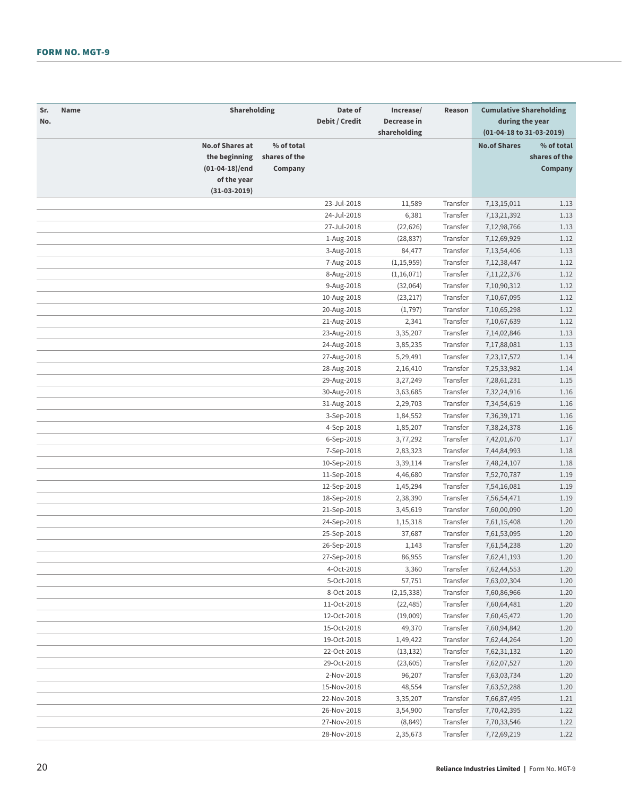| Sr.<br>No. | Name                                                      | Shareholding |                                        | Date of<br>Debit / Credit | Increase/<br>Decrease in<br>shareholding | Reason   | <b>Cumulative Shareholding</b><br>during the year<br>(01-04-18 to 31-03-2019) |                                        |
|------------|-----------------------------------------------------------|--------------|----------------------------------------|---------------------------|------------------------------------------|----------|-------------------------------------------------------------------------------|----------------------------------------|
|            | <b>No.of Shares at</b><br>the beginning<br>(01-04-18)/end | of the year  | % of total<br>shares of the<br>Company |                           |                                          |          | <b>No.of Shares</b>                                                           | % of total<br>shares of the<br>Company |
|            | $(31-03-2019)$                                            |              |                                        |                           |                                          |          |                                                                               |                                        |
|            |                                                           |              |                                        | 23-Jul-2018               | 11,589                                   | Transfer | 7,13,15,011                                                                   | 1.13                                   |
|            |                                                           |              |                                        | 24-Jul-2018               | 6,381                                    | Transfer | 7, 13, 21, 392                                                                | 1.13                                   |
|            |                                                           |              |                                        | 27-Jul-2018               | (22, 626)                                | Transfer | 7,12,98,766                                                                   | 1.13                                   |
|            |                                                           |              |                                        | 1-Aug-2018                | (28, 837)                                | Transfer | 7,12,69,929                                                                   | 1.12                                   |
|            |                                                           |              |                                        | 3-Aug-2018                | 84,477                                   | Transfer | 7,13,54,406                                                                   | 1.13                                   |
|            |                                                           |              |                                        | 7-Aug-2018                | (1, 15, 959)                             | Transfer | 7, 12, 38, 447                                                                | 1.12                                   |
|            |                                                           |              |                                        | 8-Aug-2018                | (1,16,071)                               | Transfer | 7, 11, 22, 376                                                                | 1.12                                   |
|            |                                                           |              |                                        | 9-Aug-2018                | (32,064)                                 | Transfer | 7,10,90,312                                                                   | 1.12                                   |
|            |                                                           |              |                                        | 10-Aug-2018               | (23, 217)                                | Transfer | 7,10,67,095                                                                   | 1.12                                   |
|            |                                                           |              |                                        | 20-Aug-2018               | (1, 797)                                 | Transfer | 7,10,65,298                                                                   | 1.12                                   |
|            |                                                           |              |                                        | 21-Aug-2018               | 2,341                                    | Transfer | 7,10,67,639                                                                   | 1.12                                   |
|            |                                                           |              |                                        | 23-Aug-2018               | 3,35,207                                 | Transfer | 7,14,02,846                                                                   | 1.13                                   |
|            |                                                           |              |                                        | 24-Aug-2018               | 3,85,235                                 | Transfer | 7,17,88,081                                                                   | 1.13                                   |
|            |                                                           |              |                                        | 27-Aug-2018               | 5,29,491                                 | Transfer | 7,23,17,572                                                                   | 1.14                                   |
|            |                                                           |              |                                        | 28-Aug-2018               | 2,16,410                                 | Transfer | 7,25,33,982                                                                   | 1.14                                   |
|            |                                                           |              |                                        | 29-Aug-2018               | 3,27,249                                 | Transfer | 7,28,61,231                                                                   | 1.15                                   |
|            |                                                           |              |                                        | 30-Aug-2018               | 3,63,685                                 | Transfer | 7,32,24,916                                                                   | 1.16                                   |
|            |                                                           |              |                                        | 31-Aug-2018               | 2,29,703                                 | Transfer | 7,34,54,619                                                                   | 1.16                                   |
|            |                                                           |              |                                        | 3-Sep-2018                | 1,84,552                                 | Transfer | 7,36,39,171                                                                   | 1.16                                   |
|            |                                                           |              |                                        | 4-Sep-2018                | 1,85,207                                 | Transfer | 7,38,24,378                                                                   | 1.16                                   |
|            |                                                           |              |                                        | 6-Sep-2018                | 3,77,292                                 | Transfer | 7,42,01,670                                                                   | 1.17                                   |
|            |                                                           |              |                                        | 7-Sep-2018                | 2,83,323                                 | Transfer | 7,44,84,993                                                                   | 1.18                                   |
|            |                                                           |              |                                        | 10-Sep-2018               | 3,39,114                                 | Transfer | 7,48,24,107                                                                   | 1.18                                   |
|            |                                                           |              |                                        | 11-Sep-2018               | 4,46,680                                 | Transfer | 7,52,70,787                                                                   | 1.19                                   |
|            |                                                           |              |                                        | 12-Sep-2018               | 1,45,294                                 | Transfer | 7,54,16,081                                                                   | 1.19                                   |
|            |                                                           |              |                                        | 18-Sep-2018               | 2,38,390                                 | Transfer | 7,56,54,471                                                                   | 1.19                                   |
|            |                                                           |              |                                        | 21-Sep-2018               | 3,45,619                                 | Transfer | 7,60,00,090                                                                   | 1.20                                   |
|            |                                                           |              |                                        | 24-Sep-2018               | 1,15,318                                 | Transfer | 7,61,15,408                                                                   | 1.20                                   |
|            |                                                           |              |                                        | 25-Sep-2018               | 37,687                                   | Transfer | 7,61,53,095                                                                   | 1.20                                   |
|            |                                                           |              |                                        | 26-Sep-2018               | 1,143                                    | Transfer | 7,61,54,238                                                                   | 1.20                                   |
|            |                                                           |              |                                        | 27-Sep-2018               | 86,955                                   | Transfer | 7,62,41,193                                                                   | 1.20                                   |
|            |                                                           |              |                                        | 4-Oct-2018                | 3,360                                    | Transfer | 7,62,44,553                                                                   | 1.20                                   |
|            |                                                           |              |                                        | 5-Oct-2018                | 57,751                                   | Transfer | 7,63,02,304                                                                   | 1.20                                   |
|            |                                                           |              |                                        | 8-Oct-2018                | (2, 15, 338)                             | Transfer | 7,60,86,966                                                                   | 1.20                                   |
|            |                                                           |              |                                        | 11-Oct-2018               | (22, 485)                                | Transfer | 7,60,64,481                                                                   | 1.20                                   |
|            |                                                           |              |                                        | 12-Oct-2018               | (19,009)                                 | Transfer | 7,60,45,472                                                                   | 1.20                                   |
|            |                                                           |              |                                        | 15-Oct-2018               | 49,370                                   | Transfer | 7,60,94,842                                                                   | 1.20                                   |
|            |                                                           |              |                                        | 19-Oct-2018               | 1,49,422                                 | Transfer | 7,62,44,264                                                                   | 1.20                                   |
|            |                                                           |              |                                        | 22-Oct-2018               | (13, 132)                                | Transfer | 7,62,31,132                                                                   | 1.20                                   |
|            |                                                           |              |                                        | 29-Oct-2018               | (23,605)                                 | Transfer | 7,62,07,527                                                                   | 1.20                                   |
|            |                                                           |              |                                        | 2-Nov-2018                | 96,207                                   | Transfer | 7,63,03,734                                                                   | 1.20                                   |
|            |                                                           |              |                                        | 15-Nov-2018               | 48,554                                   | Transfer | 7,63,52,288                                                                   | 1.20                                   |
|            |                                                           |              |                                        | 22-Nov-2018               | 3,35,207                                 | Transfer | 7,66,87,495                                                                   | 1.21                                   |
|            |                                                           |              |                                        | 26-Nov-2018               | 3,54,900                                 | Transfer | 7,70,42,395                                                                   | 1.22                                   |
|            |                                                           |              |                                        | 27-Nov-2018               | (8,849)                                  | Transfer | 7,70,33,546                                                                   | 1.22                                   |
|            |                                                           |              |                                        | 28-Nov-2018               | 2,35,673                                 | Transfer | 7,72,69,219                                                                   | 1.22                                   |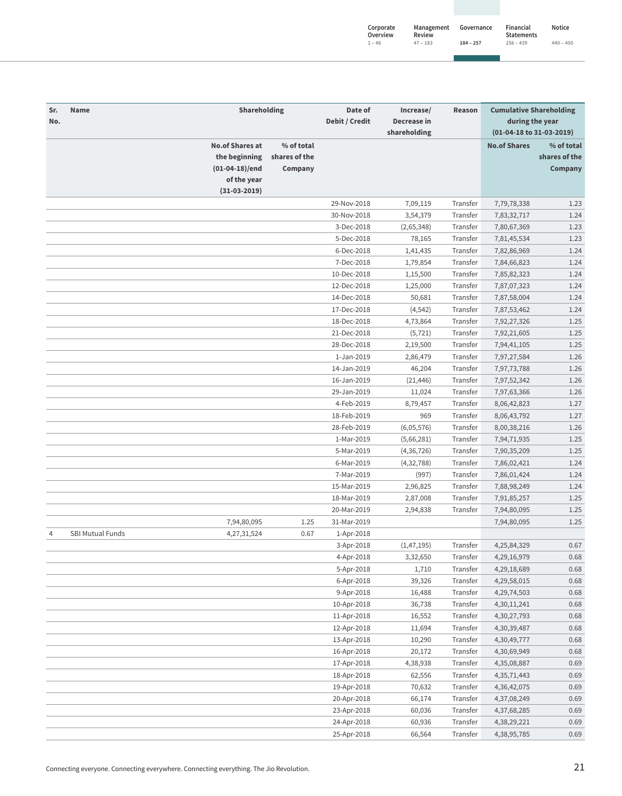| Corporate<br>Overview | Management<br>Review | Governance  | Financial<br><b>Statements</b> | Notice      |
|-----------------------|----------------------|-------------|--------------------------------|-------------|
| $1 - 46$              | $47 - 183$           | $184 - 257$ | $258 - 439$                    | $440 - 450$ |

| Sr.<br>No.     | <b>Name</b>             | Shareholding                                                               |                                        | Date of<br>Debit / Credit | Increase/<br>Decrease in<br>shareholding | Reason   | <b>Cumulative Shareholding</b><br>during the year<br>(01-04-18 to 31-03-2019) |                                        |
|----------------|-------------------------|----------------------------------------------------------------------------|----------------------------------------|---------------------------|------------------------------------------|----------|-------------------------------------------------------------------------------|----------------------------------------|
|                |                         | <b>No.of Shares at</b><br>the beginning<br>$(01-04-18)/end$<br>of the year | % of total<br>shares of the<br>Company |                           |                                          |          | <b>No.of Shares</b>                                                           | % of total<br>shares of the<br>Company |
|                |                         | $(31-03-2019)$                                                             |                                        |                           |                                          | Transfer |                                                                               |                                        |
|                |                         |                                                                            |                                        | 29-Nov-2018               | 7,09,119                                 |          | 7,79,78,338                                                                   | 1.23                                   |
|                |                         |                                                                            |                                        | 30-Nov-2018               | 3,54,379                                 | Transfer | 7,83,32,717                                                                   | 1.24                                   |
|                |                         |                                                                            |                                        | 3-Dec-2018                | (2,65,348)                               | Transfer | 7,80,67,369                                                                   | 1.23                                   |
|                |                         |                                                                            |                                        | 5-Dec-2018<br>6-Dec-2018  | 78,165                                   | Transfer | 7,81,45,534                                                                   | 1.23                                   |
|                |                         |                                                                            |                                        |                           | 1,41,435                                 | Transfer | 7,82,86,969                                                                   | 1.24                                   |
|                |                         |                                                                            |                                        | 7-Dec-2018                | 1,79,854                                 | Transfer | 7,84,66,823                                                                   | 1.24                                   |
|                |                         |                                                                            |                                        | 10-Dec-2018               | 1,15,500                                 | Transfer | 7,85,82,323                                                                   | 1.24                                   |
|                |                         |                                                                            |                                        | 12-Dec-2018               | 1,25,000                                 | Transfer | 7,87,07,323                                                                   | 1.24                                   |
|                |                         |                                                                            |                                        | 14-Dec-2018               | 50,681                                   | Transfer | 7,87,58,004                                                                   | 1.24                                   |
|                |                         |                                                                            |                                        | 17-Dec-2018               | (4, 542)                                 | Transfer | 7,87,53,462                                                                   | 1.24                                   |
|                |                         |                                                                            |                                        | 18-Dec-2018               | 4,73,864                                 | Transfer | 7,92,27,326                                                                   | 1.25                                   |
|                |                         |                                                                            |                                        | 21-Dec-2018               | (5, 721)                                 | Transfer | 7,92,21,605                                                                   | 1.25                                   |
|                |                         |                                                                            |                                        | 28-Dec-2018               | 2,19,500                                 | Transfer | 7,94,41,105                                                                   | 1.25                                   |
|                |                         |                                                                            |                                        | 1-Jan-2019                | 2,86,479                                 | Transfer | 7,97,27,584                                                                   | 1.26                                   |
|                |                         |                                                                            |                                        | 14-Jan-2019               | 46,204                                   | Transfer | 7,97,73,788                                                                   | 1.26                                   |
|                |                         |                                                                            |                                        | 16-Jan-2019               | (21, 446)                                | Transfer | 7,97,52,342                                                                   | 1.26                                   |
|                |                         |                                                                            |                                        | 29-Jan-2019               | 11,024                                   | Transfer | 7,97,63,366                                                                   | 1.26                                   |
|                |                         |                                                                            |                                        | 4-Feb-2019                | 8,79,457                                 | Transfer | 8,06,42,823                                                                   | 1.27                                   |
|                |                         |                                                                            |                                        | 18-Feb-2019               | 969                                      | Transfer | 8,06,43,792                                                                   | 1.27                                   |
|                |                         |                                                                            |                                        | 28-Feb-2019               | (6,05,576)                               | Transfer | 8,00,38,216                                                                   | 1.26                                   |
|                |                         |                                                                            |                                        | 1-Mar-2019                | (5,66,281)                               | Transfer | 7,94,71,935                                                                   | 1.25                                   |
|                |                         |                                                                            |                                        | 5-Mar-2019                | (4, 36, 726)                             | Transfer | 7,90,35,209                                                                   | 1.25                                   |
|                |                         |                                                                            |                                        | 6-Mar-2019                | (4, 32, 788)                             | Transfer | 7,86,02,421                                                                   | 1.24                                   |
|                |                         |                                                                            |                                        | 7-Mar-2019                | (997)                                    | Transfer | 7,86,01,424                                                                   | 1.24                                   |
|                |                         |                                                                            |                                        | 15-Mar-2019               | 2,96,825                                 | Transfer | 7,88,98,249                                                                   | 1.24                                   |
|                |                         |                                                                            |                                        | 18-Mar-2019               | 2,87,008                                 | Transfer | 7,91,85,257                                                                   | 1.25                                   |
|                |                         |                                                                            |                                        | 20-Mar-2019               | 2,94,838                                 | Transfer | 7,94,80,095                                                                   | 1.25                                   |
|                |                         | 7,94,80,095                                                                | 1.25                                   | 31-Mar-2019               |                                          |          | 7,94,80,095                                                                   | 1.25                                   |
| $\overline{4}$ | <b>SBI Mutual Funds</b> | 4,27,31,524                                                                | 0.67                                   | 1-Apr-2018                |                                          |          |                                                                               |                                        |
|                |                         |                                                                            |                                        | 3-Apr-2018                | (1,47,195)                               | Transfer | 4,25,84,329                                                                   | 0.67                                   |
|                |                         |                                                                            |                                        | 4-Apr-2018                | 3,32,650                                 | Transfer | 4,29,16,979                                                                   | 0.68                                   |
|                |                         |                                                                            |                                        | 5-Apr-2018                | 1,710                                    | Transfer | 4,29,18,689                                                                   | 0.68                                   |
|                |                         |                                                                            |                                        | 6-Apr-2018                | 39,326                                   | Transfer | 4,29,58,015                                                                   | 0.68                                   |
|                |                         |                                                                            |                                        | 9-Apr-2018                | 16,488                                   | Transfer | 4,29,74,503                                                                   | 0.68                                   |
|                |                         |                                                                            |                                        | 10-Apr-2018               | 36,738                                   | Transfer | 4,30,11,241                                                                   | 0.68                                   |
|                |                         |                                                                            |                                        | 11-Apr-2018               | 16,552                                   | Transfer | 4,30,27,793                                                                   | 0.68                                   |
|                |                         |                                                                            |                                        | 12-Apr-2018               | 11,694                                   | Transfer | 4,30,39,487                                                                   | 0.68                                   |
|                |                         |                                                                            |                                        | 13-Apr-2018               | 10,290                                   | Transfer | 4,30,49,777                                                                   | 0.68                                   |
|                |                         |                                                                            |                                        | 16-Apr-2018               | 20,172                                   | Transfer | 4,30,69,949                                                                   | 0.68                                   |
|                |                         |                                                                            |                                        | 17-Apr-2018               | 4,38,938                                 | Transfer | 4,35,08,887                                                                   | 0.69                                   |
|                |                         |                                                                            |                                        | 18-Apr-2018               | 62,556                                   | Transfer | 4, 35, 71, 443                                                                | 0.69                                   |
|                |                         |                                                                            |                                        | 19-Apr-2018               | 70,632                                   | Transfer | 4,36,42,075                                                                   | 0.69                                   |
|                |                         |                                                                            |                                        | 20-Apr-2018               | 66,174                                   | Transfer | 4,37,08,249                                                                   | 0.69                                   |
|                |                         |                                                                            |                                        | 23-Apr-2018               | 60,036                                   | Transfer | 4,37,68,285                                                                   | 0.69                                   |
|                |                         |                                                                            |                                        | 24-Apr-2018               | 60,936                                   | Transfer | 4,38,29,221                                                                   | 0.69                                   |
|                |                         |                                                                            |                                        | 25-Apr-2018               | 66,564                                   | Transfer | 4,38,95,785                                                                   | 0.69                                   |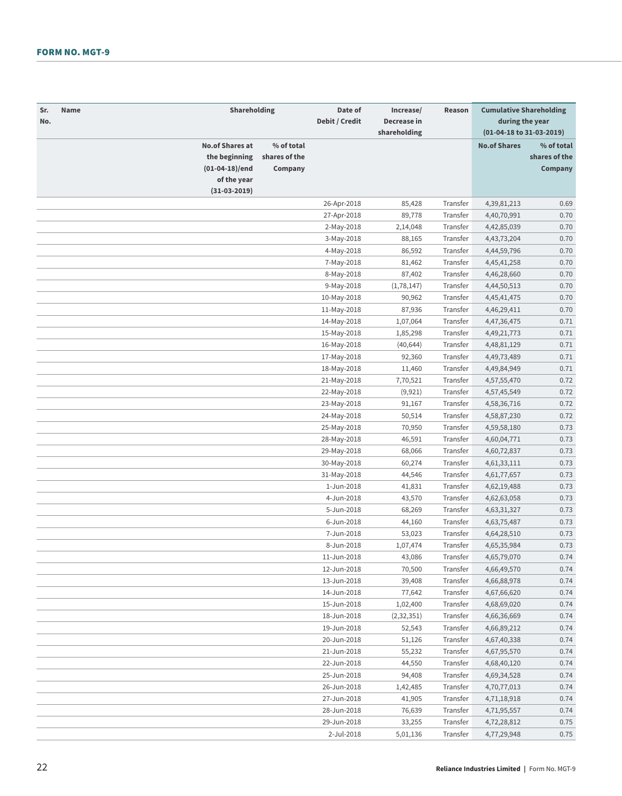| Sr.<br>No. | Name | Shareholding                                                             |                                        | Date of<br>Debit / Credit | Increase/<br>Decrease in<br>shareholding | Reason   | <b>Cumulative Shareholding</b><br>during the year<br>(01-04-18 to 31-03-2019) |                                        |
|------------|------|--------------------------------------------------------------------------|----------------------------------------|---------------------------|------------------------------------------|----------|-------------------------------------------------------------------------------|----------------------------------------|
|            |      | <b>No.of Shares at</b><br>the beginning<br>(01-04-18)/end<br>of the year | % of total<br>shares of the<br>Company |                           |                                          |          | <b>No.of Shares</b>                                                           | % of total<br>shares of the<br>Company |
|            |      | $(31-03-2019)$                                                           |                                        |                           |                                          |          |                                                                               |                                        |
|            |      |                                                                          |                                        | 26-Apr-2018               | 85,428                                   | Transfer | 4,39,81,213                                                                   | 0.69                                   |
|            |      |                                                                          |                                        | 27-Apr-2018               | 89,778                                   | Transfer | 4,40,70,991                                                                   | 0.70                                   |
|            |      |                                                                          |                                        | 2-May-2018                | 2,14,048                                 | Transfer | 4,42,85,039                                                                   | 0.70                                   |
|            |      |                                                                          |                                        | 3-May-2018                | 88,165                                   | Transfer | 4, 43, 73, 204                                                                | 0.70                                   |
|            |      |                                                                          |                                        | 4-May-2018                | 86,592                                   | Transfer | 4,44,59,796                                                                   | 0.70                                   |
|            |      |                                                                          |                                        | 7-May-2018                | 81,462                                   | Transfer | 4,45,41,258                                                                   | 0.70                                   |
|            |      |                                                                          |                                        | 8-May-2018                | 87,402                                   | Transfer | 4,46,28,660                                                                   | 0.70                                   |
|            |      |                                                                          |                                        | 9-May-2018                | (1,78,147)                               | Transfer | 4,44,50,513                                                                   | 0.70                                   |
|            |      |                                                                          |                                        | 10-May-2018               | 90,962                                   | Transfer | 4, 45, 41, 475                                                                | 0.70                                   |
|            |      |                                                                          |                                        | 11-May-2018               | 87,936                                   | Transfer | 4,46,29,411                                                                   | 0.70                                   |
|            |      |                                                                          |                                        | 14-May-2018               | 1,07,064                                 | Transfer | 4,47,36,475                                                                   | 0.71                                   |
|            |      |                                                                          |                                        | 15-May-2018               | 1,85,298                                 | Transfer | 4,49,21,773                                                                   | 0.71                                   |
|            |      |                                                                          |                                        | 16-May-2018               | (40, 644)                                | Transfer | 4,48,81,129                                                                   | 0.71                                   |
|            |      |                                                                          |                                        | 17-May-2018               | 92,360                                   | Transfer | 4,49,73,489                                                                   | 0.71                                   |
|            |      |                                                                          |                                        | 18-May-2018               | 11,460                                   | Transfer | 4,49,84,949                                                                   | 0.71                                   |
|            |      |                                                                          |                                        | 21-May-2018               | 7,70,521                                 | Transfer | 4,57,55,470                                                                   | 0.72                                   |
|            |      |                                                                          |                                        | 22-May-2018               | (9,921)                                  | Transfer | 4,57,45,549                                                                   | 0.72                                   |
|            |      |                                                                          |                                        | 23-May-2018               | 91,167                                   | Transfer | 4,58,36,716                                                                   | 0.72                                   |
|            |      |                                                                          |                                        | 24-May-2018               | 50,514                                   | Transfer | 4,58,87,230                                                                   | 0.72                                   |
|            |      |                                                                          |                                        | 25-May-2018               | 70,950                                   | Transfer | 4,59,58,180                                                                   | 0.73                                   |
|            |      |                                                                          |                                        | 28-May-2018               | 46,591                                   | Transfer | 4,60,04,771                                                                   | 0.73                                   |
|            |      |                                                                          |                                        | 29-May-2018               | 68,066                                   | Transfer | 4,60,72,837                                                                   | 0.73                                   |
|            |      |                                                                          |                                        | 30-May-2018               | 60,274                                   | Transfer | 4,61,33,111                                                                   | 0.73                                   |
|            |      |                                                                          |                                        | 31-May-2018               | 44,546                                   | Transfer | 4,61,77,657                                                                   | 0.73                                   |
|            |      |                                                                          |                                        | 1-Jun-2018                | 41,831                                   | Transfer | 4,62,19,488                                                                   | 0.73                                   |
|            |      |                                                                          |                                        | 4-Jun-2018                | 43,570                                   | Transfer | 4,62,63,058                                                                   | 0.73                                   |
|            |      |                                                                          |                                        | 5-Jun-2018                | 68,269                                   | Transfer | 4,63,31,327                                                                   | 0.73                                   |
|            |      |                                                                          |                                        | 6-Jun-2018                | 44,160                                   | Transfer | 4,63,75,487                                                                   | 0.73                                   |
|            |      |                                                                          |                                        | 7-Jun-2018                | 53,023                                   | Transfer | 4,64,28,510                                                                   | 0.73                                   |
|            |      |                                                                          |                                        | 8-Jun-2018                | 1,07,474                                 | Transfer | 4,65,35,984                                                                   | 0.73                                   |
|            |      |                                                                          |                                        | 11-Jun-2018               | 43,086                                   | Transfer | 4,65,79,070                                                                   | 0.74                                   |
|            |      |                                                                          |                                        | 12-Jun-2018               | 70,500                                   | Transfer | 4,66,49,570                                                                   | 0.74                                   |
|            |      |                                                                          |                                        | 13-Jun-2018               | 39,408                                   | Transfer | 4,66,88,978                                                                   | 0.74                                   |
|            |      |                                                                          |                                        | 14-Jun-2018               | 77,642                                   | Transfer | 4,67,66,620                                                                   | 0.74                                   |
|            |      |                                                                          |                                        | 15-Jun-2018               | 1,02,400                                 | Transfer | 4,68,69,020                                                                   | 0.74                                   |
|            |      |                                                                          |                                        | 18-Jun-2018               | (2, 32, 351)                             | Transfer | 4,66,36,669                                                                   | 0.74                                   |
|            |      |                                                                          |                                        | 19-Jun-2018               | 52,543                                   | Transfer | 4,66,89,212                                                                   | 0.74                                   |
|            |      |                                                                          |                                        | 20-Jun-2018               | 51,126                                   | Transfer | 4,67,40,338                                                                   | 0.74                                   |
|            |      |                                                                          |                                        | 21-Jun-2018               | 55,232                                   | Transfer | 4,67,95,570                                                                   | 0.74                                   |
|            |      |                                                                          |                                        | 22-Jun-2018               | 44,550                                   | Transfer | 4,68,40,120                                                                   | 0.74                                   |
|            |      |                                                                          |                                        | 25-Jun-2018               | 94,408                                   | Transfer | 4,69,34,528                                                                   | 0.74                                   |
|            |      |                                                                          |                                        | 26-Jun-2018               | 1,42,485                                 | Transfer | 4,70,77,013                                                                   | 0.74                                   |
|            |      |                                                                          |                                        | 27-Jun-2018               | 41,905                                   | Transfer | 4,71,18,918                                                                   | 0.74                                   |
|            |      |                                                                          |                                        | 28-Jun-2018               | 76,639                                   | Transfer | 4,71,95,557                                                                   | 0.74                                   |
|            |      |                                                                          |                                        | 29-Jun-2018               | 33,255                                   | Transfer | 4,72,28,812                                                                   | 0.75                                   |
|            |      |                                                                          |                                        | 2-Jul-2018                | 5,01,136                                 | Transfer | 4,77,29,948                                                                   | 0.75                                   |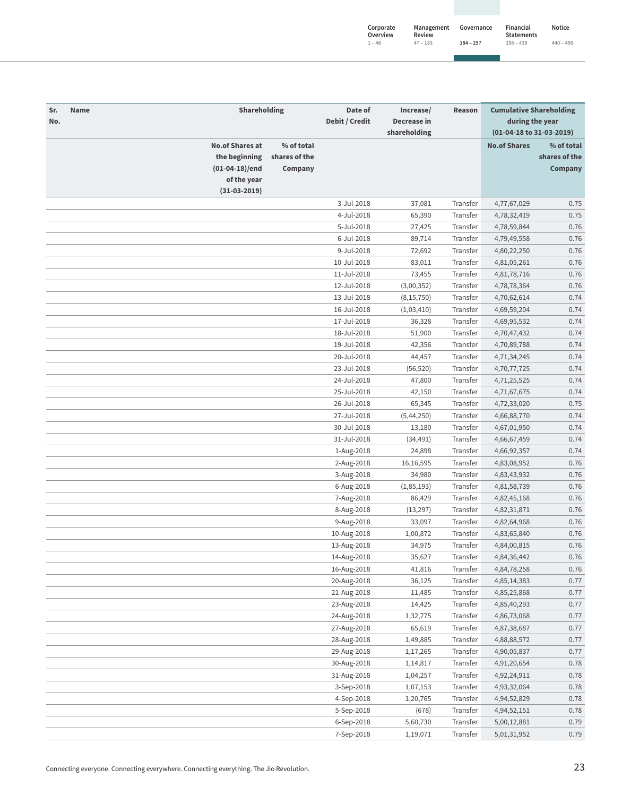| Corporate<br>Overview | Management<br>Review | Governance  | Financial<br><b>Statements</b> | Notice      |
|-----------------------|----------------------|-------------|--------------------------------|-------------|
| $1 - 46$              | $47 - 183$           | $184 - 257$ | $258 - 439$                    | $440 - 450$ |

| Sr.<br>No. | Name                   | Shareholding     |               | Date of<br>Debit / Credit | Increase/<br>Decrease in<br>shareholding | Reason   | <b>Cumulative Shareholding</b><br>during the year<br>(01-04-18 to 31-03-2019) |               |
|------------|------------------------|------------------|---------------|---------------------------|------------------------------------------|----------|-------------------------------------------------------------------------------|---------------|
|            |                        |                  |               |                           |                                          |          |                                                                               |               |
|            | <b>No.of Shares at</b> |                  | % of total    |                           |                                          |          | <b>No.of Shares</b>                                                           | % of total    |
|            |                        | the beginning    | shares of the |                           |                                          |          |                                                                               | shares of the |
|            |                        | $(01-04-18)/end$ | Company       |                           |                                          |          |                                                                               | Company       |
|            |                        | of the year      |               |                           |                                          |          |                                                                               |               |
|            |                        | $(31-03-2019)$   |               |                           |                                          |          |                                                                               |               |
|            |                        |                  |               | 3-Jul-2018                | 37,081                                   | Transfer | 4,77,67,029                                                                   | 0.75          |
|            |                        |                  |               | 4-Jul-2018                | 65,390                                   | Transfer | 4,78,32,419                                                                   | 0.75          |
|            |                        |                  |               | 5-Jul-2018                | 27,425                                   | Transfer | 4,78,59,844                                                                   | 0.76          |
|            |                        |                  |               | 6-Jul-2018                | 89,714                                   | Transfer | 4,79,49,558                                                                   | 0.76          |
|            |                        |                  |               | 9-Jul-2018                | 72,692                                   | Transfer | 4,80,22,250                                                                   | 0.76          |
|            |                        |                  |               | 10-Jul-2018               | 83,011                                   | Transfer | 4,81,05,261                                                                   | 0.76          |
|            |                        |                  |               | 11-Jul-2018               | 73,455                                   | Transfer | 4,81,78,716                                                                   | 0.76          |
|            |                        |                  |               | 12-Jul-2018               | (3,00,352)                               | Transfer | 4,78,78,364                                                                   | 0.76          |
|            |                        |                  |               | 13-Jul-2018               | (8, 15, 750)                             | Transfer | 4,70,62,614                                                                   | 0.74          |
|            |                        |                  |               | 16-Jul-2018               | (1,03,410)                               | Transfer | 4,69,59,204                                                                   | 0.74          |
|            |                        |                  |               | 17-Jul-2018               | 36,328                                   | Transfer | 4,69,95,532                                                                   | 0.74          |
|            |                        |                  |               | 18-Jul-2018               | 51,900                                   | Transfer | 4,70,47,432                                                                   | 0.74          |
|            |                        |                  |               | 19-Jul-2018               | 42,356                                   | Transfer | 4,70,89,788                                                                   | 0.74          |
|            |                        |                  |               | 20-Jul-2018               | 44,457                                   | Transfer | 4,71,34,245                                                                   | 0.74          |
|            |                        |                  |               | 23-Jul-2018               | (56, 520)                                | Transfer | 4,70,77,725                                                                   | 0.74          |
|            |                        |                  |               | 24-Jul-2018               | 47,800                                   | Transfer | 4,71,25,525                                                                   | 0.74          |
|            |                        |                  |               | 25-Jul-2018               | 42,150                                   | Transfer | 4,71,67,675                                                                   | 0.74          |
|            |                        |                  |               | 26-Jul-2018               | 65,345                                   | Transfer | 4,72,33,020                                                                   | 0.75          |
|            |                        |                  |               | 27-Jul-2018               |                                          | Transfer |                                                                               | 0.74          |
|            |                        |                  |               | 30-Jul-2018               | (5,44,250)                               | Transfer | 4,66,88,770                                                                   | 0.74          |
|            |                        |                  |               |                           | 13,180                                   |          | 4,67,01,950                                                                   |               |
|            |                        |                  |               | 31-Jul-2018               | (34, 491)                                | Transfer | 4,66,67,459                                                                   | 0.74          |
|            |                        |                  |               | 1-Aug-2018                | 24,898                                   | Transfer | 4,66,92,357                                                                   | 0.74          |
|            |                        |                  |               | 2-Aug-2018                | 16,16,595                                | Transfer | 4,83,08,952                                                                   | 0.76          |
|            |                        |                  |               | 3-Aug-2018                | 34,980                                   | Transfer | 4,83,43,932                                                                   | 0.76          |
|            |                        |                  |               | 6-Aug-2018                | (1,85,193)                               | Transfer | 4,81,58,739                                                                   | 0.76          |
|            |                        |                  |               | 7-Aug-2018                | 86,429                                   | Transfer | 4,82,45,168                                                                   | 0.76          |
|            |                        |                  |               | 8-Aug-2018                | (13, 297)                                | Transfer | 4,82,31,871                                                                   | 0.76          |
|            |                        |                  |               | 9-Aug-2018                | 33,097                                   | Transfer | 4,82,64,968                                                                   | 0.76          |
|            |                        |                  |               | 10-Aug-2018               | 1,00,872                                 | Transfer | 4,83,65,840                                                                   | 0.76          |
|            |                        |                  |               | 13-Aug-2018               | 34,975                                   | Transfer | 4,84,00,815                                                                   | 0.76          |
|            |                        |                  |               | 14-Aug-2018               | 35,627                                   | Transfer | 4,84,36,442                                                                   | 0.76          |
|            |                        |                  |               | 16-Aug-2018               | 41,816                                   | Transfer | 4,84,78,258                                                                   | 0.76          |
|            |                        |                  |               | 20-Aug-2018               | 36.125                                   | Transfer | 4,85,14,383                                                                   | 0.77          |
|            |                        |                  |               | 21-Aug-2018               | 11,485                                   | Transfer | 4,85,25,868                                                                   | 0.77          |
|            |                        |                  |               | 23-Aug-2018               | 14,425                                   | Transfer | 4,85,40,293                                                                   | 0.77          |
|            |                        |                  |               | 24-Aug-2018               | 1,32,775                                 | Transfer | 4,86,73,068                                                                   | 0.77          |
|            |                        |                  |               | 27-Aug-2018               | 65,619                                   | Transfer | 4,87,38,687                                                                   | 0.77          |
|            |                        |                  |               | 28-Aug-2018               | 1,49,885                                 | Transfer | 4,88,88,572                                                                   | 0.77          |
|            |                        |                  |               | 29-Aug-2018               | 1,17,265                                 | Transfer | 4,90,05,837                                                                   | 0.77          |
|            |                        |                  |               | 30-Aug-2018               | 1,14,817                                 | Transfer | 4,91,20,654                                                                   | 0.78          |
|            |                        |                  |               | 31-Aug-2018               | 1,04,257                                 | Transfer | 4,92,24,911                                                                   | 0.78          |
|            |                        |                  |               | 3-Sep-2018                | 1,07,153                                 | Transfer | 4,93,32,064                                                                   | 0.78          |
|            |                        |                  |               | 4-Sep-2018                | 1,20,765                                 | Transfer | 4,94,52,829                                                                   | 0.78          |
|            |                        |                  |               | 5-Sep-2018                | (678)                                    | Transfer | 4,94,52,151                                                                   | 0.78          |
|            |                        |                  |               | 6-Sep-2018                | 5,60,730                                 | Transfer | 5,00,12,881                                                                   | 0.79          |
|            |                        |                  |               | 7-Sep-2018                | 1,19,071                                 | Transfer | 5,01,31,952                                                                   | 0.79          |
|            |                        |                  |               |                           |                                          |          |                                                                               |               |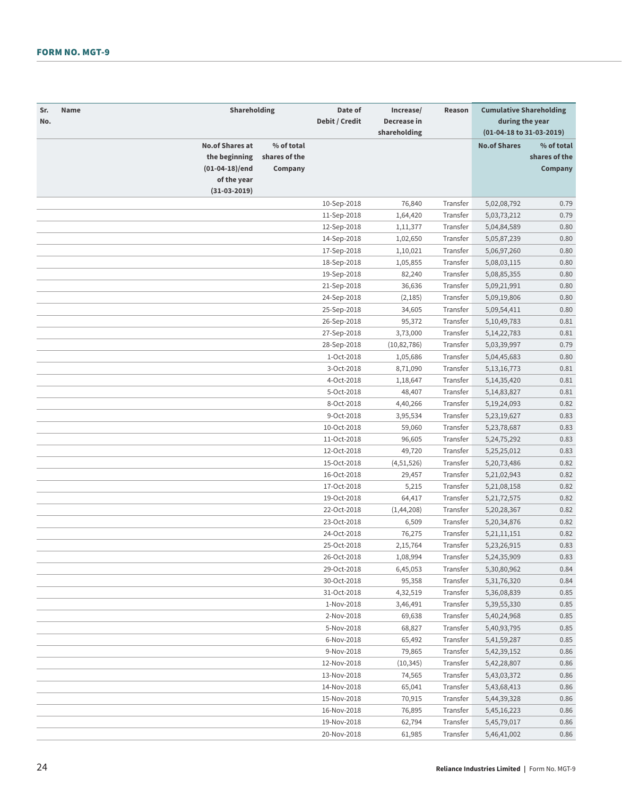| Sr.<br>No. | Name | Shareholding                                                             |                                        | Date of<br>Debit / Credit | Increase/<br>Decrease in<br>shareholding | Reason   | <b>Cumulative Shareholding</b><br>during the year<br>(01-04-18 to 31-03-2019) |                                        |
|------------|------|--------------------------------------------------------------------------|----------------------------------------|---------------------------|------------------------------------------|----------|-------------------------------------------------------------------------------|----------------------------------------|
|            |      | <b>No.of Shares at</b><br>the beginning<br>(01-04-18)/end<br>of the year | % of total<br>shares of the<br>Company |                           |                                          |          | <b>No.of Shares</b>                                                           | % of total<br>shares of the<br>Company |
|            |      | $(31-03-2019)$                                                           |                                        |                           |                                          |          |                                                                               |                                        |
|            |      |                                                                          |                                        | 10-Sep-2018               | 76,840                                   | Transfer | 5,02,08,792                                                                   | 0.79                                   |
|            |      |                                                                          |                                        | 11-Sep-2018               | 1,64,420                                 | Transfer | 5,03,73,212                                                                   | 0.79                                   |
|            |      |                                                                          |                                        | 12-Sep-2018               | 1,11,377                                 | Transfer | 5,04,84,589                                                                   | 0.80                                   |
|            |      |                                                                          |                                        | 14-Sep-2018               | 1,02,650                                 | Transfer | 5,05,87,239                                                                   | 0.80                                   |
|            |      |                                                                          |                                        | 17-Sep-2018               | 1,10,021                                 | Transfer | 5,06,97,260                                                                   | 0.80                                   |
|            |      |                                                                          |                                        | 18-Sep-2018               | 1,05,855                                 | Transfer | 5,08,03,115                                                                   | 0.80                                   |
|            |      |                                                                          |                                        | 19-Sep-2018               | 82,240                                   | Transfer | 5,08,85,355                                                                   | 0.80                                   |
|            |      |                                                                          |                                        | 21-Sep-2018               | 36,636                                   | Transfer | 5,09,21,991                                                                   | 0.80                                   |
|            |      |                                                                          |                                        | 24-Sep-2018               | (2, 185)                                 | Transfer | 5,09,19,806                                                                   | 0.80                                   |
|            |      |                                                                          |                                        | 25-Sep-2018               | 34,605                                   | Transfer | 5,09,54,411                                                                   | 0.80                                   |
|            |      |                                                                          |                                        | 26-Sep-2018               | 95,372                                   | Transfer | 5, 10, 49, 783                                                                | 0.81                                   |
|            |      |                                                                          |                                        | 27-Sep-2018               | 3,73,000                                 | Transfer | 5, 14, 22, 783                                                                | 0.81                                   |
|            |      |                                                                          |                                        | 28-Sep-2018               | (10, 82, 786)                            | Transfer | 5,03,39,997                                                                   | 0.79                                   |
|            |      |                                                                          |                                        | 1-Oct-2018                | 1,05,686                                 | Transfer | 5,04,45,683                                                                   | 0.80                                   |
|            |      |                                                                          |                                        | 3-Oct-2018                | 8,71,090                                 | Transfer | 5, 13, 16, 773                                                                | 0.81                                   |
|            |      |                                                                          |                                        | 4-Oct-2018                | 1,18,647                                 | Transfer | 5, 14, 35, 420                                                                | 0.81                                   |
|            |      |                                                                          |                                        | 5-Oct-2018                | 48,407                                   | Transfer | 5, 14, 83, 827                                                                | 0.81                                   |
|            |      |                                                                          |                                        | 8-Oct-2018                | 4,40,266                                 | Transfer | 5, 19, 24, 093                                                                | 0.82                                   |
|            |      |                                                                          |                                        | 9-Oct-2018                | 3,95,534                                 | Transfer | 5,23,19,627                                                                   | 0.83                                   |
|            |      |                                                                          |                                        | 10-Oct-2018               | 59,060                                   | Transfer | 5,23,78,687                                                                   | 0.83                                   |
|            |      |                                                                          |                                        | 11-Oct-2018               | 96,605                                   | Transfer | 5, 24, 75, 292                                                                | 0.83                                   |
|            |      |                                                                          |                                        | 12-Oct-2018               | 49,720                                   | Transfer | 5,25,25,012                                                                   | 0.83                                   |
|            |      |                                                                          |                                        | 15-Oct-2018               | (4,51,526)                               | Transfer | 5,20,73,486                                                                   | 0.82                                   |
|            |      |                                                                          |                                        | 16-Oct-2018               | 29,457                                   | Transfer | 5,21,02,943                                                                   | 0.82                                   |
|            |      |                                                                          |                                        | 17-Oct-2018               | 5,215                                    | Transfer | 5,21,08,158                                                                   | 0.82                                   |
|            |      |                                                                          |                                        | 19-Oct-2018               | 64,417                                   | Transfer | 5, 21, 72, 575                                                                | 0.82                                   |
|            |      |                                                                          |                                        | 22-Oct-2018               | (1,44,208)                               | Transfer | 5,20,28,367                                                                   | 0.82                                   |
|            |      |                                                                          |                                        | 23-Oct-2018               | 6,509                                    | Transfer | 5,20,34,876                                                                   | 0.82                                   |
|            |      |                                                                          |                                        | 24-Oct-2018               | 76,275                                   | Transfer | 5, 21, 11, 151                                                                | 0.82                                   |
|            |      |                                                                          |                                        | 25-Oct-2018               | 2,15,764                                 | Transfer | 5,23,26,915                                                                   | 0.83                                   |
|            |      |                                                                          |                                        | 26-Oct-2018               | 1,08,994                                 | Transfer | 5,24,35,909                                                                   | 0.83                                   |
|            |      |                                                                          |                                        | 29-Oct-2018               | 6,45,053                                 | Transfer | 5,30,80,962                                                                   | 0.84                                   |
|            |      |                                                                          |                                        | 30-Oct-2018               | 95,358                                   | Transfer | 5, 31, 76, 320                                                                | 0.84                                   |
|            |      |                                                                          |                                        | 31-Oct-2018               | 4,32,519                                 | Transfer | 5,36,08,839                                                                   | 0.85                                   |
|            |      |                                                                          |                                        | 1-Nov-2018                | 3,46,491                                 | Transfer | 5,39,55,330                                                                   | 0.85                                   |
|            |      |                                                                          |                                        | 2-Nov-2018                | 69,638                                   | Transfer | 5,40,24,968                                                                   | 0.85                                   |
|            |      |                                                                          |                                        | 5-Nov-2018                | 68,827                                   | Transfer | 5,40,93,795                                                                   | 0.85                                   |
|            |      |                                                                          |                                        | 6-Nov-2018                | 65,492                                   | Transfer | 5,41,59,287                                                                   | 0.85                                   |
|            |      |                                                                          |                                        | 9-Nov-2018                | 79,865                                   | Transfer | 5,42,39,152                                                                   | 0.86                                   |
|            |      |                                                                          |                                        | 12-Nov-2018               | (10, 345)                                | Transfer | 5,42,28,807                                                                   | 0.86                                   |
|            |      |                                                                          |                                        | 13-Nov-2018               | 74,565                                   | Transfer | 5,43,03,372                                                                   | 0.86                                   |
|            |      |                                                                          |                                        | 14-Nov-2018               | 65,041                                   | Transfer | 5,43,68,413                                                                   | 0.86                                   |
|            |      |                                                                          |                                        | 15-Nov-2018               | 70,915                                   | Transfer | 5,44,39,328                                                                   | 0.86                                   |
|            |      |                                                                          |                                        | 16-Nov-2018               | 76,895                                   | Transfer | 5,45,16,223                                                                   | 0.86                                   |
|            |      |                                                                          |                                        | 19-Nov-2018               | 62,794                                   | Transfer | 5,45,79,017                                                                   | 0.86                                   |
|            |      |                                                                          |                                        | 20-Nov-2018               | 61,985                                   | Transfer | 5,46,41,002                                                                   | 0.86                                   |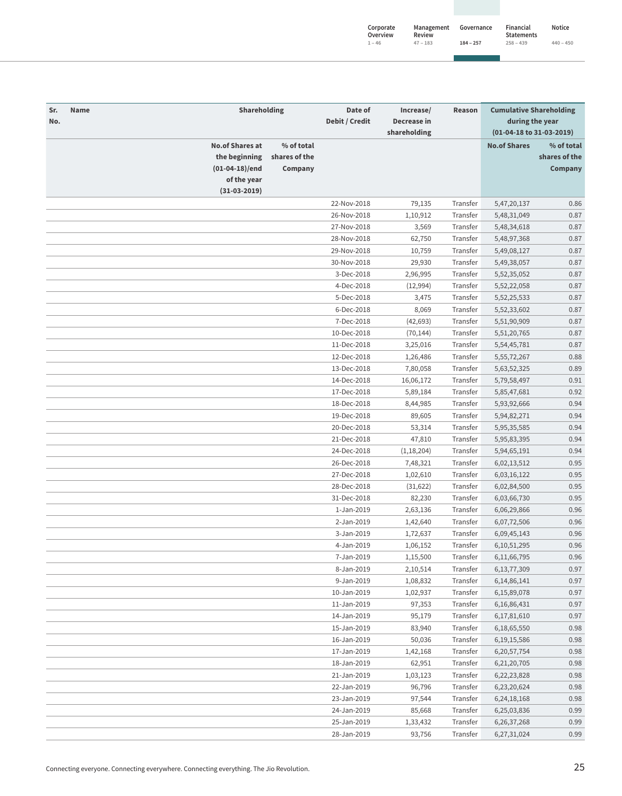| Corporate<br>Overview | Management<br>Review | Governance  | Financial<br><b>Statements</b> | Notice      |
|-----------------------|----------------------|-------------|--------------------------------|-------------|
| $1 - 46$              | $47 - 183$           | $184 - 257$ | $258 - 439$                    | $440 - 450$ |

| Sr.<br>No. | Name                   | Shareholding  | Date of<br>Debit / Credit | Increase/<br>Decrease in | Reason   | <b>Cumulative Shareholding</b><br>during the year |               |
|------------|------------------------|---------------|---------------------------|--------------------------|----------|---------------------------------------------------|---------------|
|            |                        |               |                           | shareholding             |          | (01-04-18 to 31-03-2019)                          |               |
|            | <b>No.of Shares at</b> | % of total    |                           |                          |          | <b>No.of Shares</b>                               | % of total    |
|            | the beginning          | shares of the |                           |                          |          |                                                   | shares of the |
|            | $(01-04-18)/end$       | Company       |                           |                          |          |                                                   | Company       |
|            | of the year            |               |                           |                          |          |                                                   |               |
|            | $(31-03-2019)$         |               |                           |                          |          |                                                   |               |
|            |                        |               | 22-Nov-2018               | 79,135                   | Transfer | 5,47,20,137                                       | 0.86          |
|            |                        |               | 26-Nov-2018               | 1,10,912                 | Transfer | 5,48,31,049                                       | 0.87          |
|            |                        |               | 27-Nov-2018               | 3,569                    | Transfer | 5,48,34,618                                       | 0.87          |
|            |                        |               | 28-Nov-2018               | 62,750                   | Transfer | 5,48,97,368                                       | 0.87          |
|            |                        |               | 29-Nov-2018               | 10,759                   | Transfer | 5,49,08,127                                       | 0.87          |
|            |                        |               | 30-Nov-2018               | 29,930                   | Transfer | 5,49,38,057                                       | 0.87          |
|            |                        |               | 3-Dec-2018                | 2,96,995                 | Transfer | 5,52,35,052                                       | 0.87          |
|            |                        |               | 4-Dec-2018                | (12,994)                 | Transfer | 5,52,22,058                                       | 0.87          |
|            |                        |               | 5-Dec-2018                | 3,475                    | Transfer | 5, 52, 25, 533                                    | 0.87          |
|            |                        |               | 6-Dec-2018                | 8,069                    | Transfer | 5,52,33,602                                       | 0.87          |
|            |                        |               | 7-Dec-2018                | (42, 693)                | Transfer | 5,51,90,909                                       | 0.87          |
|            |                        |               | 10-Dec-2018               | (70, 144)                | Transfer | 5,51,20,765                                       | 0.87          |
|            |                        |               | 11-Dec-2018               | 3,25,016                 | Transfer | 5,54,45,781                                       | 0.87          |
|            |                        |               | 12-Dec-2018               | 1,26,486                 | Transfer | 5, 55, 72, 267                                    | 0.88          |
|            |                        |               | 13-Dec-2018               | 7,80,058                 | Transfer | 5,63,52,325                                       | 0.89          |
|            |                        |               | 14-Dec-2018               | 16,06,172                | Transfer | 5,79,58,497                                       | 0.91          |
|            |                        |               | 17-Dec-2018               | 5,89,184                 | Transfer | 5,85,47,681                                       | 0.92          |
|            |                        |               | 18-Dec-2018               | 8,44,985                 | Transfer | 5,93,92,666                                       | 0.94          |
|            |                        |               | 19-Dec-2018               | 89,605                   | Transfer | 5,94,82,271                                       | 0.94          |
|            |                        |               | 20-Dec-2018               | 53,314                   | Transfer | 5,95,35,585                                       | 0.94          |
|            |                        |               | 21-Dec-2018               | 47,810                   | Transfer | 5,95,83,395                                       | 0.94          |
|            |                        |               | 24-Dec-2018               | (1, 18, 204)             | Transfer | 5,94,65,191                                       | 0.94          |
|            |                        |               | 26-Dec-2018               | 7,48,321                 | Transfer | 6,02,13,512                                       | 0.95          |
|            |                        |               | 27-Dec-2018               | 1,02,610                 | Transfer | 6,03,16,122                                       | 0.95          |
|            |                        |               | 28-Dec-2018               | (31, 622)                | Transfer | 6,02,84,500                                       | 0.95          |
|            |                        |               | 31-Dec-2018               | 82,230                   | Transfer | 6,03,66,730                                       | 0.95          |
|            |                        |               | 1-Jan-2019                | 2,63,136                 | Transfer | 6,06,29,866                                       | 0.96          |
|            |                        |               | 2-Jan-2019                | 1,42,640                 | Transfer | 6,07,72,506                                       | 0.96          |
|            |                        |               | 3-Jan-2019                | 1,72,637                 | Transfer | 6,09,45,143                                       | 0.96          |
|            |                        |               | 4-Jan-2019                | 1,06,152                 | Transfer | 6, 10, 51, 295                                    | 0.96          |
|            |                        |               | 7-Jan-2019                |                          | Transfer |                                                   | 0.96          |
|            |                        |               | 8-Jan-2019                | 1,15,500<br>2,10,514     | Transfer | 6,11,66,795                                       | 0.97          |
|            |                        |               | 9-Jan-2019                |                          | Transfer | 6, 13, 77, 309                                    | 0.97          |
|            |                        |               |                           | 1,08,832                 | Transfer | 6, 14, 86, 141                                    | 0.97          |
|            |                        |               | 10-Jan-2019               | 1,02,937                 | Transfer | 6,15,89,078                                       |               |
|            |                        |               | 11-Jan-2019               | 97,353                   |          | 6, 16, 86, 431                                    | 0.97          |
|            |                        |               | 14-Jan-2019               | 95,179                   | Transfer | 6,17,81,610                                       | 0.97          |
|            |                        |               | 15-Jan-2019               | 83,940                   | Transfer | 6,18,65,550                                       | 0.98          |
|            |                        |               | 16-Jan-2019               | 50,036                   | Transfer | 6, 19, 15, 586                                    | 0.98          |
|            |                        |               | 17-Jan-2019               | 1,42,168                 | Transfer | 6,20,57,754                                       | 0.98          |
|            |                        |               | 18-Jan-2019               | 62,951                   | Transfer | 6,21,20,705                                       | 0.98          |
|            |                        |               | 21-Jan-2019               | 1,03,123                 | Transfer | 6,22,23,828                                       | 0.98          |
|            |                        |               | 22-Jan-2019               | 96,796                   | Transfer | 6,23,20,624                                       | 0.98          |
|            |                        |               | 23-Jan-2019               | 97,544                   | Transfer | 6,24,18,168                                       | 0.98          |
|            |                        |               | 24-Jan-2019               | 85,668                   | Transfer | 6,25,03,836                                       | 0.99          |
|            |                        |               | 25-Jan-2019               | 1,33,432                 | Transfer | 6,26,37,268                                       | 0.99          |
|            |                        |               | 28-Jan-2019               | 93,756                   | Transfer | 6,27,31,024                                       | 0.99          |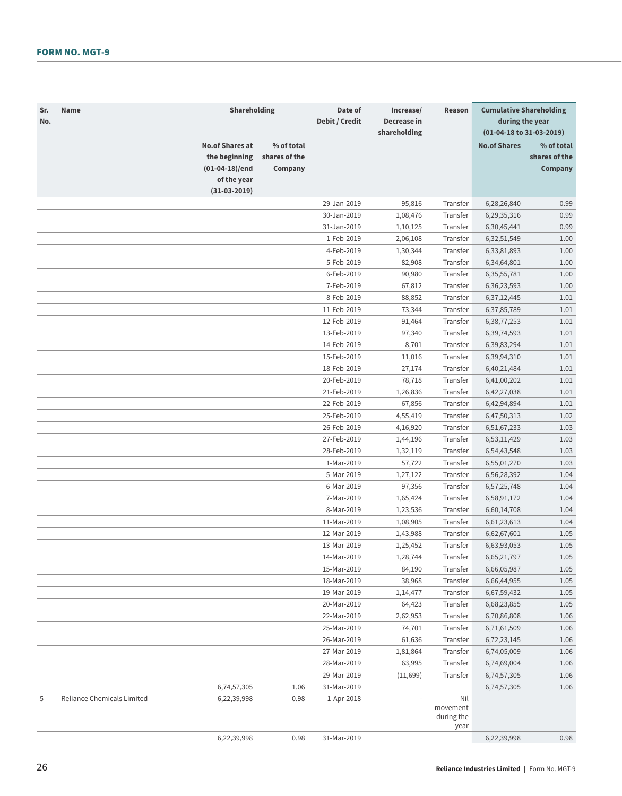| Sr.<br>No. | Name                       | Shareholding                                              |                                        | Date of<br>Debit / Credit | Increase/<br>Decrease in<br>shareholding | Reason                                | <b>Cumulative Shareholding</b><br>during the year<br>(01-04-18 to 31-03-2019) |                                        |
|------------|----------------------------|-----------------------------------------------------------|----------------------------------------|---------------------------|------------------------------------------|---------------------------------------|-------------------------------------------------------------------------------|----------------------------------------|
|            |                            | <b>No.of Shares at</b><br>the beginning<br>(01-04-18)/end | % of total<br>shares of the<br>Company |                           |                                          |                                       | <b>No.of Shares</b>                                                           | % of total<br>shares of the<br>Company |
|            |                            | of the year<br>$(31-03-2019)$                             |                                        |                           |                                          |                                       |                                                                               |                                        |
|            |                            |                                                           |                                        | 29-Jan-2019               | 95,816                                   | Transfer                              | 6,28,26,840                                                                   | 0.99                                   |
|            |                            |                                                           |                                        | 30-Jan-2019               | 1,08,476                                 | Transfer                              | 6,29,35,316                                                                   | 0.99                                   |
|            |                            |                                                           |                                        | 31-Jan-2019               | 1,10,125                                 | Transfer                              | 6,30,45,441                                                                   | 0.99                                   |
|            |                            |                                                           |                                        | 1-Feb-2019                | 2,06,108                                 | Transfer                              | 6,32,51,549                                                                   | 1.00                                   |
|            |                            |                                                           |                                        | 4-Feb-2019                | 1,30,344                                 | Transfer                              | 6,33,81,893                                                                   | 1.00                                   |
|            |                            |                                                           |                                        | 5-Feb-2019                | 82,908                                   | Transfer                              | 6,34,64,801                                                                   | 1.00                                   |
|            |                            |                                                           |                                        | 6-Feb-2019                | 90,980                                   | Transfer                              | 6, 35, 55, 781                                                                | 1.00                                   |
|            |                            |                                                           |                                        | 7-Feb-2019                | 67,812                                   | Transfer                              | 6,36,23,593                                                                   | 1.00                                   |
|            |                            |                                                           |                                        | 8-Feb-2019                | 88,852                                   | Transfer                              | 6,37,12,445                                                                   | 1.01                                   |
|            |                            |                                                           |                                        | 11-Feb-2019               | 73,344                                   | Transfer                              | 6,37,85,789                                                                   | 1.01                                   |
|            |                            |                                                           |                                        | 12-Feb-2019               | 91,464                                   | Transfer                              | 6,38,77,253                                                                   | 1.01                                   |
|            |                            |                                                           |                                        | 13-Feb-2019               | 97,340                                   | Transfer                              | 6,39,74,593                                                                   | 1.01                                   |
|            |                            |                                                           |                                        | 14-Feb-2019               | 8,701                                    | Transfer                              | 6,39,83,294                                                                   | 1.01                                   |
|            |                            |                                                           |                                        | 15-Feb-2019               | 11,016                                   | Transfer                              | 6,39,94,310                                                                   | 1.01                                   |
|            |                            |                                                           |                                        | 18-Feb-2019               | 27,174                                   | Transfer                              | 6,40,21,484                                                                   | 1.01                                   |
|            |                            |                                                           |                                        | 20-Feb-2019               | 78,718                                   | Transfer                              | 6,41,00,202                                                                   | 1.01                                   |
|            |                            |                                                           |                                        | 21-Feb-2019               | 1,26,836                                 | Transfer                              | 6,42,27,038                                                                   | 1.01                                   |
|            |                            |                                                           |                                        | 22-Feb-2019               | 67,856                                   | Transfer                              | 6,42,94,894                                                                   | 1.01                                   |
|            |                            |                                                           |                                        | 25-Feb-2019               | 4,55,419                                 | Transfer                              | 6,47,50,313                                                                   | 1.02                                   |
|            |                            |                                                           |                                        | 26-Feb-2019               | 4,16,920                                 | Transfer                              | 6,51,67,233                                                                   | 1.03                                   |
|            |                            |                                                           |                                        | 27-Feb-2019               | 1,44,196                                 | Transfer                              | 6,53,11,429                                                                   | 1.03                                   |
|            |                            |                                                           |                                        | 28-Feb-2019               | 1,32,119                                 | Transfer                              | 6,54,43,548                                                                   | 1.03                                   |
|            |                            |                                                           |                                        | 1-Mar-2019                | 57,722                                   | Transfer                              | 6,55,01,270                                                                   | 1.03                                   |
|            |                            |                                                           |                                        | 5-Mar-2019                | 1,27,122                                 | Transfer                              | 6,56,28,392                                                                   | 1.04                                   |
|            |                            |                                                           |                                        | 6-Mar-2019                | 97,356                                   | Transfer                              | 6,57,25,748                                                                   | 1.04                                   |
|            |                            |                                                           |                                        | 7-Mar-2019                | 1,65,424                                 | Transfer                              | 6,58,91,172                                                                   | 1.04                                   |
|            |                            |                                                           |                                        | 8-Mar-2019                | 1,23,536                                 | Transfer                              | 6,60,14,708                                                                   | 1.04                                   |
|            |                            |                                                           |                                        | 11-Mar-2019               | 1,08,905                                 | Transfer                              | 6,61,23,613                                                                   | 1.04                                   |
|            |                            |                                                           |                                        | 12-Mar-2019               | 1,43,988                                 | Transfer                              | 6,62,67,601                                                                   | 1.05                                   |
|            |                            |                                                           |                                        | 13-Mar-2019               | 1,25,452                                 | Transfer                              | 6,63,93,053                                                                   | 1.05                                   |
|            |                            |                                                           |                                        | 14-Mar-2019               | 1,28,744                                 | Transfer                              | 6,65,21,797                                                                   | 1.05                                   |
|            |                            |                                                           |                                        | 15-Mar-2019               | 84,190                                   | Transfer                              | 6,66,05,987                                                                   | 1.05                                   |
|            |                            |                                                           |                                        | 18-Mar-2019               | 38,968                                   | Transfer                              | 6,66,44,955                                                                   | 1.05                                   |
|            |                            |                                                           |                                        | 19-Mar-2019               | 1,14,477                                 | Transfer                              | 6,67,59,432                                                                   | 1.05                                   |
|            |                            |                                                           |                                        | 20-Mar-2019               | 64,423                                   | Transfer                              | 6,68,23,855                                                                   | 1.05                                   |
|            |                            |                                                           |                                        | 22-Mar-2019               | 2,62,953                                 | Transfer                              | 6,70,86,808                                                                   | 1.06                                   |
|            |                            |                                                           |                                        | 25-Mar-2019               | 74,701                                   | Transfer                              | 6,71,61,509                                                                   | 1.06                                   |
|            |                            |                                                           |                                        | 26-Mar-2019               | 61,636                                   | Transfer                              | 6,72,23,145                                                                   | 1.06                                   |
|            |                            |                                                           |                                        | 27-Mar-2019               | 1,81,864                                 | Transfer                              | 6,74,05,009                                                                   | 1.06                                   |
|            |                            |                                                           |                                        | 28-Mar-2019               | 63,995                                   | Transfer                              | 6,74,69,004                                                                   | 1.06                                   |
|            |                            |                                                           |                                        | 29-Mar-2019               | (11,699)                                 | Transfer                              | 6,74,57,305                                                                   | 1.06                                   |
|            |                            | 6,74,57,305                                               | 1.06                                   | 31-Mar-2019               |                                          |                                       | 6,74,57,305                                                                   | 1.06                                   |
| 5          | Reliance Chemicals Limited | 6,22,39,998                                               | 0.98                                   | 1-Apr-2018                |                                          | Nil<br>movement<br>during the<br>year |                                                                               |                                        |
|            |                            | 6,22,39,998                                               | 0.98                                   | 31-Mar-2019               |                                          |                                       | 6,22,39,998                                                                   | 0.98                                   |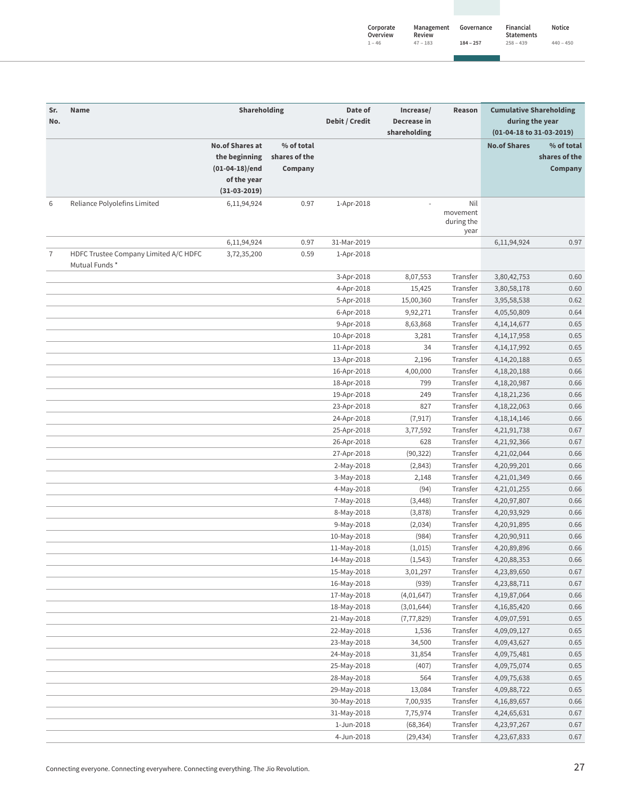| Corporate<br>Overview | Management<br>Review | Governance  | Financial<br><b>Statements</b> | <b>Notice</b> |
|-----------------------|----------------------|-------------|--------------------------------|---------------|
| $1 - 46$              | $47 - 183$           | $184 - 257$ | $258 - 439$                    | $440 - 450$   |

| Shareholding<br>Date of<br>Increase/<br><b>Cumulative Shareholding</b><br>Sr.<br><b>Name</b><br>Reason<br>Debit / Credit<br>Decrease in<br>during the year<br>No.<br>shareholding<br>(01-04-18 to 31-03-2019)<br><b>No.of Shares at</b><br>% of total<br><b>No.of Shares</b><br>% of total<br>shares of the<br>the beginning<br>shares of the<br>$(01-04-18)/end$<br>Company<br>Company<br>of the year<br>$(31-03-2019)$<br>Reliance Polyolefins Limited<br>Nil<br>6<br>6,11,94,924<br>0.97<br>1-Apr-2018<br>movement<br>during the<br>year<br>0.97<br>31-Mar-2019<br>0.97<br>6,11,94,924<br>6,11,94,924<br>7<br>HDFC Trustee Company Limited A/C HDFC<br>0.59<br>3,72,35,200<br>1-Apr-2018<br>Mutual Funds*<br>3-Apr-2018<br>8,07,553<br>Transfer<br>0.60<br>3,80,42,753<br>Transfer<br>4-Apr-2018<br>15,425<br>3,80,58,178<br>0.60<br>Transfer<br>5-Apr-2018<br>15,00,360<br>3,95,58,538<br>0.62<br>6-Apr-2018<br>9,92,271<br>Transfer<br>0.64<br>4,05,50,809<br>Transfer<br>9-Apr-2018<br>8,63,868<br>4, 14, 14, 677<br>0.65<br>Transfer<br>0.65<br>10-Apr-2018<br>3,281<br>4, 14, 17, 958<br>34<br>Transfer<br>0.65<br>11-Apr-2018<br>4, 14, 17, 992<br>Transfer<br>0.65<br>13-Apr-2018<br>2,196<br>4, 14, 20, 188<br>16-Apr-2018<br>4,00,000<br>Transfer<br>4, 18, 20, 188<br>0.66<br>Transfer<br>799<br>0.66<br>18-Apr-2018<br>4,18,20,987<br>249<br>Transfer<br>0.66<br>19-Apr-2018<br>4, 18, 21, 236<br>827<br>Transfer<br>0.66<br>23-Apr-2018<br>4, 18, 22, 063<br>Transfer<br>24-Apr-2018<br>(7, 917)<br>4, 18, 14, 146<br>0.66<br>Transfer<br>25-Apr-2018<br>3,77,592<br>4,21,91,738<br>0.67<br>26-Apr-2018<br>Transfer<br>0.67<br>628<br>4,21,92,366<br>Transfer<br>27-Apr-2018<br>(90, 322)<br>4,21,02,044<br>0.66<br>Transfer<br>2-May-2018<br>(2,843)<br>4,20,99,201<br>0.66<br>Transfer<br>0.66<br>2,148<br>4,21,01,349<br>3-May-2018<br>Transfer<br>(94)<br>4,21,01,255<br>0.66<br>4-May-2018<br>7-May-2018<br>(3, 448)<br>Transfer<br>4,20,97,807<br>0.66<br>Transfer<br>8-May-2018<br>(3,878)<br>0.66<br>4,20,93,929<br>(2,034)<br>Transfer<br>0.66<br>9-May-2018<br>4,20,91,895<br>10-May-2018<br>(984)<br>Transfer<br>0.66<br>4,20,90,911<br>(1,015)<br>Transfer<br>4,20,89,896<br>0.66<br>11-May-2018<br>Transfer<br>(1, 543)<br>4,20,88,353<br>0.66<br>14-May-2018<br>0.67<br>15-May-2018<br>3,01,297<br>Transfer<br>4,23,89,650<br>0.67<br>16-May-2018<br>(939)<br>Transfer<br>4,23,88,711<br>0.66<br>17-May-2018<br>(4,01,647)<br>Transfer<br>4, 19, 87, 064<br>0.66<br>18-May-2018<br>(3,01,644)<br>Transfer<br>4, 16, 85, 420<br>0.65<br>21-May-2018<br>(7, 77, 829)<br>Transfer<br>4,09,07,591<br>Transfer<br>0.65<br>22-May-2018<br>1,536<br>4,09,09,127<br>34,500<br>Transfer<br>0.65<br>23-May-2018<br>4,09,43,627<br>Transfer<br>0.65<br>24-May-2018<br>31,854<br>4,09,75,481<br>Transfer<br>0.65<br>25-May-2018<br>(407)<br>4,09,75,074<br>564<br>Transfer<br>0.65<br>28-May-2018<br>4,09,75,638<br>Transfer<br>0.65<br>29-May-2018<br>13,084<br>4,09,88,722<br>0.66<br>30-May-2018<br>7,00,935<br>Transfer<br>4,16,89,657<br>Transfer<br>31-May-2018<br>7,75,974<br>4,24,65,631<br>0.67<br>1-Jun-2018<br>(68, 364)<br>Transfer<br>0.67<br>4,23,97,267<br>4-Jun-2018<br>(29, 434)<br>0.67<br>Transfer<br>4,23,67,833 |  |  |  |  |  |
|-------------------------------------------------------------------------------------------------------------------------------------------------------------------------------------------------------------------------------------------------------------------------------------------------------------------------------------------------------------------------------------------------------------------------------------------------------------------------------------------------------------------------------------------------------------------------------------------------------------------------------------------------------------------------------------------------------------------------------------------------------------------------------------------------------------------------------------------------------------------------------------------------------------------------------------------------------------------------------------------------------------------------------------------------------------------------------------------------------------------------------------------------------------------------------------------------------------------------------------------------------------------------------------------------------------------------------------------------------------------------------------------------------------------------------------------------------------------------------------------------------------------------------------------------------------------------------------------------------------------------------------------------------------------------------------------------------------------------------------------------------------------------------------------------------------------------------------------------------------------------------------------------------------------------------------------------------------------------------------------------------------------------------------------------------------------------------------------------------------------------------------------------------------------------------------------------------------------------------------------------------------------------------------------------------------------------------------------------------------------------------------------------------------------------------------------------------------------------------------------------------------------------------------------------------------------------------------------------------------------------------------------------------------------------------------------------------------------------------------------------------------------------------------------------------------------------------------------------------------------------------------------------------------------------------------------------------------------------------------------------------------------------------------------------------------------------------------------------------------------------------------------------------------------------------------------------------------------------------------------------------|--|--|--|--|--|
|                                                                                                                                                                                                                                                                                                                                                                                                                                                                                                                                                                                                                                                                                                                                                                                                                                                                                                                                                                                                                                                                                                                                                                                                                                                                                                                                                                                                                                                                                                                                                                                                                                                                                                                                                                                                                                                                                                                                                                                                                                                                                                                                                                                                                                                                                                                                                                                                                                                                                                                                                                                                                                                                                                                                                                                                                                                                                                                                                                                                                                                                                                                                                                                                                                                       |  |  |  |  |  |
|                                                                                                                                                                                                                                                                                                                                                                                                                                                                                                                                                                                                                                                                                                                                                                                                                                                                                                                                                                                                                                                                                                                                                                                                                                                                                                                                                                                                                                                                                                                                                                                                                                                                                                                                                                                                                                                                                                                                                                                                                                                                                                                                                                                                                                                                                                                                                                                                                                                                                                                                                                                                                                                                                                                                                                                                                                                                                                                                                                                                                                                                                                                                                                                                                                                       |  |  |  |  |  |
|                                                                                                                                                                                                                                                                                                                                                                                                                                                                                                                                                                                                                                                                                                                                                                                                                                                                                                                                                                                                                                                                                                                                                                                                                                                                                                                                                                                                                                                                                                                                                                                                                                                                                                                                                                                                                                                                                                                                                                                                                                                                                                                                                                                                                                                                                                                                                                                                                                                                                                                                                                                                                                                                                                                                                                                                                                                                                                                                                                                                                                                                                                                                                                                                                                                       |  |  |  |  |  |
|                                                                                                                                                                                                                                                                                                                                                                                                                                                                                                                                                                                                                                                                                                                                                                                                                                                                                                                                                                                                                                                                                                                                                                                                                                                                                                                                                                                                                                                                                                                                                                                                                                                                                                                                                                                                                                                                                                                                                                                                                                                                                                                                                                                                                                                                                                                                                                                                                                                                                                                                                                                                                                                                                                                                                                                                                                                                                                                                                                                                                                                                                                                                                                                                                                                       |  |  |  |  |  |
|                                                                                                                                                                                                                                                                                                                                                                                                                                                                                                                                                                                                                                                                                                                                                                                                                                                                                                                                                                                                                                                                                                                                                                                                                                                                                                                                                                                                                                                                                                                                                                                                                                                                                                                                                                                                                                                                                                                                                                                                                                                                                                                                                                                                                                                                                                                                                                                                                                                                                                                                                                                                                                                                                                                                                                                                                                                                                                                                                                                                                                                                                                                                                                                                                                                       |  |  |  |  |  |
|                                                                                                                                                                                                                                                                                                                                                                                                                                                                                                                                                                                                                                                                                                                                                                                                                                                                                                                                                                                                                                                                                                                                                                                                                                                                                                                                                                                                                                                                                                                                                                                                                                                                                                                                                                                                                                                                                                                                                                                                                                                                                                                                                                                                                                                                                                                                                                                                                                                                                                                                                                                                                                                                                                                                                                                                                                                                                                                                                                                                                                                                                                                                                                                                                                                       |  |  |  |  |  |
|                                                                                                                                                                                                                                                                                                                                                                                                                                                                                                                                                                                                                                                                                                                                                                                                                                                                                                                                                                                                                                                                                                                                                                                                                                                                                                                                                                                                                                                                                                                                                                                                                                                                                                                                                                                                                                                                                                                                                                                                                                                                                                                                                                                                                                                                                                                                                                                                                                                                                                                                                                                                                                                                                                                                                                                                                                                                                                                                                                                                                                                                                                                                                                                                                                                       |  |  |  |  |  |
|                                                                                                                                                                                                                                                                                                                                                                                                                                                                                                                                                                                                                                                                                                                                                                                                                                                                                                                                                                                                                                                                                                                                                                                                                                                                                                                                                                                                                                                                                                                                                                                                                                                                                                                                                                                                                                                                                                                                                                                                                                                                                                                                                                                                                                                                                                                                                                                                                                                                                                                                                                                                                                                                                                                                                                                                                                                                                                                                                                                                                                                                                                                                                                                                                                                       |  |  |  |  |  |
|                                                                                                                                                                                                                                                                                                                                                                                                                                                                                                                                                                                                                                                                                                                                                                                                                                                                                                                                                                                                                                                                                                                                                                                                                                                                                                                                                                                                                                                                                                                                                                                                                                                                                                                                                                                                                                                                                                                                                                                                                                                                                                                                                                                                                                                                                                                                                                                                                                                                                                                                                                                                                                                                                                                                                                                                                                                                                                                                                                                                                                                                                                                                                                                                                                                       |  |  |  |  |  |
|                                                                                                                                                                                                                                                                                                                                                                                                                                                                                                                                                                                                                                                                                                                                                                                                                                                                                                                                                                                                                                                                                                                                                                                                                                                                                                                                                                                                                                                                                                                                                                                                                                                                                                                                                                                                                                                                                                                                                                                                                                                                                                                                                                                                                                                                                                                                                                                                                                                                                                                                                                                                                                                                                                                                                                                                                                                                                                                                                                                                                                                                                                                                                                                                                                                       |  |  |  |  |  |
|                                                                                                                                                                                                                                                                                                                                                                                                                                                                                                                                                                                                                                                                                                                                                                                                                                                                                                                                                                                                                                                                                                                                                                                                                                                                                                                                                                                                                                                                                                                                                                                                                                                                                                                                                                                                                                                                                                                                                                                                                                                                                                                                                                                                                                                                                                                                                                                                                                                                                                                                                                                                                                                                                                                                                                                                                                                                                                                                                                                                                                                                                                                                                                                                                                                       |  |  |  |  |  |
|                                                                                                                                                                                                                                                                                                                                                                                                                                                                                                                                                                                                                                                                                                                                                                                                                                                                                                                                                                                                                                                                                                                                                                                                                                                                                                                                                                                                                                                                                                                                                                                                                                                                                                                                                                                                                                                                                                                                                                                                                                                                                                                                                                                                                                                                                                                                                                                                                                                                                                                                                                                                                                                                                                                                                                                                                                                                                                                                                                                                                                                                                                                                                                                                                                                       |  |  |  |  |  |
|                                                                                                                                                                                                                                                                                                                                                                                                                                                                                                                                                                                                                                                                                                                                                                                                                                                                                                                                                                                                                                                                                                                                                                                                                                                                                                                                                                                                                                                                                                                                                                                                                                                                                                                                                                                                                                                                                                                                                                                                                                                                                                                                                                                                                                                                                                                                                                                                                                                                                                                                                                                                                                                                                                                                                                                                                                                                                                                                                                                                                                                                                                                                                                                                                                                       |  |  |  |  |  |
|                                                                                                                                                                                                                                                                                                                                                                                                                                                                                                                                                                                                                                                                                                                                                                                                                                                                                                                                                                                                                                                                                                                                                                                                                                                                                                                                                                                                                                                                                                                                                                                                                                                                                                                                                                                                                                                                                                                                                                                                                                                                                                                                                                                                                                                                                                                                                                                                                                                                                                                                                                                                                                                                                                                                                                                                                                                                                                                                                                                                                                                                                                                                                                                                                                                       |  |  |  |  |  |
|                                                                                                                                                                                                                                                                                                                                                                                                                                                                                                                                                                                                                                                                                                                                                                                                                                                                                                                                                                                                                                                                                                                                                                                                                                                                                                                                                                                                                                                                                                                                                                                                                                                                                                                                                                                                                                                                                                                                                                                                                                                                                                                                                                                                                                                                                                                                                                                                                                                                                                                                                                                                                                                                                                                                                                                                                                                                                                                                                                                                                                                                                                                                                                                                                                                       |  |  |  |  |  |
|                                                                                                                                                                                                                                                                                                                                                                                                                                                                                                                                                                                                                                                                                                                                                                                                                                                                                                                                                                                                                                                                                                                                                                                                                                                                                                                                                                                                                                                                                                                                                                                                                                                                                                                                                                                                                                                                                                                                                                                                                                                                                                                                                                                                                                                                                                                                                                                                                                                                                                                                                                                                                                                                                                                                                                                                                                                                                                                                                                                                                                                                                                                                                                                                                                                       |  |  |  |  |  |
|                                                                                                                                                                                                                                                                                                                                                                                                                                                                                                                                                                                                                                                                                                                                                                                                                                                                                                                                                                                                                                                                                                                                                                                                                                                                                                                                                                                                                                                                                                                                                                                                                                                                                                                                                                                                                                                                                                                                                                                                                                                                                                                                                                                                                                                                                                                                                                                                                                                                                                                                                                                                                                                                                                                                                                                                                                                                                                                                                                                                                                                                                                                                                                                                                                                       |  |  |  |  |  |
|                                                                                                                                                                                                                                                                                                                                                                                                                                                                                                                                                                                                                                                                                                                                                                                                                                                                                                                                                                                                                                                                                                                                                                                                                                                                                                                                                                                                                                                                                                                                                                                                                                                                                                                                                                                                                                                                                                                                                                                                                                                                                                                                                                                                                                                                                                                                                                                                                                                                                                                                                                                                                                                                                                                                                                                                                                                                                                                                                                                                                                                                                                                                                                                                                                                       |  |  |  |  |  |
|                                                                                                                                                                                                                                                                                                                                                                                                                                                                                                                                                                                                                                                                                                                                                                                                                                                                                                                                                                                                                                                                                                                                                                                                                                                                                                                                                                                                                                                                                                                                                                                                                                                                                                                                                                                                                                                                                                                                                                                                                                                                                                                                                                                                                                                                                                                                                                                                                                                                                                                                                                                                                                                                                                                                                                                                                                                                                                                                                                                                                                                                                                                                                                                                                                                       |  |  |  |  |  |
|                                                                                                                                                                                                                                                                                                                                                                                                                                                                                                                                                                                                                                                                                                                                                                                                                                                                                                                                                                                                                                                                                                                                                                                                                                                                                                                                                                                                                                                                                                                                                                                                                                                                                                                                                                                                                                                                                                                                                                                                                                                                                                                                                                                                                                                                                                                                                                                                                                                                                                                                                                                                                                                                                                                                                                                                                                                                                                                                                                                                                                                                                                                                                                                                                                                       |  |  |  |  |  |
|                                                                                                                                                                                                                                                                                                                                                                                                                                                                                                                                                                                                                                                                                                                                                                                                                                                                                                                                                                                                                                                                                                                                                                                                                                                                                                                                                                                                                                                                                                                                                                                                                                                                                                                                                                                                                                                                                                                                                                                                                                                                                                                                                                                                                                                                                                                                                                                                                                                                                                                                                                                                                                                                                                                                                                                                                                                                                                                                                                                                                                                                                                                                                                                                                                                       |  |  |  |  |  |
|                                                                                                                                                                                                                                                                                                                                                                                                                                                                                                                                                                                                                                                                                                                                                                                                                                                                                                                                                                                                                                                                                                                                                                                                                                                                                                                                                                                                                                                                                                                                                                                                                                                                                                                                                                                                                                                                                                                                                                                                                                                                                                                                                                                                                                                                                                                                                                                                                                                                                                                                                                                                                                                                                                                                                                                                                                                                                                                                                                                                                                                                                                                                                                                                                                                       |  |  |  |  |  |
|                                                                                                                                                                                                                                                                                                                                                                                                                                                                                                                                                                                                                                                                                                                                                                                                                                                                                                                                                                                                                                                                                                                                                                                                                                                                                                                                                                                                                                                                                                                                                                                                                                                                                                                                                                                                                                                                                                                                                                                                                                                                                                                                                                                                                                                                                                                                                                                                                                                                                                                                                                                                                                                                                                                                                                                                                                                                                                                                                                                                                                                                                                                                                                                                                                                       |  |  |  |  |  |
|                                                                                                                                                                                                                                                                                                                                                                                                                                                                                                                                                                                                                                                                                                                                                                                                                                                                                                                                                                                                                                                                                                                                                                                                                                                                                                                                                                                                                                                                                                                                                                                                                                                                                                                                                                                                                                                                                                                                                                                                                                                                                                                                                                                                                                                                                                                                                                                                                                                                                                                                                                                                                                                                                                                                                                                                                                                                                                                                                                                                                                                                                                                                                                                                                                                       |  |  |  |  |  |
|                                                                                                                                                                                                                                                                                                                                                                                                                                                                                                                                                                                                                                                                                                                                                                                                                                                                                                                                                                                                                                                                                                                                                                                                                                                                                                                                                                                                                                                                                                                                                                                                                                                                                                                                                                                                                                                                                                                                                                                                                                                                                                                                                                                                                                                                                                                                                                                                                                                                                                                                                                                                                                                                                                                                                                                                                                                                                                                                                                                                                                                                                                                                                                                                                                                       |  |  |  |  |  |
|                                                                                                                                                                                                                                                                                                                                                                                                                                                                                                                                                                                                                                                                                                                                                                                                                                                                                                                                                                                                                                                                                                                                                                                                                                                                                                                                                                                                                                                                                                                                                                                                                                                                                                                                                                                                                                                                                                                                                                                                                                                                                                                                                                                                                                                                                                                                                                                                                                                                                                                                                                                                                                                                                                                                                                                                                                                                                                                                                                                                                                                                                                                                                                                                                                                       |  |  |  |  |  |
|                                                                                                                                                                                                                                                                                                                                                                                                                                                                                                                                                                                                                                                                                                                                                                                                                                                                                                                                                                                                                                                                                                                                                                                                                                                                                                                                                                                                                                                                                                                                                                                                                                                                                                                                                                                                                                                                                                                                                                                                                                                                                                                                                                                                                                                                                                                                                                                                                                                                                                                                                                                                                                                                                                                                                                                                                                                                                                                                                                                                                                                                                                                                                                                                                                                       |  |  |  |  |  |
|                                                                                                                                                                                                                                                                                                                                                                                                                                                                                                                                                                                                                                                                                                                                                                                                                                                                                                                                                                                                                                                                                                                                                                                                                                                                                                                                                                                                                                                                                                                                                                                                                                                                                                                                                                                                                                                                                                                                                                                                                                                                                                                                                                                                                                                                                                                                                                                                                                                                                                                                                                                                                                                                                                                                                                                                                                                                                                                                                                                                                                                                                                                                                                                                                                                       |  |  |  |  |  |
|                                                                                                                                                                                                                                                                                                                                                                                                                                                                                                                                                                                                                                                                                                                                                                                                                                                                                                                                                                                                                                                                                                                                                                                                                                                                                                                                                                                                                                                                                                                                                                                                                                                                                                                                                                                                                                                                                                                                                                                                                                                                                                                                                                                                                                                                                                                                                                                                                                                                                                                                                                                                                                                                                                                                                                                                                                                                                                                                                                                                                                                                                                                                                                                                                                                       |  |  |  |  |  |
|                                                                                                                                                                                                                                                                                                                                                                                                                                                                                                                                                                                                                                                                                                                                                                                                                                                                                                                                                                                                                                                                                                                                                                                                                                                                                                                                                                                                                                                                                                                                                                                                                                                                                                                                                                                                                                                                                                                                                                                                                                                                                                                                                                                                                                                                                                                                                                                                                                                                                                                                                                                                                                                                                                                                                                                                                                                                                                                                                                                                                                                                                                                                                                                                                                                       |  |  |  |  |  |
|                                                                                                                                                                                                                                                                                                                                                                                                                                                                                                                                                                                                                                                                                                                                                                                                                                                                                                                                                                                                                                                                                                                                                                                                                                                                                                                                                                                                                                                                                                                                                                                                                                                                                                                                                                                                                                                                                                                                                                                                                                                                                                                                                                                                                                                                                                                                                                                                                                                                                                                                                                                                                                                                                                                                                                                                                                                                                                                                                                                                                                                                                                                                                                                                                                                       |  |  |  |  |  |
|                                                                                                                                                                                                                                                                                                                                                                                                                                                                                                                                                                                                                                                                                                                                                                                                                                                                                                                                                                                                                                                                                                                                                                                                                                                                                                                                                                                                                                                                                                                                                                                                                                                                                                                                                                                                                                                                                                                                                                                                                                                                                                                                                                                                                                                                                                                                                                                                                                                                                                                                                                                                                                                                                                                                                                                                                                                                                                                                                                                                                                                                                                                                                                                                                                                       |  |  |  |  |  |
|                                                                                                                                                                                                                                                                                                                                                                                                                                                                                                                                                                                                                                                                                                                                                                                                                                                                                                                                                                                                                                                                                                                                                                                                                                                                                                                                                                                                                                                                                                                                                                                                                                                                                                                                                                                                                                                                                                                                                                                                                                                                                                                                                                                                                                                                                                                                                                                                                                                                                                                                                                                                                                                                                                                                                                                                                                                                                                                                                                                                                                                                                                                                                                                                                                                       |  |  |  |  |  |
|                                                                                                                                                                                                                                                                                                                                                                                                                                                                                                                                                                                                                                                                                                                                                                                                                                                                                                                                                                                                                                                                                                                                                                                                                                                                                                                                                                                                                                                                                                                                                                                                                                                                                                                                                                                                                                                                                                                                                                                                                                                                                                                                                                                                                                                                                                                                                                                                                                                                                                                                                                                                                                                                                                                                                                                                                                                                                                                                                                                                                                                                                                                                                                                                                                                       |  |  |  |  |  |
|                                                                                                                                                                                                                                                                                                                                                                                                                                                                                                                                                                                                                                                                                                                                                                                                                                                                                                                                                                                                                                                                                                                                                                                                                                                                                                                                                                                                                                                                                                                                                                                                                                                                                                                                                                                                                                                                                                                                                                                                                                                                                                                                                                                                                                                                                                                                                                                                                                                                                                                                                                                                                                                                                                                                                                                                                                                                                                                                                                                                                                                                                                                                                                                                                                                       |  |  |  |  |  |
|                                                                                                                                                                                                                                                                                                                                                                                                                                                                                                                                                                                                                                                                                                                                                                                                                                                                                                                                                                                                                                                                                                                                                                                                                                                                                                                                                                                                                                                                                                                                                                                                                                                                                                                                                                                                                                                                                                                                                                                                                                                                                                                                                                                                                                                                                                                                                                                                                                                                                                                                                                                                                                                                                                                                                                                                                                                                                                                                                                                                                                                                                                                                                                                                                                                       |  |  |  |  |  |
|                                                                                                                                                                                                                                                                                                                                                                                                                                                                                                                                                                                                                                                                                                                                                                                                                                                                                                                                                                                                                                                                                                                                                                                                                                                                                                                                                                                                                                                                                                                                                                                                                                                                                                                                                                                                                                                                                                                                                                                                                                                                                                                                                                                                                                                                                                                                                                                                                                                                                                                                                                                                                                                                                                                                                                                                                                                                                                                                                                                                                                                                                                                                                                                                                                                       |  |  |  |  |  |
|                                                                                                                                                                                                                                                                                                                                                                                                                                                                                                                                                                                                                                                                                                                                                                                                                                                                                                                                                                                                                                                                                                                                                                                                                                                                                                                                                                                                                                                                                                                                                                                                                                                                                                                                                                                                                                                                                                                                                                                                                                                                                                                                                                                                                                                                                                                                                                                                                                                                                                                                                                                                                                                                                                                                                                                                                                                                                                                                                                                                                                                                                                                                                                                                                                                       |  |  |  |  |  |
|                                                                                                                                                                                                                                                                                                                                                                                                                                                                                                                                                                                                                                                                                                                                                                                                                                                                                                                                                                                                                                                                                                                                                                                                                                                                                                                                                                                                                                                                                                                                                                                                                                                                                                                                                                                                                                                                                                                                                                                                                                                                                                                                                                                                                                                                                                                                                                                                                                                                                                                                                                                                                                                                                                                                                                                                                                                                                                                                                                                                                                                                                                                                                                                                                                                       |  |  |  |  |  |
|                                                                                                                                                                                                                                                                                                                                                                                                                                                                                                                                                                                                                                                                                                                                                                                                                                                                                                                                                                                                                                                                                                                                                                                                                                                                                                                                                                                                                                                                                                                                                                                                                                                                                                                                                                                                                                                                                                                                                                                                                                                                                                                                                                                                                                                                                                                                                                                                                                                                                                                                                                                                                                                                                                                                                                                                                                                                                                                                                                                                                                                                                                                                                                                                                                                       |  |  |  |  |  |
|                                                                                                                                                                                                                                                                                                                                                                                                                                                                                                                                                                                                                                                                                                                                                                                                                                                                                                                                                                                                                                                                                                                                                                                                                                                                                                                                                                                                                                                                                                                                                                                                                                                                                                                                                                                                                                                                                                                                                                                                                                                                                                                                                                                                                                                                                                                                                                                                                                                                                                                                                                                                                                                                                                                                                                                                                                                                                                                                                                                                                                                                                                                                                                                                                                                       |  |  |  |  |  |
|                                                                                                                                                                                                                                                                                                                                                                                                                                                                                                                                                                                                                                                                                                                                                                                                                                                                                                                                                                                                                                                                                                                                                                                                                                                                                                                                                                                                                                                                                                                                                                                                                                                                                                                                                                                                                                                                                                                                                                                                                                                                                                                                                                                                                                                                                                                                                                                                                                                                                                                                                                                                                                                                                                                                                                                                                                                                                                                                                                                                                                                                                                                                                                                                                                                       |  |  |  |  |  |
|                                                                                                                                                                                                                                                                                                                                                                                                                                                                                                                                                                                                                                                                                                                                                                                                                                                                                                                                                                                                                                                                                                                                                                                                                                                                                                                                                                                                                                                                                                                                                                                                                                                                                                                                                                                                                                                                                                                                                                                                                                                                                                                                                                                                                                                                                                                                                                                                                                                                                                                                                                                                                                                                                                                                                                                                                                                                                                                                                                                                                                                                                                                                                                                                                                                       |  |  |  |  |  |
|                                                                                                                                                                                                                                                                                                                                                                                                                                                                                                                                                                                                                                                                                                                                                                                                                                                                                                                                                                                                                                                                                                                                                                                                                                                                                                                                                                                                                                                                                                                                                                                                                                                                                                                                                                                                                                                                                                                                                                                                                                                                                                                                                                                                                                                                                                                                                                                                                                                                                                                                                                                                                                                                                                                                                                                                                                                                                                                                                                                                                                                                                                                                                                                                                                                       |  |  |  |  |  |
|                                                                                                                                                                                                                                                                                                                                                                                                                                                                                                                                                                                                                                                                                                                                                                                                                                                                                                                                                                                                                                                                                                                                                                                                                                                                                                                                                                                                                                                                                                                                                                                                                                                                                                                                                                                                                                                                                                                                                                                                                                                                                                                                                                                                                                                                                                                                                                                                                                                                                                                                                                                                                                                                                                                                                                                                                                                                                                                                                                                                                                                                                                                                                                                                                                                       |  |  |  |  |  |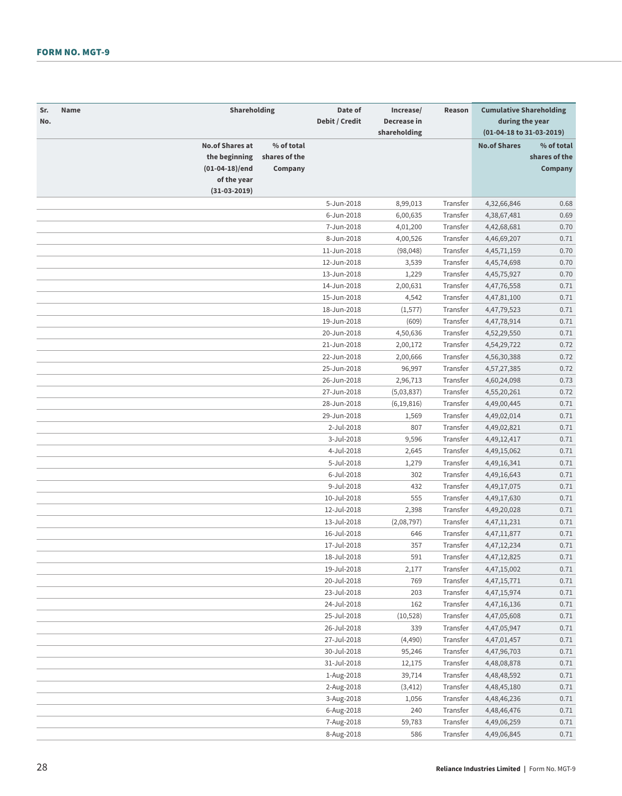| Sr.<br>Name<br>No. | Shareholding                                                             |                                        | Date of<br>Debit / Credit | Increase/<br>Decrease in<br>shareholding | Reason               | <b>Cumulative Shareholding</b><br>during the year<br>(01-04-18 to 31-03-2019) |                                        |
|--------------------|--------------------------------------------------------------------------|----------------------------------------|---------------------------|------------------------------------------|----------------------|-------------------------------------------------------------------------------|----------------------------------------|
|                    | <b>No.of Shares at</b><br>the beginning<br>(01-04-18)/end<br>of the year | % of total<br>shares of the<br>Company |                           |                                          |                      | <b>No.of Shares</b>                                                           | % of total<br>shares of the<br>Company |
|                    | $(31-03-2019)$                                                           |                                        |                           |                                          |                      |                                                                               |                                        |
|                    |                                                                          |                                        | 5-Jun-2018                | 8,99,013                                 | Transfer             | 4,32,66,846                                                                   | 0.68                                   |
|                    |                                                                          |                                        | 6-Jun-2018                | 6,00,635                                 | Transfer             | 4,38,67,481                                                                   | 0.69                                   |
|                    |                                                                          |                                        | 7-Jun-2018                | 4,01,200                                 | Transfer             | 4,42,68,681                                                                   | 0.70                                   |
|                    |                                                                          |                                        | 8-Jun-2018                | 4,00,526                                 | Transfer             | 4,46,69,207                                                                   | 0.71                                   |
|                    |                                                                          |                                        | 11-Jun-2018               | (98, 048)                                | Transfer             | 4, 45, 71, 159                                                                | 0.70                                   |
|                    |                                                                          |                                        | 12-Jun-2018               | 3,539                                    | Transfer             | 4,45,74,698                                                                   | 0.70                                   |
|                    |                                                                          |                                        | 13-Jun-2018               | 1,229                                    | Transfer             | 4,45,75,927                                                                   | 0.70                                   |
|                    |                                                                          |                                        | 14-Jun-2018               | 2,00,631                                 | Transfer             | 4,47,76,558                                                                   | 0.71                                   |
|                    |                                                                          |                                        | 15-Jun-2018               | 4,542                                    | Transfer             | 4,47,81,100                                                                   | 0.71                                   |
|                    |                                                                          |                                        | 18-Jun-2018               | (1, 577)                                 | Transfer             | 4,47,79,523                                                                   | 0.71                                   |
|                    |                                                                          |                                        | 19-Jun-2018               | (609)                                    | Transfer             | 4,47,78,914                                                                   | 0.71                                   |
|                    |                                                                          |                                        | 20-Jun-2018               | 4,50,636                                 | Transfer             | 4,52,29,550                                                                   | 0.71                                   |
|                    |                                                                          |                                        | 21-Jun-2018               | 2,00,172                                 | Transfer             | 4,54,29,722                                                                   | 0.72                                   |
|                    |                                                                          |                                        | 22-Jun-2018               | 2,00,666                                 | Transfer             | 4,56,30,388                                                                   | 0.72                                   |
|                    |                                                                          |                                        | 25-Jun-2018               | 96,997                                   | Transfer             | 4,57,27,385                                                                   | 0.72                                   |
|                    |                                                                          |                                        | 26-Jun-2018               | 2,96,713                                 | Transfer             | 4,60,24,098                                                                   | 0.73                                   |
|                    |                                                                          |                                        | 27-Jun-2018               | (5,03,837)                               | Transfer             | 4,55,20,261                                                                   | 0.72                                   |
|                    |                                                                          |                                        | 28-Jun-2018               | (6, 19, 816)                             | Transfer             | 4,49,00,445                                                                   | 0.71                                   |
|                    |                                                                          |                                        | 29-Jun-2018               | 1,569                                    | Transfer             | 4,49,02,014                                                                   | 0.71                                   |
|                    |                                                                          |                                        | 2-Jul-2018                | 807                                      | Transfer             | 4,49,02,821                                                                   | 0.71                                   |
|                    |                                                                          |                                        | 3-Jul-2018                | 9,596                                    | Transfer             | 4,49,12,417                                                                   | 0.71                                   |
|                    |                                                                          |                                        | 4-Jul-2018                | 2,645                                    | Transfer             | 4,49,15,062                                                                   | 0.71                                   |
|                    |                                                                          |                                        | 5-Jul-2018                | 1,279                                    | Transfer             | 4,49,16,341                                                                   | 0.71                                   |
|                    |                                                                          |                                        | 6-Jul-2018                | 302                                      | Transfer             | 4,49,16,643                                                                   | 0.71                                   |
|                    |                                                                          |                                        | 9-Jul-2018                | 432                                      | Transfer             | 4,49,17,075                                                                   | 0.71                                   |
|                    |                                                                          |                                        | 10-Jul-2018               | 555                                      | Transfer             | 4,49,17,630                                                                   | 0.71                                   |
|                    |                                                                          |                                        | 12-Jul-2018               | 2,398                                    | Transfer             | 4,49,20,028                                                                   | 0.71                                   |
|                    |                                                                          |                                        | 13-Jul-2018               | (2,08,797)                               | Transfer             | 4, 47, 11, 231                                                                | 0.71                                   |
|                    |                                                                          |                                        | 16-Jul-2018               | 646                                      | Transfer             | 4,47,11,877                                                                   | 0.71                                   |
|                    |                                                                          |                                        | 17-Jul-2018               | 357                                      | Transfer             | 4, 47, 12, 234                                                                | 0.71                                   |
|                    |                                                                          |                                        | 18-Jul-2018               | 591                                      | Transfer             | 4,47,12,825                                                                   | 0.71                                   |
|                    |                                                                          |                                        | 19-Jul-2018               | 2,177                                    | Transfer             | 4,47,15,002                                                                   | 0.71                                   |
|                    |                                                                          |                                        | 20-Jul-2018               | 769                                      | Transfer             | 4, 47, 15, 771                                                                | 0.71                                   |
|                    |                                                                          |                                        |                           |                                          |                      |                                                                               |                                        |
|                    |                                                                          |                                        | 23-Jul-2018               | 203                                      | Transfer             | 4,47,15,974                                                                   | 0.71                                   |
|                    |                                                                          |                                        | 24-Jul-2018               | 162                                      | Transfer<br>Transfer | 4,47,16,136                                                                   | 0.71                                   |
|                    |                                                                          |                                        | 25-Jul-2018               | (10, 528)                                |                      | 4,47,05,608                                                                   | 0.71                                   |
|                    |                                                                          |                                        | 26-Jul-2018               | 339                                      | Transfer             | 4,47,05,947                                                                   | 0.71                                   |
|                    |                                                                          |                                        | 27-Jul-2018               | (4, 490)                                 | Transfer             | 4,47,01,457                                                                   | 0.71                                   |
|                    |                                                                          |                                        | 30-Jul-2018               | 95,246                                   | Transfer             | 4,47,96,703                                                                   | 0.71                                   |
|                    |                                                                          |                                        | 31-Jul-2018               | 12,175                                   | Transfer             | 4,48,08,878                                                                   | 0.71                                   |
|                    |                                                                          |                                        | 1-Aug-2018                | 39,714                                   | Transfer             | 4,48,48,592                                                                   | 0.71                                   |
|                    |                                                                          |                                        | 2-Aug-2018                | (3, 412)                                 | Transfer             | 4,48,45,180                                                                   | 0.71                                   |
|                    |                                                                          |                                        | 3-Aug-2018                | 1,056                                    | Transfer             | 4,48,46,236                                                                   | 0.71                                   |
|                    |                                                                          |                                        | 6-Aug-2018                | 240                                      | Transfer             | 4,48,46,476                                                                   | 0.71                                   |
|                    |                                                                          |                                        | 7-Aug-2018                | 59,783                                   | Transfer             | 4,49,06,259                                                                   | 0.71                                   |
|                    |                                                                          |                                        | 8-Aug-2018                | 586                                      | Transfer             | 4,49,06,845                                                                   | 0.71                                   |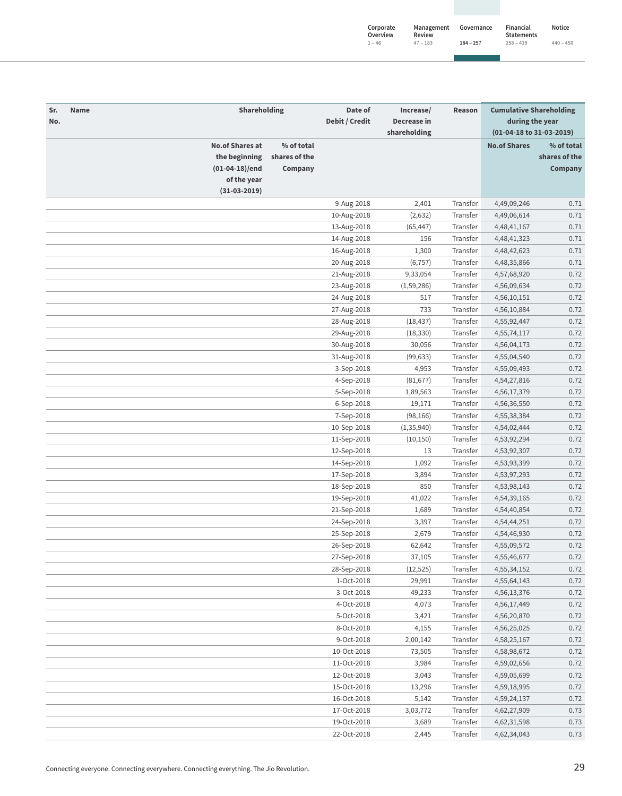| Corporate<br>Overview | Management<br>Review | Governance  | Financial<br><b>Statements</b> | Notice      |
|-----------------------|----------------------|-------------|--------------------------------|-------------|
| $1 - 46$              | $47 - 183$           | $184 - 257$ | $258 - 439$                    | $440 - 450$ |

| Sr.<br>No. | Name                   | Shareholding  | Date of<br>Debit / Credit | Increase/<br>Decrease in | Reason   | <b>Cumulative Shareholding</b><br>during the year |               |
|------------|------------------------|---------------|---------------------------|--------------------------|----------|---------------------------------------------------|---------------|
|            |                        |               |                           | shareholding             |          | (01-04-18 to 31-03-2019)                          |               |
|            | <b>No.of Shares at</b> | % of total    |                           |                          |          | <b>No.of Shares</b>                               | % of total    |
|            | the beginning          | shares of the |                           |                          |          |                                                   | shares of the |
|            | $(01-04-18)/end$       | Company       |                           |                          |          |                                                   | Company       |
|            | of the year            |               |                           |                          |          |                                                   |               |
|            | $(31-03-2019)$         |               |                           |                          |          |                                                   |               |
|            |                        |               | 9-Aug-2018                | 2,401                    | Transfer | 4,49,09,246                                       | 0.71          |
|            |                        |               | 10-Aug-2018               | (2,632)                  | Transfer | 4,49,06,614                                       | 0.71          |
|            |                        |               | 13-Aug-2018               | (65, 447)                | Transfer | 4,48,41,167                                       | 0.71          |
|            |                        |               | 14-Aug-2018               | 156                      | Transfer | 4,48,41,323                                       | 0.71          |
|            |                        |               | 16-Aug-2018               | 1,300                    | Transfer | 4,48,42,623                                       | 0.71          |
|            |                        |               | 20-Aug-2018               | (6, 757)                 | Transfer | 4,48,35,866                                       | 0.71          |
|            |                        |               | 21-Aug-2018               | 9,33,054                 | Transfer | 4,57,68,920                                       | 0.72          |
|            |                        |               | 23-Aug-2018               | (1,59,286)               | Transfer | 4,56,09,634                                       | 0.72          |
|            |                        |               | 24-Aug-2018               | 517                      | Transfer | 4,56,10,151                                       | 0.72          |
|            |                        |               | 27-Aug-2018               | 733                      | Transfer | 4,56,10,884                                       | 0.72          |
|            |                        |               | 28-Aug-2018               | (18, 437)                | Transfer | 4,55,92,447                                       | 0.72          |
|            |                        |               | 29-Aug-2018               | (18, 330)                | Transfer | 4,55,74,117                                       | 0.72          |
|            |                        |               | 30-Aug-2018               | 30,056                   | Transfer | 4,56,04,173                                       | 0.72          |
|            |                        |               | 31-Aug-2018               | (99, 633)                | Transfer | 4,55,04,540                                       | 0.72          |
|            |                        |               | 3-Sep-2018                | 4,953                    | Transfer | 4,55,09,493                                       | 0.72          |
|            |                        |               | 4-Sep-2018                | (81, 677)                | Transfer | 4,54,27,816                                       | 0.72          |
|            |                        |               | 5-Sep-2018                | 1,89,563                 | Transfer | 4,56,17,379                                       | 0.72          |
|            |                        |               | 6-Sep-2018                | 19,171                   | Transfer | 4,56,36,550                                       | 0.72          |
|            |                        |               | 7-Sep-2018                | (98, 166)                | Transfer | 4,55,38,384                                       | 0.72          |
|            |                        |               | 10-Sep-2018               | (1, 35, 940)             | Transfer | 4,54,02,444                                       | 0.72          |
|            |                        |               | 11-Sep-2018               | (10, 150)                | Transfer | 4,53,92,294                                       | 0.72          |
|            |                        |               | 12-Sep-2018               | 13                       | Transfer | 4,53,92,307                                       | 0.72          |
|            |                        |               | 14-Sep-2018               | 1,092                    | Transfer | 4,53,93,399                                       | 0.72          |
|            |                        |               | 17-Sep-2018               | 3,894                    | Transfer | 4,53,97,293                                       | 0.72          |
|            |                        |               | 18-Sep-2018               | 850                      | Transfer | 4,53,98,143                                       | 0.72          |
|            |                        |               | 19-Sep-2018               | 41,022                   | Transfer | 4,54,39,165                                       | 0.72          |
|            |                        |               | 21-Sep-2018               | 1,689                    | Transfer | 4,54,40,854                                       | 0.72          |
|            |                        |               | 24-Sep-2018               | 3,397                    | Transfer | 4,54,44,251                                       | 0.72          |
|            |                        |               | 25-Sep-2018               | 2,679                    | Transfer | 4,54,46,930                                       | 0.72          |
|            |                        |               | 26-Sep-2018               | 62,642                   | Transfer | 4,55,09,572                                       | 0.72          |
|            |                        |               | 27-Sep-2018               | 37,105                   | Transfer | 4,55,46,677                                       | 0.72          |
|            |                        |               | 28-Sep-2018               | (12, 525)                | Transfer | 4,55,34,152                                       | 0.72          |
|            |                        |               | 1-Oct-2018                | 29,991                   | Transfer | 4,55,64,143                                       | 0.72          |
|            |                        |               | 3-Oct-2018                | 49,233                   | Transfer | 4,56,13,376                                       | 0.72          |
|            |                        |               | 4-Oct-2018                | 4,073                    | Transfer | 4,56,17,449                                       | 0.72          |
|            |                        |               | 5-Oct-2018                |                          | Transfer |                                                   |               |
|            |                        |               | 8-Oct-2018                | 3,421                    | Transfer | 4,56,20,870                                       | 0.72          |
|            |                        |               |                           | 4,155                    |          | 4,56,25,025                                       | 0.72          |
|            |                        |               | 9-Oct-2018                | 2,00,142                 | Transfer | 4,58,25,167                                       | 0.72          |
|            |                        |               | 10-Oct-2018               | 73,505                   | Transfer | 4,58,98,672                                       | 0.72          |
|            |                        |               | 11-Oct-2018               | 3,984                    | Transfer | 4,59,02,656                                       | 0.72          |
|            |                        |               | 12-Oct-2018               | 3,043                    | Transfer | 4,59,05,699                                       | 0.72          |
|            |                        |               | 15-Oct-2018               | 13,296                   | Transfer | 4,59,18,995                                       | 0.72          |
|            |                        |               | 16-Oct-2018               | 5,142                    | Transfer | 4,59,24,137                                       | 0.72          |
|            |                        |               | 17-Oct-2018               | 3,03,772                 | Transfer | 4,62,27,909                                       | 0.73          |
|            |                        |               | 19-Oct-2018               | 3,689                    | Transfer | 4,62,31,598                                       | 0.73          |
|            |                        |               | 22-Oct-2018               | 2,445                    | Transfer | 4,62,34,043                                       | 0.73          |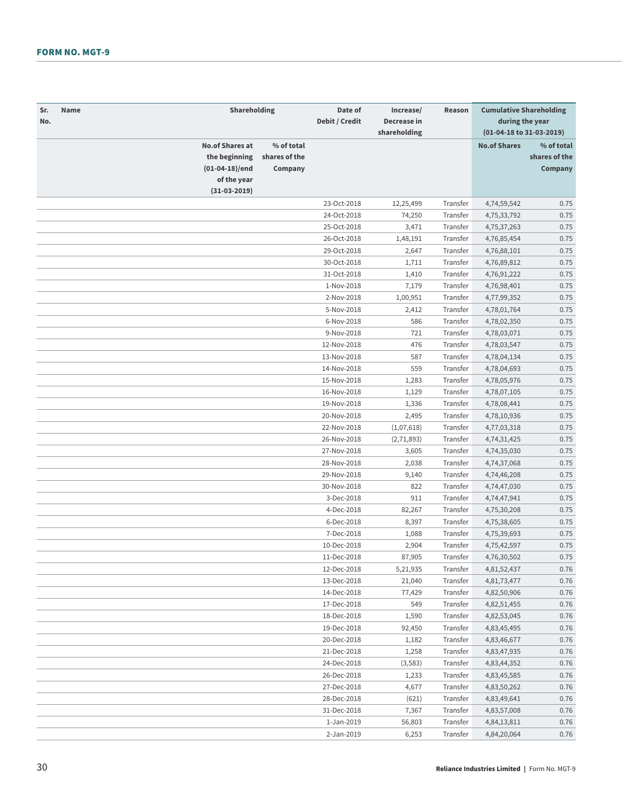| Sr.<br>Name<br>No. | Shareholding                                                             |                                        | Date of<br>Debit / Credit | Increase/<br>Decrease in<br>shareholding | Reason   | <b>Cumulative Shareholding</b><br>during the year<br>(01-04-18 to 31-03-2019) |                                        |
|--------------------|--------------------------------------------------------------------------|----------------------------------------|---------------------------|------------------------------------------|----------|-------------------------------------------------------------------------------|----------------------------------------|
|                    | <b>No.of Shares at</b><br>the beginning<br>(01-04-18)/end<br>of the year | % of total<br>shares of the<br>Company |                           |                                          |          | <b>No.of Shares</b>                                                           | % of total<br>shares of the<br>Company |
|                    | $(31-03-2019)$                                                           |                                        |                           |                                          |          |                                                                               |                                        |
|                    |                                                                          |                                        | 23-Oct-2018               | 12,25,499                                | Transfer | 4,74,59,542                                                                   | 0.75                                   |
|                    |                                                                          |                                        | 24-Oct-2018               | 74,250                                   | Transfer | 4,75,33,792                                                                   | 0.75                                   |
|                    |                                                                          |                                        | 25-Oct-2018               | 3,471                                    | Transfer | 4,75,37,263                                                                   | 0.75                                   |
|                    |                                                                          |                                        | 26-Oct-2018               | 1,48,191                                 | Transfer | 4,76,85,454                                                                   | 0.75                                   |
|                    |                                                                          |                                        | 29-Oct-2018               | 2,647                                    | Transfer | 4,76,88,101                                                                   | 0.75                                   |
|                    |                                                                          |                                        | 30-Oct-2018               | 1,711                                    | Transfer | 4,76,89,812                                                                   | 0.75                                   |
|                    |                                                                          |                                        | 31-Oct-2018               | 1,410                                    | Transfer | 4,76,91,222                                                                   | 0.75                                   |
|                    |                                                                          |                                        | 1-Nov-2018                | 7,179                                    | Transfer | 4,76,98,401                                                                   | 0.75                                   |
|                    |                                                                          |                                        | 2-Nov-2018                | 1,00,951                                 | Transfer | 4,77,99,352                                                                   | 0.75                                   |
|                    |                                                                          |                                        | 5-Nov-2018                | 2,412                                    | Transfer | 4,78,01,764                                                                   | 0.75                                   |
|                    |                                                                          |                                        | 6-Nov-2018                | 586                                      | Transfer | 4,78,02,350                                                                   | 0.75                                   |
|                    |                                                                          |                                        | 9-Nov-2018                | 721                                      | Transfer | 4,78,03,071                                                                   | 0.75                                   |
|                    |                                                                          |                                        | 12-Nov-2018               | 476                                      | Transfer | 4,78,03,547                                                                   | 0.75                                   |
|                    |                                                                          |                                        | 13-Nov-2018               | 587                                      | Transfer | 4,78,04,134                                                                   | 0.75                                   |
|                    |                                                                          |                                        | 14-Nov-2018               | 559                                      | Transfer | 4,78,04,693                                                                   | 0.75                                   |
|                    |                                                                          |                                        | 15-Nov-2018               | 1,283                                    | Transfer | 4,78,05,976                                                                   | 0.75                                   |
|                    |                                                                          |                                        | 16-Nov-2018               | 1,129                                    | Transfer | 4,78,07,105                                                                   | 0.75                                   |
|                    |                                                                          |                                        | 19-Nov-2018               | 1,336                                    | Transfer | 4,78,08,441                                                                   | 0.75                                   |
|                    |                                                                          |                                        | 20-Nov-2018               | 2,495                                    | Transfer | 4,78,10,936                                                                   | 0.75                                   |
|                    |                                                                          |                                        | 22-Nov-2018               | (1,07,618)                               | Transfer | 4,77,03,318                                                                   | 0.75                                   |
|                    |                                                                          |                                        | 26-Nov-2018               | (2,71,893)                               | Transfer | 4,74,31,425                                                                   | 0.75                                   |
|                    |                                                                          |                                        | 27-Nov-2018               | 3,605                                    | Transfer | 4,74,35,030                                                                   | 0.75                                   |
|                    |                                                                          |                                        | 28-Nov-2018               | 2,038                                    | Transfer | 4,74,37,068                                                                   | 0.75                                   |
|                    |                                                                          |                                        | 29-Nov-2018               | 9,140                                    | Transfer | 4,74,46,208                                                                   | 0.75                                   |
|                    |                                                                          |                                        | 30-Nov-2018               | 822                                      | Transfer | 4,74,47,030                                                                   | 0.75                                   |
|                    |                                                                          |                                        | 3-Dec-2018                | 911                                      | Transfer | 4,74,47,941                                                                   | 0.75                                   |
|                    |                                                                          |                                        | 4-Dec-2018                | 82,267                                   | Transfer | 4,75,30,208                                                                   | 0.75                                   |
|                    |                                                                          |                                        | 6-Dec-2018                | 8,397                                    | Transfer | 4,75,38,605                                                                   | 0.75                                   |
|                    |                                                                          |                                        | 7-Dec-2018                | 1,088                                    | Transfer | 4,75,39,693                                                                   | 0.75                                   |
|                    |                                                                          |                                        | 10-Dec-2018               | 2,904                                    | Transfer | 4,75,42,597                                                                   | 0.75                                   |
|                    |                                                                          |                                        | 11-Dec-2018               | 87,905                                   | Transfer | 4,76,30,502                                                                   | 0.75                                   |
|                    |                                                                          |                                        | 12-Dec-2018               | 5,21,935                                 | Transfer | 4,81,52,437                                                                   | 0.76                                   |
|                    |                                                                          |                                        | 13-Dec-2018               | 21,040                                   | Transfer | 4,81,73,477                                                                   | 0.76                                   |
|                    |                                                                          |                                        | 14-Dec-2018               | 77,429                                   | Transfer | 4,82,50,906                                                                   | 0.76                                   |
|                    |                                                                          |                                        | 17-Dec-2018               | 549                                      | Transfer | 4,82,51,455                                                                   | 0.76                                   |
|                    |                                                                          |                                        | 18-Dec-2018               | 1,590                                    | Transfer | 4,82,53,045                                                                   | 0.76                                   |
|                    |                                                                          |                                        | 19-Dec-2018               | 92,450                                   | Transfer | 4,83,45,495                                                                   | 0.76                                   |
|                    |                                                                          |                                        | 20-Dec-2018               | 1,182                                    | Transfer | 4,83,46,677                                                                   | 0.76                                   |
|                    |                                                                          |                                        | 21-Dec-2018               | 1,258                                    | Transfer | 4,83,47,935                                                                   | 0.76                                   |
|                    |                                                                          |                                        | 24-Dec-2018               | (3, 583)                                 | Transfer | 4,83,44,352                                                                   | 0.76                                   |
|                    |                                                                          |                                        | 26-Dec-2018               | 1,233                                    | Transfer | 4,83,45,585                                                                   | 0.76                                   |
|                    |                                                                          |                                        | 27-Dec-2018               | 4,677                                    | Transfer | 4,83,50,262                                                                   | 0.76                                   |
|                    |                                                                          |                                        | 28-Dec-2018               | (621)                                    | Transfer | 4,83,49,641                                                                   | 0.76                                   |
|                    |                                                                          |                                        | 31-Dec-2018               | 7,367                                    | Transfer | 4,83,57,008                                                                   | 0.76                                   |
|                    |                                                                          |                                        | 1-Jan-2019                | 56,803                                   | Transfer | 4,84,13,811                                                                   | 0.76                                   |
|                    |                                                                          |                                        | 2-Jan-2019                | 6,253                                    | Transfer | 4,84,20,064                                                                   | 0.76                                   |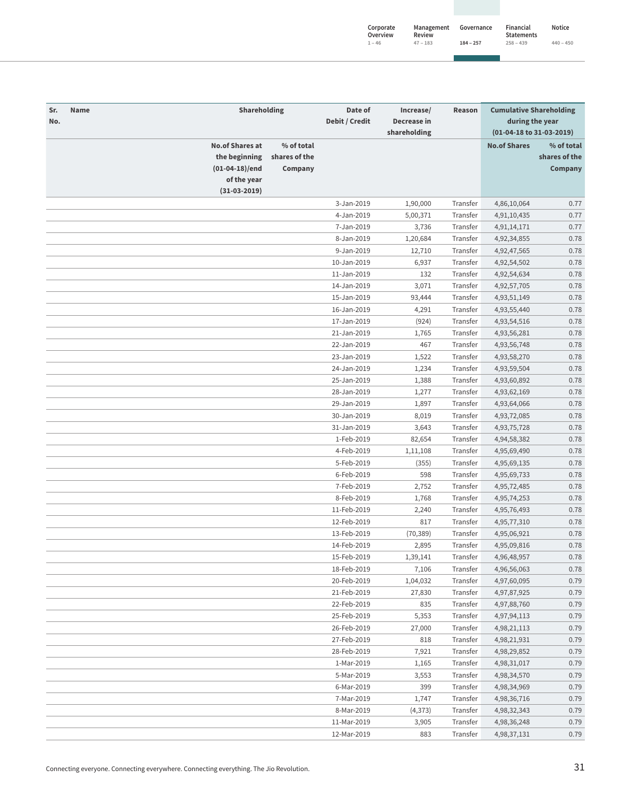| Corporate<br>Overview | Management<br>Review | Governance  | Financial<br><b>Statements</b> | Notice      |
|-----------------------|----------------------|-------------|--------------------------------|-------------|
| $1 - 46$              | $47 - 183$           | $184 - 257$ | $258 - 439$                    | $440 - 450$ |

| Sr.<br>No. | Name                                                                                         | Shareholding                           | Date of<br>Debit / Credit  | Increase/<br>Decrease in<br>shareholding | Reason   | <b>Cumulative Shareholding</b><br>during the year<br>(01-04-18 to 31-03-2019) |                                        |
|------------|----------------------------------------------------------------------------------------------|----------------------------------------|----------------------------|------------------------------------------|----------|-------------------------------------------------------------------------------|----------------------------------------|
|            | <b>No.of Shares at</b><br>the beginning<br>$(01-04-18)/end$<br>of the year<br>$(31-03-2019)$ | % of total<br>shares of the<br>Company |                            |                                          |          | <b>No.of Shares</b>                                                           | % of total<br>shares of the<br>Company |
|            |                                                                                              |                                        | 3-Jan-2019                 | 1,90,000                                 | Transfer | 4,86,10,064                                                                   | 0.77                                   |
|            |                                                                                              |                                        | 4-Jan-2019                 | 5,00,371                                 | Transfer | 4,91,10,435                                                                   | 0.77                                   |
|            |                                                                                              |                                        | 7-Jan-2019                 | 3,736                                    | Transfer | 4,91,14,171                                                                   | 0.77                                   |
|            |                                                                                              |                                        | 8-Jan-2019                 | 1,20,684                                 | Transfer | 4,92,34,855                                                                   | 0.78                                   |
|            |                                                                                              |                                        | 9-Jan-2019                 | 12,710                                   | Transfer | 4,92,47,565                                                                   | 0.78                                   |
|            |                                                                                              |                                        | 10-Jan-2019                | 6,937                                    | Transfer | 4,92,54,502                                                                   | 0.78                                   |
|            |                                                                                              |                                        |                            |                                          | Transfer |                                                                               | 0.78                                   |
|            |                                                                                              |                                        | 11-Jan-2019                | 132<br>3,071                             | Transfer | 4,92,54,634                                                                   | 0.78                                   |
|            |                                                                                              |                                        | 14-Jan-2019<br>15-Jan-2019 |                                          | Transfer | 4,92,57,705                                                                   | 0.78                                   |
|            |                                                                                              |                                        | 16-Jan-2019                | 93,444                                   | Transfer | 4,93,51,149                                                                   | 0.78                                   |
|            |                                                                                              |                                        | 17-Jan-2019                | 4,291                                    | Transfer | 4,93,55,440                                                                   | 0.78                                   |
|            |                                                                                              |                                        | 21-Jan-2019                | (924)                                    |          | 4,93,54,516                                                                   |                                        |
|            |                                                                                              |                                        |                            | 1,765                                    | Transfer | 4,93,56,281                                                                   | 0.78                                   |
|            |                                                                                              |                                        | 22-Jan-2019                | 467                                      | Transfer | 4,93,56,748                                                                   | 0.78                                   |
|            |                                                                                              |                                        | 23-Jan-2019                | 1,522                                    | Transfer | 4,93,58,270                                                                   | 0.78                                   |
|            |                                                                                              |                                        | 24-Jan-2019                | 1,234                                    | Transfer | 4,93,59,504                                                                   | 0.78                                   |
|            |                                                                                              |                                        | 25-Jan-2019                | 1,388                                    | Transfer | 4,93,60,892                                                                   | 0.78                                   |
|            |                                                                                              |                                        | 28-Jan-2019                | 1,277                                    | Transfer | 4,93,62,169                                                                   | 0.78                                   |
|            |                                                                                              |                                        | 29-Jan-2019                | 1,897                                    | Transfer | 4,93,64,066                                                                   | 0.78                                   |
|            |                                                                                              |                                        | 30-Jan-2019                | 8,019                                    | Transfer | 4,93,72,085                                                                   | 0.78                                   |
|            |                                                                                              |                                        | 31-Jan-2019                | 3,643                                    | Transfer | 4,93,75,728                                                                   | 0.78                                   |
|            |                                                                                              |                                        | 1-Feb-2019                 | 82,654                                   | Transfer | 4,94,58,382                                                                   | 0.78                                   |
|            |                                                                                              |                                        | 4-Feb-2019                 | 1,11,108                                 | Transfer | 4,95,69,490                                                                   | 0.78                                   |
|            |                                                                                              |                                        | 5-Feb-2019                 | (355)                                    | Transfer | 4,95,69,135                                                                   | 0.78                                   |
|            |                                                                                              |                                        | 6-Feb-2019                 | 598                                      | Transfer | 4,95,69,733                                                                   | 0.78                                   |
|            |                                                                                              |                                        | 7-Feb-2019                 | 2,752                                    | Transfer | 4,95,72,485                                                                   | 0.78                                   |
|            |                                                                                              |                                        | 8-Feb-2019                 | 1,768                                    | Transfer | 4,95,74,253                                                                   | 0.78                                   |
|            |                                                                                              |                                        | 11-Feb-2019                | 2,240                                    | Transfer | 4,95,76,493                                                                   | 0.78                                   |
|            |                                                                                              |                                        | 12-Feb-2019                | 817                                      | Transfer | 4,95,77,310                                                                   | 0.78                                   |
|            |                                                                                              |                                        | 13-Feb-2019                | (70, 389)                                | Transfer | 4,95,06,921                                                                   | 0.78                                   |
|            |                                                                                              |                                        | 14-Feb-2019                | 2,895                                    | Transfer | 4,95,09,816                                                                   | 0.78                                   |
|            |                                                                                              |                                        | 15-Feb-2019                | 1,39,141                                 | Transfer | 4,96,48,957                                                                   | 0.78                                   |
|            |                                                                                              |                                        | 18-Feb-2019                | 7,106                                    | Transfer | 4,96,56,063                                                                   | 0.78                                   |
|            |                                                                                              |                                        | 20-Feb-2019                | 1,04,032                                 | Transfer | 4,97,60,095                                                                   | 0.79                                   |
|            |                                                                                              |                                        | 21-Feb-2019                | 27,830                                   | Transfer | 4,97,87,925                                                                   | 0.79                                   |
|            |                                                                                              |                                        | 22-Feb-2019                | 835                                      | Transfer | 4,97,88,760                                                                   | 0.79                                   |
|            |                                                                                              |                                        | 25-Feb-2019                | 5,353                                    | Transfer | 4,97,94,113                                                                   | 0.79                                   |
|            |                                                                                              |                                        | 26-Feb-2019                | 27,000                                   | Transfer | 4,98,21,113                                                                   | 0.79                                   |
|            |                                                                                              |                                        | 27-Feb-2019                | 818                                      | Transfer | 4,98,21,931                                                                   | 0.79                                   |
|            |                                                                                              |                                        | 28-Feb-2019                | 7,921                                    | Transfer | 4,98,29,852                                                                   | 0.79                                   |
|            |                                                                                              |                                        | 1-Mar-2019                 | 1,165                                    | Transfer | 4,98,31,017                                                                   | 0.79                                   |
|            |                                                                                              |                                        | 5-Mar-2019                 | 3,553                                    | Transfer | 4,98,34,570                                                                   | 0.79                                   |
|            |                                                                                              |                                        | 6-Mar-2019                 | 399                                      | Transfer | 4,98,34,969                                                                   | 0.79                                   |
|            |                                                                                              |                                        | 7-Mar-2019                 | 1,747                                    | Transfer | 4,98,36,716                                                                   | 0.79                                   |
|            |                                                                                              |                                        | 8-Mar-2019                 | (4, 373)                                 | Transfer | 4,98,32,343                                                                   | 0.79                                   |
|            |                                                                                              |                                        | 11-Mar-2019                | 3,905                                    | Transfer | 4,98,36,248                                                                   | 0.79                                   |
|            |                                                                                              |                                        | 12-Mar-2019                | 883                                      | Transfer | 4,98,37,131                                                                   | 0.79                                   |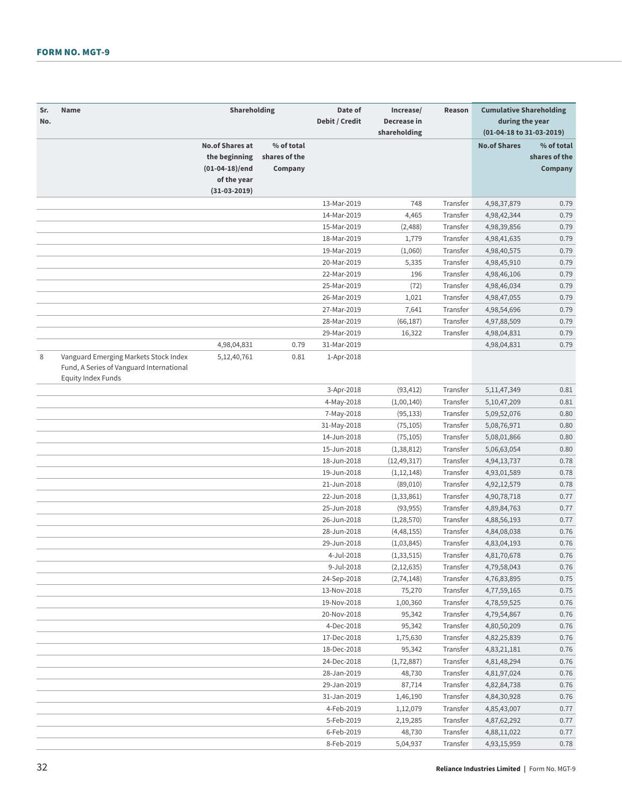### FORM NO. MGT-9

| Sr. | Name                                                                              | Shareholding           |               | Date of                   | Increase/     | Reason   | <b>Cumulative Shareholding</b> |               |
|-----|-----------------------------------------------------------------------------------|------------------------|---------------|---------------------------|---------------|----------|--------------------------------|---------------|
| No. |                                                                                   |                        |               | Debit / Credit            | Decrease in   |          | during the year                |               |
|     |                                                                                   |                        |               |                           | shareholding  |          | (01-04-18 to 31-03-2019)       |               |
|     |                                                                                   | <b>No.of Shares at</b> | % of total    |                           |               |          | <b>No.of Shares</b>            | % of total    |
|     |                                                                                   | the beginning          | shares of the |                           |               |          |                                | shares of the |
|     |                                                                                   | $(01-04-18)/end$       | Company       |                           |               |          |                                | Company       |
|     |                                                                                   | of the year            |               |                           |               |          |                                |               |
|     |                                                                                   | $(31-03-2019)$         |               |                           |               |          |                                |               |
|     |                                                                                   |                        |               | 13-Mar-2019               | 748           | Transfer | 4,98,37,879                    | 0.79          |
|     |                                                                                   |                        |               | 14-Mar-2019               | 4,465         | Transfer | 4,98,42,344                    | 0.79          |
|     |                                                                                   |                        |               | 15-Mar-2019               | (2, 488)      | Transfer | 4,98,39,856                    | 0.79          |
|     |                                                                                   |                        |               | 18-Mar-2019               | 1,779         | Transfer | 4,98,41,635                    | 0.79          |
|     |                                                                                   |                        |               | 19-Mar-2019               | (1,060)       | Transfer | 4,98,40,575                    | 0.79          |
|     |                                                                                   |                        |               | 20-Mar-2019               | 5,335         | Transfer | 4,98,45,910                    | 0.79          |
|     |                                                                                   |                        |               |                           |               |          |                                |               |
|     |                                                                                   |                        |               | 22-Mar-2019               | 196           | Transfer | 4,98,46,106                    | 0.79          |
|     |                                                                                   |                        |               | 25-Mar-2019               | (72)          | Transfer | 4,98,46,034                    | 0.79          |
|     |                                                                                   |                        |               | 26-Mar-2019               | 1,021         | Transfer | 4,98,47,055                    | 0.79          |
|     |                                                                                   |                        |               | 27-Mar-2019               | 7,641         | Transfer | 4,98,54,696                    | 0.79          |
|     |                                                                                   |                        |               | 28-Mar-2019               | (66, 187)     | Transfer | 4,97,88,509                    | 0.79          |
|     |                                                                                   |                        |               | 29-Mar-2019               | 16,322        | Transfer | 4,98,04,831                    | 0.79          |
|     |                                                                                   | 4,98,04,831            | 0.79          | 31-Mar-2019               |               |          | 4,98,04,831                    | 0.79          |
| 8   | Vanguard Emerging Markets Stock Index<br>Fund, A Series of Vanguard International | 5,12,40,761            | 0.81          | 1-Apr-2018                |               |          |                                |               |
|     | <b>Equity Index Funds</b>                                                         |                        |               |                           |               |          |                                |               |
|     |                                                                                   |                        |               | 3-Apr-2018                | (93, 412)     | Transfer | 5, 11, 47, 349                 | 0.81          |
|     |                                                                                   |                        |               | 4-May-2018                | (1,00,140)    | Transfer | 5, 10, 47, 209                 | 0.81          |
|     |                                                                                   |                        |               | 7-May-2018                | (95, 133)     | Transfer | 5,09,52,076                    | 0.80          |
|     |                                                                                   |                        |               | 31-May-2018               | (75, 105)     | Transfer | 5,08,76,971                    | 0.80          |
|     |                                                                                   |                        |               | 14-Jun-2018               | (75, 105)     | Transfer | 5,08,01,866                    | 0.80          |
|     |                                                                                   |                        |               | 15-Jun-2018               | (1, 38, 812)  | Transfer | 5,06,63,054                    | 0.80          |
|     |                                                                                   |                        |               | 18-Jun-2018               | (12, 49, 317) | Transfer | 4,94,13,737                    | 0.78          |
|     |                                                                                   |                        |               | 19-Jun-2018               | (1, 12, 148)  | Transfer | 4,93,01,589                    | 0.78          |
|     |                                                                                   |                        |               | 21-Jun-2018               | (89,010)      | Transfer | 4,92,12,579                    | 0.78          |
|     |                                                                                   |                        |               | 22-Jun-2018               | (1, 33, 861)  | Transfer | 4,90,78,718                    | 0.77          |
|     |                                                                                   |                        |               | 25-Jun-2018               | (93, 955)     | Transfer | 4,89,84,763                    | 0.77          |
|     |                                                                                   |                        |               | 26-Jun-2018               | (1, 28, 570)  | Transfer | 4,88,56,193                    | 0.77          |
|     |                                                                                   |                        |               | 28-Jun-2018               | (4, 48, 155)  | Transfer | 4,84,08,038                    | 0.76          |
|     |                                                                                   |                        |               | 29-Jun-2018               | (1,03,845)    | Transfer | 4,83,04,193                    | 0.76          |
|     |                                                                                   |                        |               | 4-Jul-2018                | (1, 33, 515)  | Transfer | 4,81,70,678                    | 0.76          |
|     |                                                                                   |                        |               | 9-Jul-2018                | (2, 12, 635)  | Transfer | 4,79,58,043                    | 0.76          |
|     |                                                                                   |                        |               | 24-Sep-2018               | (2,74,148)    | Transfer | 4,76,83,895                    | 0.75          |
|     |                                                                                   |                        |               | 13-Nov-2018               | 75,270        | Transfer | 4,77,59,165                    | 0.75          |
|     |                                                                                   |                        |               | 19-Nov-2018               | 1,00,360      | Transfer | 4,78,59,525                    | 0.76          |
|     |                                                                                   |                        |               | 20-Nov-2018               | 95,342        | Transfer | 4,79,54,867                    | 0.76          |
|     |                                                                                   |                        |               | 4-Dec-2018                | 95,342        | Transfer | 4,80,50,209                    | 0.76          |
|     |                                                                                   |                        |               | 17-Dec-2018               | 1,75,630      | Transfer | 4,82,25,839                    | 0.76          |
|     |                                                                                   |                        |               | 18-Dec-2018               | 95,342        | Transfer | 4,83,21,181                    | 0.76          |
|     |                                                                                   |                        |               | 24-Dec-2018               | (1, 72, 887)  | Transfer | 4,81,48,294                    | 0.76          |
|     |                                                                                   |                        |               | 28-Jan-2019               | 48,730        | Transfer | 4,81,97,024                    | 0.76          |
|     |                                                                                   |                        |               | 29-Jan-2019               |               | Transfer |                                |               |
|     |                                                                                   |                        |               |                           | 87,714        |          | 4,82,84,738                    | 0.76          |
|     |                                                                                   |                        |               | 31-Jan-2019<br>4-Feb-2019 | 1,46,190      | Transfer | 4,84,30,928                    | 0.76          |
|     |                                                                                   |                        |               |                           | 1,12,079      | Transfer | 4,85,43,007                    | 0.77          |
|     |                                                                                   |                        |               | 5-Feb-2019                | 2,19,285      | Transfer | 4,87,62,292                    | 0.77          |
|     |                                                                                   |                        |               | 6-Feb-2019                | 48,730        | Transfer | 4,88,11,022                    | 0.77          |
|     |                                                                                   |                        |               | 8-Feb-2019                | 5,04,937      | Transfer | 4,93,15,959                    | 0.78          |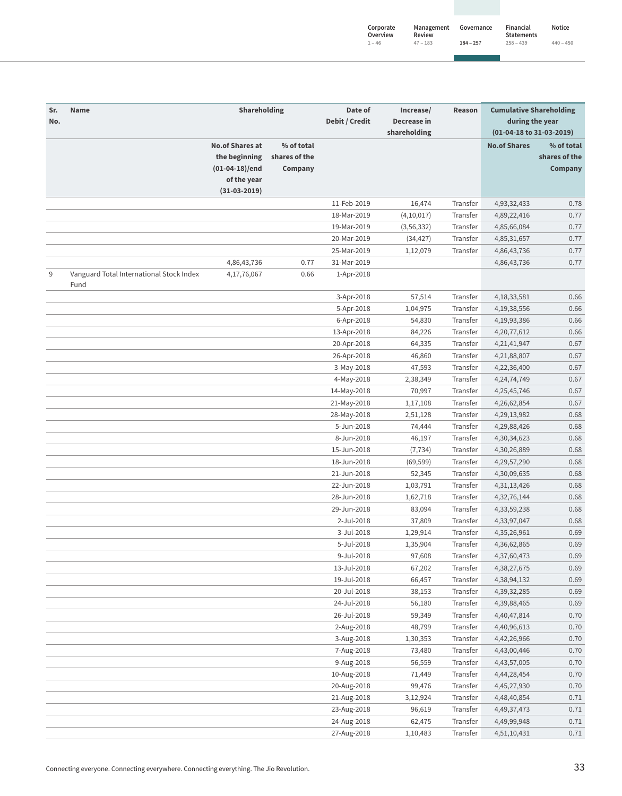| Corporate<br>Overview | Management<br>Review | Governance  | Financial<br><b>Statements</b> | <b>Notice</b> |
|-----------------------|----------------------|-------------|--------------------------------|---------------|
| $1 - 46$              | $47 - 183$           | $184 - 257$ | $258 - 439$                    | $440 - 450$   |

| Sr.<br>No. | Name                                             | Shareholding                                                                                 |                                        | Date of<br>Debit / Credit | Increase/<br>Decrease in<br>shareholding | Reason   | <b>Cumulative Shareholding</b><br>during the year<br>(01-04-18 to 31-03-2019) |                                        |
|------------|--------------------------------------------------|----------------------------------------------------------------------------------------------|----------------------------------------|---------------------------|------------------------------------------|----------|-------------------------------------------------------------------------------|----------------------------------------|
|            |                                                  | <b>No.of Shares at</b><br>the beginning<br>$(01-04-18)/end$<br>of the year<br>$(31-03-2019)$ | % of total<br>shares of the<br>Company |                           |                                          |          | <b>No.of Shares</b>                                                           | % of total<br>shares of the<br>Company |
|            |                                                  |                                                                                              |                                        |                           |                                          |          |                                                                               |                                        |
|            |                                                  |                                                                                              |                                        | 11-Feb-2019               | 16,474                                   | Transfer | 4,93,32,433                                                                   | 0.78                                   |
|            |                                                  |                                                                                              |                                        | 18-Mar-2019               | (4,10,017)                               | Transfer | 4,89,22,416                                                                   | 0.77                                   |
|            |                                                  |                                                                                              |                                        | 19-Mar-2019               | (3, 56, 332)                             | Transfer | 4,85,66,084                                                                   | 0.77                                   |
|            |                                                  |                                                                                              |                                        | 20-Mar-2019               | (34, 427)                                | Transfer | 4,85,31,657                                                                   | 0.77                                   |
|            |                                                  |                                                                                              |                                        | 25-Mar-2019               | 1,12,079                                 | Transfer | 4,86,43,736                                                                   | 0.77                                   |
| 9          | Vanguard Total International Stock Index<br>Fund | 4,86,43,736<br>4,17,76,067                                                                   | 0.77<br>0.66                           | 31-Mar-2019<br>1-Apr-2018 |                                          |          | 4,86,43,736                                                                   | 0.77                                   |
|            |                                                  |                                                                                              |                                        | 3-Apr-2018                | 57,514                                   | Transfer | 4, 18, 33, 581                                                                | 0.66                                   |
|            |                                                  |                                                                                              |                                        | 5-Apr-2018                | 1,04,975                                 | Transfer | 4, 19, 38, 556                                                                | 0.66                                   |
|            |                                                  |                                                                                              |                                        | 6-Apr-2018                | 54,830                                   | Transfer | 4,19,93,386                                                                   | 0.66                                   |
|            |                                                  |                                                                                              |                                        | 13-Apr-2018               | 84,226                                   | Transfer | 4,20,77,612                                                                   | 0.66                                   |
|            |                                                  |                                                                                              |                                        | 20-Apr-2018               | 64,335                                   | Transfer | 4,21,41,947                                                                   | 0.67                                   |
|            |                                                  |                                                                                              |                                        | 26-Apr-2018               | 46,860                                   | Transfer | 4,21,88,807                                                                   | 0.67                                   |
|            |                                                  |                                                                                              |                                        | 3-May-2018                | 47,593                                   | Transfer | 4,22,36,400                                                                   | 0.67                                   |
|            |                                                  |                                                                                              |                                        | 4-May-2018                | 2,38,349                                 | Transfer | 4, 24, 74, 749                                                                | 0.67                                   |
|            |                                                  |                                                                                              |                                        | 14-May-2018               | 70,997                                   | Transfer | 4,25,45,746                                                                   | 0.67                                   |
|            |                                                  |                                                                                              |                                        | 21-May-2018               | 1,17,108                                 | Transfer | 4,26,62,854                                                                   | 0.67                                   |
|            |                                                  |                                                                                              |                                        |                           |                                          | Transfer |                                                                               | 0.68                                   |
|            |                                                  |                                                                                              |                                        | 28-May-2018               | 2,51,128                                 | Transfer | 4,29,13,982                                                                   | 0.68                                   |
|            |                                                  |                                                                                              |                                        | 5-Jun-2018<br>8-Jun-2018  | 74,444                                   | Transfer | 4,29,88,426                                                                   |                                        |
|            |                                                  |                                                                                              |                                        |                           | 46,197                                   |          | 4,30,34,623                                                                   | 0.68                                   |
|            |                                                  |                                                                                              |                                        | 15-Jun-2018               | (7, 734)                                 | Transfer | 4,30,26,889                                                                   | 0.68                                   |
|            |                                                  |                                                                                              |                                        | 18-Jun-2018               | (69, 599)                                | Transfer | 4,29,57,290                                                                   | 0.68                                   |
|            |                                                  |                                                                                              |                                        | 21-Jun-2018               | 52,345                                   | Transfer | 4,30,09,635                                                                   | 0.68                                   |
|            |                                                  |                                                                                              |                                        | 22-Jun-2018               | 1,03,791                                 | Transfer | 4, 31, 13, 426                                                                | 0.68                                   |
|            |                                                  |                                                                                              |                                        | 28-Jun-2018               | 1,62,718                                 | Transfer | 4,32,76,144                                                                   | 0.68                                   |
|            |                                                  |                                                                                              |                                        | 29-Jun-2018               | 83,094                                   | Transfer | 4,33,59,238                                                                   | 0.68                                   |
|            |                                                  |                                                                                              |                                        | 2-Jul-2018                | 37,809                                   | Transfer | 4,33,97,047                                                                   | 0.68                                   |
|            |                                                  |                                                                                              |                                        | 3-Jul-2018                | 1,29,914                                 | Transfer | 4,35,26,961                                                                   | 0.69                                   |
|            |                                                  |                                                                                              |                                        | 5-Jul-2018                | 1,35,904                                 | Transfer | 4,36,62,865                                                                   | 0.69                                   |
|            |                                                  |                                                                                              |                                        | 9-Jul-2018                | 97,608                                   | Transfer | 4,37,60,473                                                                   | 0.69                                   |
|            |                                                  |                                                                                              |                                        | 13-Jul-2018               | 67,202                                   | Transfer | 4,38,27,675                                                                   | 0.69                                   |
|            |                                                  |                                                                                              |                                        | 19-Jul-2018               | 66,457                                   | Transfer | 4,38,94,132                                                                   | 0.69                                   |
|            |                                                  |                                                                                              |                                        | 20-Jul-2018               | 38,153                                   | Transfer | 4,39,32,285                                                                   | 0.69                                   |
|            |                                                  |                                                                                              |                                        | 24-Jul-2018               | 56,180                                   | Transfer | 4,39,88,465                                                                   | 0.69                                   |
|            |                                                  |                                                                                              |                                        | 26-Jul-2018               | 59,349                                   | Transfer | 4,40,47,814                                                                   | 0.70                                   |
|            |                                                  |                                                                                              |                                        | 2-Aug-2018                | 48,799                                   | Transfer | 4,40,96,613                                                                   | 0.70                                   |
|            |                                                  |                                                                                              |                                        | 3-Aug-2018                | 1,30,353                                 | Transfer | 4,42,26,966                                                                   | 0.70                                   |
|            |                                                  |                                                                                              |                                        | 7-Aug-2018                | 73,480                                   | Transfer | 4,43,00,446                                                                   | 0.70                                   |
|            |                                                  |                                                                                              |                                        | 9-Aug-2018                | 56,559                                   | Transfer | 4,43,57,005                                                                   | 0.70                                   |
|            |                                                  |                                                                                              |                                        | 10-Aug-2018               | 71,449                                   | Transfer | 4,44,28,454                                                                   | 0.70                                   |
|            |                                                  |                                                                                              |                                        | 20-Aug-2018               | 99,476                                   | Transfer | 4,45,27,930                                                                   | 0.70                                   |
|            |                                                  |                                                                                              |                                        | 21-Aug-2018               | 3,12,924                                 | Transfer | 4,48,40,854                                                                   | 0.71                                   |
|            |                                                  |                                                                                              |                                        | 23-Aug-2018               | 96,619                                   | Transfer | 4,49,37,473                                                                   | 0.71                                   |
|            |                                                  |                                                                                              |                                        | 24-Aug-2018               | 62,475                                   | Transfer | 4,49,99,948                                                                   | 0.71                                   |
|            |                                                  |                                                                                              |                                        | 27-Aug-2018               | 1,10,483                                 | Transfer | 4,51,10,431                                                                   | 0.71                                   |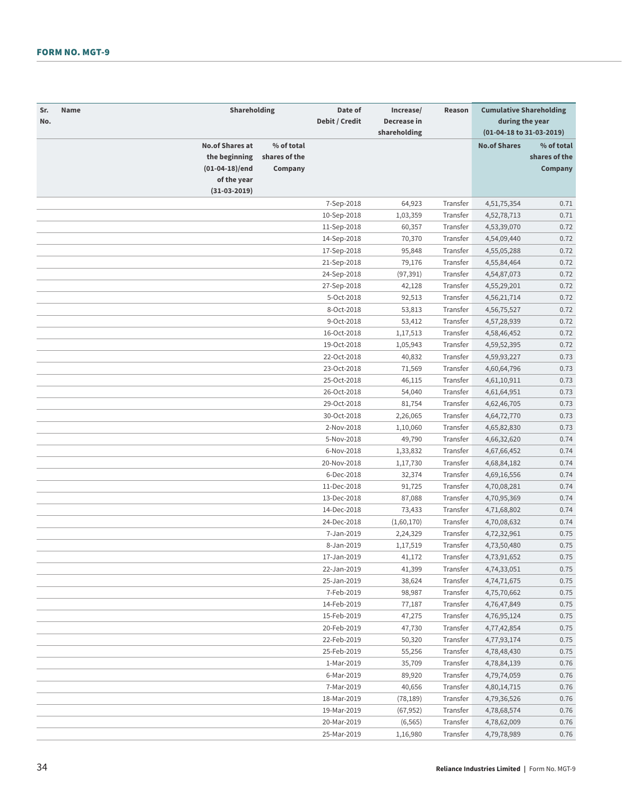| Sr.<br>No. | Name | Shareholding                                                             |                                        | Date of<br>Debit / Credit | Increase/<br>Decrease in<br>shareholding | Reason   | <b>Cumulative Shareholding</b><br>during the year<br>(01-04-18 to 31-03-2019) |                                        |
|------------|------|--------------------------------------------------------------------------|----------------------------------------|---------------------------|------------------------------------------|----------|-------------------------------------------------------------------------------|----------------------------------------|
|            |      | <b>No.of Shares at</b><br>the beginning<br>(01-04-18)/end<br>of the year | % of total<br>shares of the<br>Company |                           |                                          |          | <b>No.of Shares</b>                                                           | % of total<br>shares of the<br>Company |
|            |      | $(31-03-2019)$                                                           |                                        |                           |                                          |          |                                                                               |                                        |
|            |      |                                                                          |                                        | 7-Sep-2018                | 64,923                                   | Transfer | 4,51,75,354                                                                   | 0.71                                   |
|            |      |                                                                          |                                        | 10-Sep-2018               | 1,03,359                                 | Transfer | 4,52,78,713                                                                   | 0.71                                   |
|            |      |                                                                          |                                        | 11-Sep-2018               | 60,357                                   | Transfer | 4,53,39,070                                                                   | 0.72                                   |
|            |      |                                                                          |                                        | 14-Sep-2018               | 70,370                                   | Transfer | 4,54,09,440                                                                   | 0.72                                   |
|            |      |                                                                          |                                        | 17-Sep-2018               | 95,848                                   | Transfer | 4,55,05,288                                                                   | 0.72                                   |
|            |      |                                                                          |                                        | 21-Sep-2018               | 79,176                                   | Transfer | 4,55,84,464                                                                   | 0.72                                   |
|            |      |                                                                          |                                        | 24-Sep-2018               | (97, 391)                                | Transfer | 4,54,87,073                                                                   | 0.72                                   |
|            |      |                                                                          |                                        | 27-Sep-2018               | 42,128                                   | Transfer | 4,55,29,201                                                                   | 0.72                                   |
|            |      |                                                                          |                                        | 5-Oct-2018                | 92,513                                   | Transfer | 4,56,21,714                                                                   | 0.72                                   |
|            |      |                                                                          |                                        | 8-Oct-2018                | 53,813                                   | Transfer | 4,56,75,527                                                                   | 0.72                                   |
|            |      |                                                                          |                                        | 9-Oct-2018                | 53,412                                   | Transfer | 4,57,28,939                                                                   | 0.72                                   |
|            |      |                                                                          |                                        | 16-Oct-2018               | 1,17,513                                 | Transfer | 4,58,46,452                                                                   | 0.72                                   |
|            |      |                                                                          |                                        | 19-Oct-2018               | 1,05,943                                 | Transfer | 4,59,52,395                                                                   | 0.72                                   |
|            |      |                                                                          |                                        | 22-Oct-2018               | 40,832                                   | Transfer | 4,59,93,227                                                                   | 0.73                                   |
|            |      |                                                                          |                                        | 23-Oct-2018               | 71,569                                   | Transfer | 4,60,64,796                                                                   | 0.73                                   |
|            |      |                                                                          |                                        | 25-Oct-2018               | 46,115                                   | Transfer | 4,61,10,911                                                                   | 0.73                                   |
|            |      |                                                                          |                                        | 26-Oct-2018               | 54,040                                   | Transfer | 4,61,64,951                                                                   | 0.73                                   |
|            |      |                                                                          |                                        | 29-Oct-2018               | 81,754                                   | Transfer | 4,62,46,705                                                                   | 0.73                                   |
|            |      |                                                                          |                                        | 30-Oct-2018               | 2,26,065                                 | Transfer | 4,64,72,770                                                                   | 0.73                                   |
|            |      |                                                                          |                                        | 2-Nov-2018                | 1,10,060                                 | Transfer | 4,65,82,830                                                                   | 0.73                                   |
|            |      |                                                                          |                                        | 5-Nov-2018                | 49,790                                   | Transfer | 4,66,32,620                                                                   | 0.74                                   |
|            |      |                                                                          |                                        | 6-Nov-2018                | 1,33,832                                 | Transfer | 4,67,66,452                                                                   | 0.74                                   |
|            |      |                                                                          |                                        | 20-Nov-2018               | 1,17,730                                 | Transfer | 4,68,84,182                                                                   | 0.74                                   |
|            |      |                                                                          |                                        | 6-Dec-2018                | 32,374                                   | Transfer | 4,69,16,556                                                                   | 0.74                                   |
|            |      |                                                                          |                                        | 11-Dec-2018               | 91,725                                   | Transfer | 4,70,08,281                                                                   | 0.74                                   |
|            |      |                                                                          |                                        | 13-Dec-2018               | 87,088                                   | Transfer | 4,70,95,369                                                                   | 0.74                                   |
|            |      |                                                                          |                                        | 14-Dec-2018               | 73,433                                   | Transfer | 4,71,68,802                                                                   | 0.74                                   |
|            |      |                                                                          |                                        | 24-Dec-2018               | (1,60,170)                               | Transfer | 4,70,08,632                                                                   | 0.74                                   |
|            |      |                                                                          |                                        | 7-Jan-2019                | 2,24,329                                 | Transfer | 4,72,32,961                                                                   | 0.75                                   |
|            |      |                                                                          |                                        | 8-Jan-2019                | 1,17,519                                 | Transfer | 4,73,50,480                                                                   | 0.75                                   |
|            |      |                                                                          |                                        | 17-Jan-2019               | 41,172                                   | Transfer | 4,73,91,652                                                                   | 0.75                                   |
|            |      |                                                                          |                                        | 22-Jan-2019               | 41,399                                   | Transfer | 4,74,33,051                                                                   | 0.75                                   |
|            |      |                                                                          |                                        | 25-Jan-2019               | 38,624                                   | Transfer | 4,74,71,675                                                                   | 0.75                                   |
|            |      |                                                                          |                                        | 7-Feb-2019                | 98,987                                   | Transfer | 4,75,70,662                                                                   | 0.75                                   |
|            |      |                                                                          |                                        | 14-Feb-2019               | 77,187                                   | Transfer | 4,76,47,849                                                                   | 0.75                                   |
|            |      |                                                                          |                                        | 15-Feb-2019               | 47,275                                   | Transfer | 4,76,95,124                                                                   | 0.75                                   |
|            |      |                                                                          |                                        | 20-Feb-2019               | 47,730                                   | Transfer | 4,77,42,854                                                                   | 0.75                                   |
|            |      |                                                                          |                                        | 22-Feb-2019               | 50,320                                   | Transfer | 4,77,93,174                                                                   | 0.75                                   |
|            |      |                                                                          |                                        | 25-Feb-2019               | 55,256                                   | Transfer | 4,78,48,430                                                                   | 0.75                                   |
|            |      |                                                                          |                                        | 1-Mar-2019                | 35,709                                   | Transfer | 4,78,84,139                                                                   | 0.76                                   |
|            |      |                                                                          |                                        | 6-Mar-2019                | 89,920                                   | Transfer | 4,79,74,059                                                                   | 0.76                                   |
|            |      |                                                                          |                                        | 7-Mar-2019                | 40,656                                   | Transfer | 4,80,14,715                                                                   | 0.76                                   |
|            |      |                                                                          |                                        | 18-Mar-2019               | (78, 189)                                | Transfer | 4,79,36,526                                                                   | 0.76                                   |
|            |      |                                                                          |                                        | 19-Mar-2019               | (67, 952)                                | Transfer | 4,78,68,574                                                                   | 0.76                                   |
|            |      |                                                                          |                                        | 20-Mar-2019               | (6, 565)                                 | Transfer | 4,78,62,009                                                                   | 0.76                                   |
|            |      |                                                                          |                                        | 25-Mar-2019               | 1,16,980                                 | Transfer | 4,79,78,989                                                                   | 0.76                                   |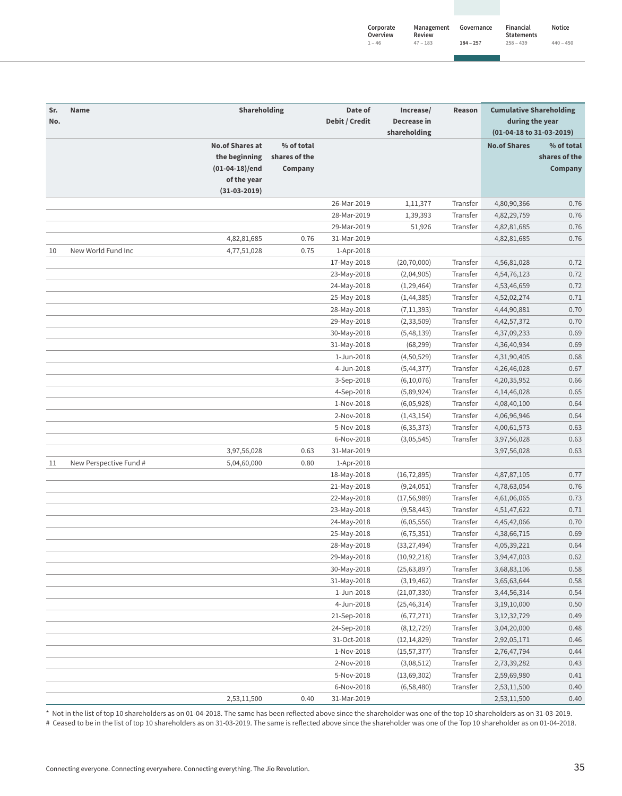| Corporate<br>Overview | Management<br>Review | Governance  | Financial<br><b>Statements</b> | <b>Notice</b> |
|-----------------------|----------------------|-------------|--------------------------------|---------------|
| $1 - 46$              | $47 - 183$           | $184 - 257$ | $258 - 439$                    | $440 - 450$   |

| Sr.<br>No. | <b>Name</b>            | Shareholding                                                |                                        | Date of<br>Debit / Credit  | Increase/<br>Decrease in     | Reason               | <b>Cumulative Shareholding</b><br>during the year |                                        |
|------------|------------------------|-------------------------------------------------------------|----------------------------------------|----------------------------|------------------------------|----------------------|---------------------------------------------------|----------------------------------------|
|            |                        | <b>No.of Shares at</b><br>the beginning<br>$(01-04-18)/end$ | % of total<br>shares of the<br>Company |                            | shareholding                 |                      | (01-04-18 to 31-03-2019)<br><b>No.of Shares</b>   | % of total<br>shares of the<br>Company |
|            |                        | of the year                                                 |                                        |                            |                              |                      |                                                   |                                        |
|            |                        | $(31-03-2019)$                                              |                                        |                            |                              |                      |                                                   |                                        |
|            |                        |                                                             |                                        | 26-Mar-2019                | 1,11,377                     | Transfer             | 4,80,90,366                                       | 0.76                                   |
|            |                        |                                                             |                                        | 28-Mar-2019                | 1,39,393                     | Transfer             | 4,82,29,759                                       | 0.76                                   |
|            |                        |                                                             |                                        | 29-Mar-2019                | 51,926                       | Transfer             | 4,82,81,685                                       | 0.76                                   |
|            |                        | 4,82,81,685                                                 | 0.76                                   | 31-Mar-2019                |                              |                      | 4,82,81,685                                       | 0.76                                   |
| 10         | New World Fund Inc     | 4,77,51,028                                                 | 0.75                                   | 1-Apr-2018                 |                              |                      |                                                   |                                        |
|            |                        |                                                             |                                        | 17-May-2018                | (20, 70, 000)                | Transfer             | 4,56,81,028                                       | 0.72                                   |
|            |                        |                                                             |                                        | 23-May-2018                | (2,04,905)                   | Transfer             | 4,54,76,123                                       | 0.72                                   |
|            |                        |                                                             |                                        | 24-May-2018                | (1, 29, 464)                 | Transfer             | 4,53,46,659                                       | 0.72                                   |
|            |                        |                                                             |                                        | 25-May-2018                | (1, 44, 385)                 | Transfer             | 4,52,02,274                                       | 0.71                                   |
|            |                        |                                                             |                                        | 28-May-2018                | (7, 11, 393)                 | Transfer             | 4,44,90,881                                       | 0.70                                   |
|            |                        |                                                             |                                        | 29-May-2018                | (2, 33, 509)                 | Transfer             | 4, 42, 57, 372                                    | 0.70                                   |
|            |                        |                                                             |                                        | 30-May-2018                | (5,48,139)                   | Transfer             | 4,37,09,233                                       | 0.69                                   |
|            |                        |                                                             |                                        | 31-May-2018                | (68, 299)                    | Transfer             | 4,36,40,934                                       | 0.69                                   |
|            |                        |                                                             |                                        | 1-Jun-2018                 | (4,50,529)                   | Transfer             | 4,31,90,405                                       | 0.68                                   |
|            |                        |                                                             |                                        | 4-Jun-2018                 | (5, 44, 377)                 | Transfer             | 4,26,46,028                                       | 0.67                                   |
|            |                        |                                                             |                                        | 3-Sep-2018                 | (6,10,076)                   | Transfer             | 4,20,35,952                                       | 0.66                                   |
|            |                        |                                                             |                                        | 4-Sep-2018                 | (5,89,924)                   | Transfer             | 4, 14, 46, 028                                    | 0.65                                   |
|            |                        |                                                             |                                        | 1-Nov-2018                 | (6,05,928)                   | Transfer             | 4,08,40,100                                       | 0.64                                   |
|            |                        |                                                             |                                        | 2-Nov-2018                 | (1, 43, 154)                 | Transfer             | 4,06,96,946                                       | 0.64                                   |
|            |                        |                                                             |                                        | 5-Nov-2018                 | (6, 35, 373)                 | Transfer             | 4,00,61,573                                       | 0.63                                   |
|            |                        |                                                             |                                        | 6-Nov-2018                 | (3,05,545)                   | Transfer             | 3,97,56,028                                       | 0.63                                   |
|            |                        | 3,97,56,028                                                 | 0.63                                   | 31-Mar-2019                |                              |                      | 3,97,56,028                                       | 0.63                                   |
| 11         | New Perspective Fund # | 5,04,60,000                                                 | 0.80                                   | 1-Apr-2018                 |                              |                      |                                                   |                                        |
|            |                        |                                                             |                                        | 18-May-2018                | (16, 72, 895)                | Transfer             | 4,87,87,105                                       | 0.77                                   |
|            |                        |                                                             |                                        | 21-May-2018                | (9, 24, 051)                 | Transfer<br>Transfer | 4,78,63,054                                       | 0.76                                   |
|            |                        |                                                             |                                        | 22-May-2018                | (17, 56, 989)                |                      | 4,61,06,065                                       | 0.73                                   |
|            |                        |                                                             |                                        | 23-May-2018                | (9,58,443)                   | Transfer<br>Transfer | 4,51,47,622                                       | 0.71<br>0.70                           |
|            |                        |                                                             |                                        | 24-May-2018<br>25-May-2018 | (6,05,556)                   | Transfer             | 4,45,42,066<br>4,38,66,715                        | 0.69                                   |
|            |                        |                                                             |                                        |                            | (6, 75, 351)                 | Transfer             |                                                   | 0.64                                   |
|            |                        |                                                             |                                        | 28-May-2018                | (33, 27, 494)                |                      | 4,05,39,221                                       |                                        |
|            |                        |                                                             |                                        | 29-May-2018<br>30-May-2018 | (10, 92, 218)                | Transfer<br>Transfer | 3,94,47,003<br>3,68,83,106                        | 0.62<br>0.58                           |
|            |                        |                                                             |                                        |                            | (25, 63, 897)                |                      |                                                   | 0.58                                   |
|            |                        |                                                             |                                        | 31-May-2018                | (3, 19, 462)                 | Transfer             | 3,65,63,644                                       | 0.54                                   |
|            |                        |                                                             |                                        | 1-Jun-2018<br>4-Jun-2018   | (21,07,330)<br>(25, 46, 314) | Transfer<br>Transfer | 3,44,56,314<br>3,19,10,000                        | 0.50                                   |
|            |                        |                                                             |                                        | 21-Sep-2018                | (6, 77, 271)                 | Transfer             | 3, 12, 32, 729                                    | 0.49                                   |
|            |                        |                                                             |                                        | 24-Sep-2018                | (8, 12, 729)                 | Transfer             | 3,04,20,000                                       | 0.48                                   |
|            |                        |                                                             |                                        | 31-Oct-2018                | (12, 14, 829)                | Transfer             | 2,92,05,171                                       | 0.46                                   |
|            |                        |                                                             |                                        | 1-Nov-2018                 | (15, 57, 377)                | Transfer             | 2,76,47,794                                       | 0.44                                   |
|            |                        |                                                             |                                        | 2-Nov-2018                 | (3,08,512)                   | Transfer             | 2,73,39,282                                       | 0.43                                   |
|            |                        |                                                             |                                        | 5-Nov-2018                 | (13,69,302)                  | Transfer             | 2,59,69,980                                       | 0.41                                   |
|            |                        |                                                             |                                        | 6-Nov-2018                 | (6,58,480)                   | Transfer             | 2,53,11,500                                       | 0.40                                   |
|            |                        | 2,53,11,500                                                 | 0.40                                   | 31-Mar-2019                |                              |                      | 2,53,11,500                                       | 0.40                                   |
|            |                        |                                                             |                                        |                            |                              |                      |                                                   |                                        |

\* Not in the list of top 10 shareholders as on 01-04-2018. The same has been reflected above since the shareholder was one of the top 10 shareholders as on 31-03-2019. # Ceased to be in the list of top 10 shareholders as on 31-03-2019. The same is reflected above since the shareholder was one of the Top 10 shareholder as on 01-04-2018.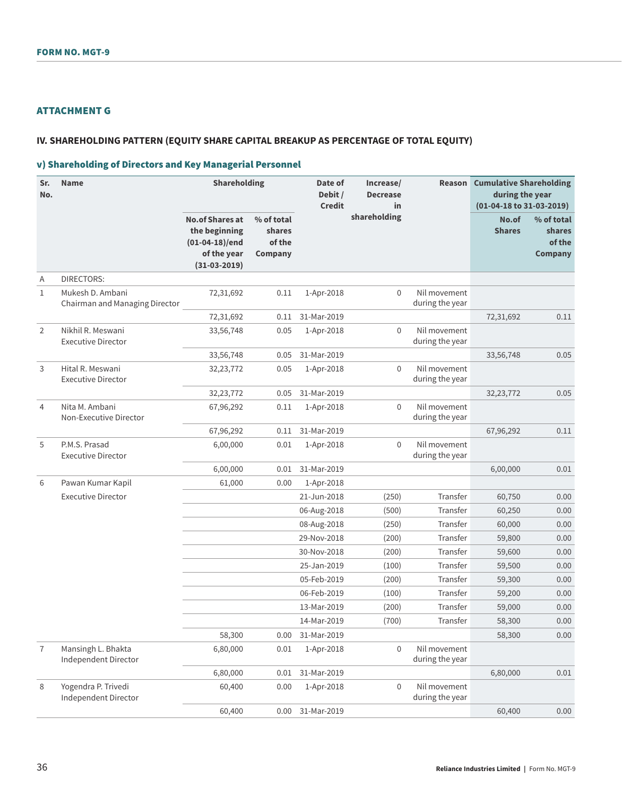# ATTACHMENT G

### **IV. SHAREHOLDING PATTERN (EQUITY SHARE CAPITAL BREAKUP AS PERCENTAGE OF TOTAL EQUITY)**

# v) Shareholding of Directors and Key Managerial Personnel

| Sr.<br>No.     | <b>Name</b>                                        | <b>Shareholding</b>                                                                          |                                           | Date of<br>Debit /<br><b>Credit</b> | Increase/<br><b>Decrease</b><br>in | Reason                          | <b>Cumulative Shareholding</b><br>during the year<br>(01-04-18 to 31-03-2019) |                                           |
|----------------|----------------------------------------------------|----------------------------------------------------------------------------------------------|-------------------------------------------|-------------------------------------|------------------------------------|---------------------------------|-------------------------------------------------------------------------------|-------------------------------------------|
|                |                                                    | <b>No.of Shares at</b><br>the beginning<br>$(01-04-18)/end$<br>of the year<br>$(31-03-2019)$ | % of total<br>shares<br>of the<br>Company |                                     | shareholding                       |                                 | No.of<br><b>Shares</b>                                                        | % of total<br>shares<br>of the<br>Company |
| Α              | <b>DIRECTORS:</b>                                  |                                                                                              |                                           |                                     |                                    |                                 |                                                                               |                                           |
| $\mathbf{1}$   | Mukesh D. Ambani<br>Chairman and Managing Director | 72,31,692                                                                                    | 0.11                                      | 1-Apr-2018                          | $\mathbf 0$                        | Nil movement<br>during the year |                                                                               |                                           |
|                |                                                    | 72,31,692                                                                                    | 0.11                                      | 31-Mar-2019                         |                                    |                                 | 72,31,692                                                                     | 0.11                                      |
| $\overline{2}$ | Nikhil R. Meswani<br><b>Executive Director</b>     | 33,56,748                                                                                    | 0.05                                      | 1-Apr-2018                          | $\mathbf 0$                        | Nil movement<br>during the year |                                                                               |                                           |
|                |                                                    | 33,56,748                                                                                    | 0.05                                      | 31-Mar-2019                         |                                    |                                 | 33,56,748                                                                     | 0.05                                      |
| 3              | Hital R. Meswani<br><b>Executive Director</b>      | 32,23,772                                                                                    | 0.05                                      | 1-Apr-2018                          | $\Omega$                           | Nil movement<br>during the year |                                                                               |                                           |
|                |                                                    | 32,23,772                                                                                    | 0.05                                      | 31-Mar-2019                         |                                    |                                 | 32,23,772                                                                     | 0.05                                      |
| $\overline{4}$ | Nita M. Ambani<br>Non-Executive Director           | 67,96,292                                                                                    | 0.11                                      | 1-Apr-2018                          | $\Omega$                           | Nil movement<br>during the year |                                                                               |                                           |
|                |                                                    | 67,96,292                                                                                    | 0.11                                      | 31-Mar-2019                         |                                    |                                 | 67,96,292                                                                     | 0.11                                      |
| 5              | P.M.S. Prasad<br><b>Executive Director</b>         | 6,00,000                                                                                     | 0.01                                      | 1-Apr-2018                          | $\Omega$                           | Nil movement<br>during the year |                                                                               |                                           |
|                |                                                    | 6,00,000                                                                                     | 0.01                                      | 31-Mar-2019                         |                                    |                                 | 6,00,000                                                                      | 0.01                                      |
| 6              | Pawan Kumar Kapil                                  | 61,000                                                                                       | 0.00                                      | 1-Apr-2018                          |                                    |                                 |                                                                               |                                           |
|                | <b>Executive Director</b>                          |                                                                                              |                                           | 21-Jun-2018                         | (250)                              | Transfer                        | 60,750                                                                        | 0.00                                      |
|                |                                                    |                                                                                              |                                           | 06-Aug-2018                         | (500)                              | Transfer                        | 60,250                                                                        | 0.00                                      |
|                |                                                    |                                                                                              |                                           | 08-Aug-2018                         | (250)                              | Transfer                        | 60,000                                                                        | 0.00                                      |
|                |                                                    |                                                                                              |                                           | 29-Nov-2018                         | (200)                              | Transfer                        | 59,800                                                                        | 0.00                                      |
|                |                                                    |                                                                                              |                                           | 30-Nov-2018                         | (200)                              | Transfer                        | 59,600                                                                        | 0.00                                      |
|                |                                                    |                                                                                              |                                           | 25-Jan-2019                         | (100)                              | Transfer                        | 59,500                                                                        | 0.00                                      |
|                |                                                    |                                                                                              |                                           | 05-Feb-2019                         | (200)                              | Transfer                        | 59,300                                                                        | 0.00                                      |
|                |                                                    |                                                                                              |                                           | 06-Feb-2019                         | (100)                              | Transfer                        | 59,200                                                                        | 0.00                                      |
|                |                                                    |                                                                                              |                                           | 13-Mar-2019                         | (200)                              | Transfer                        | 59,000                                                                        | 0.00                                      |
|                |                                                    |                                                                                              |                                           | 14-Mar-2019                         | (700)                              | Transfer                        | 58,300                                                                        | 0.00                                      |
|                |                                                    | 58,300                                                                                       | 0.00                                      | 31-Mar-2019                         |                                    |                                 | 58,300                                                                        | 0.00                                      |
| $\overline{7}$ | Mansingh L. Bhakta<br>Independent Director         | 6,80,000                                                                                     | 0.01                                      | 1-Apr-2018                          | $\mathbf 0$                        | Nil movement<br>during the year |                                                                               |                                           |
|                |                                                    | 6,80,000                                                                                     | 0.01                                      | 31-Mar-2019                         |                                    |                                 | 6,80,000                                                                      | 0.01                                      |
| 8              | Yogendra P. Trivedi<br>Independent Director        | 60,400                                                                                       | 0.00                                      | 1-Apr-2018                          | $\mathbf 0$                        | Nil movement<br>during the year |                                                                               |                                           |
|                |                                                    | 60,400                                                                                       | 0.00                                      | 31-Mar-2019                         |                                    |                                 | 60,400                                                                        | 0.00                                      |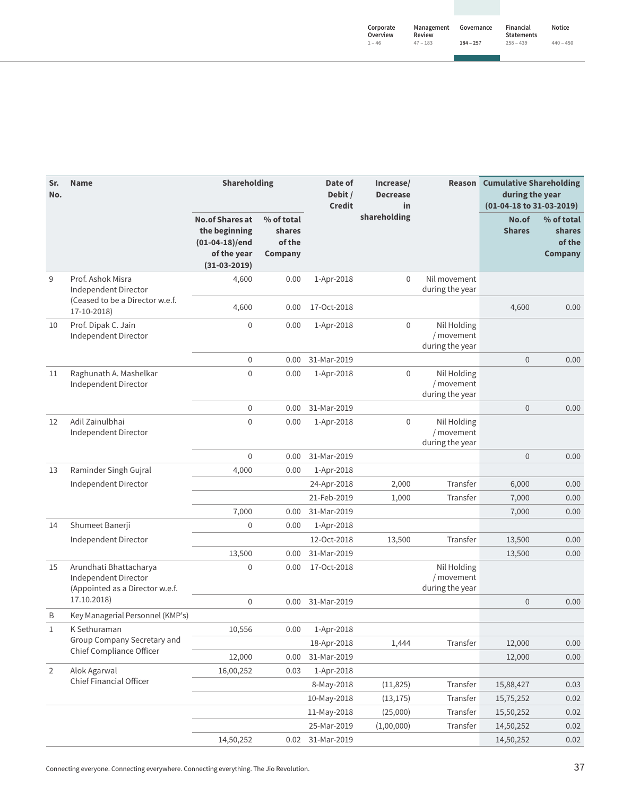| Corporate<br>Overview | Management<br>Review | Governance  | Financial<br><b>Statements</b> | Notice      |
|-----------------------|----------------------|-------------|--------------------------------|-------------|
| $1 - 46$              | $47 - 183$           | $184 - 257$ | $258 - 439$                    | $440 - 450$ |

| Sr.<br>No.     | <b>Name</b>                                                                       | <b>Shareholding</b>                                                                          |                                           | Date of<br>Debit /<br><b>Credit</b> | Increase/<br><b>Decrease</b><br>in | Reason                                       | <b>Cumulative Shareholding</b><br>during the year<br>(01-04-18 to 31-03-2019) |                                                         |
|----------------|-----------------------------------------------------------------------------------|----------------------------------------------------------------------------------------------|-------------------------------------------|-------------------------------------|------------------------------------|----------------------------------------------|-------------------------------------------------------------------------------|---------------------------------------------------------|
|                |                                                                                   | <b>No.of Shares at</b><br>the beginning<br>$(01-04-18)/end$<br>of the year<br>$(31-03-2019)$ | % of total<br>shares<br>of the<br>Company |                                     | shareholding                       |                                              | No.of<br><b>Shares</b>                                                        | % of total<br><b>shares</b><br>of the<br><b>Company</b> |
| 9              | Prof. Ashok Misra<br>Independent Director                                         | 4,600                                                                                        | 0.00                                      | 1-Apr-2018                          | 0                                  | Nil movement<br>during the year              |                                                                               |                                                         |
|                | (Ceased to be a Director w.e.f.<br>17-10-2018)                                    | 4,600                                                                                        | 0.00                                      | 17-Oct-2018                         |                                    |                                              | 4,600                                                                         | 0.00                                                    |
| 10             | Prof. Dipak C. Jain<br>Independent Director                                       | 0                                                                                            | 0.00                                      | 1-Apr-2018                          | $\mathbf 0$                        | Nil Holding<br>/ movement<br>during the year |                                                                               |                                                         |
|                |                                                                                   | $\mathbf 0$                                                                                  | 0.00                                      | 31-Mar-2019                         |                                    |                                              | $\bf 0$                                                                       | 0.00                                                    |
| 11             | Raghunath A. Mashelkar<br>Independent Director                                    | 0                                                                                            | 0.00                                      | 1-Apr-2018                          | $\mathbf 0$                        | Nil Holding<br>/ movement<br>during the year |                                                                               |                                                         |
|                |                                                                                   | $\mathbf 0$                                                                                  | 0.00                                      | 31-Mar-2019                         |                                    |                                              | $\mathbf 0$                                                                   | 0.00                                                    |
| 12             | Adil Zainulbhai<br>Independent Director                                           | 0                                                                                            | 0.00                                      | 1-Apr-2018                          | 0                                  | Nil Holding<br>/ movement<br>during the year |                                                                               |                                                         |
|                |                                                                                   | $\mathbf 0$                                                                                  | 0.00                                      | 31-Mar-2019                         |                                    |                                              | $\mathbf 0$                                                                   | 0.00                                                    |
| 13             | Raminder Singh Gujral                                                             | 4,000                                                                                        | 0.00                                      | 1-Apr-2018                          |                                    |                                              |                                                                               |                                                         |
|                | Independent Director                                                              |                                                                                              |                                           | 24-Apr-2018                         | 2,000                              | Transfer                                     | 6,000                                                                         | 0.00                                                    |
|                |                                                                                   |                                                                                              |                                           | 21-Feb-2019                         | 1,000                              | Transfer                                     | 7,000                                                                         | 0.00                                                    |
|                |                                                                                   | 7,000                                                                                        | 0.00                                      | 31-Mar-2019                         |                                    |                                              | 7,000                                                                         | 0.00                                                    |
| 14             | Shumeet Banerji                                                                   | $\mathbf 0$                                                                                  | 0.00                                      | 1-Apr-2018                          |                                    |                                              |                                                                               |                                                         |
|                | Independent Director                                                              |                                                                                              |                                           | 12-Oct-2018                         | 13,500                             | Transfer                                     | 13,500                                                                        | 0.00                                                    |
|                |                                                                                   | 13,500                                                                                       | 0.00                                      | 31-Mar-2019                         |                                    |                                              | 13,500                                                                        | 0.00                                                    |
| 15             | Arundhati Bhattacharya<br>Independent Director<br>(Appointed as a Director w.e.f. | 0                                                                                            | 0.00                                      | 17-Oct-2018                         |                                    | Nil Holding<br>/ movement<br>during the year |                                                                               |                                                         |
|                | 17.10.2018)                                                                       | 0                                                                                            | 0.00                                      | 31-Mar-2019                         |                                    |                                              | $\overline{0}$                                                                | 0.00                                                    |
| B              | Key Managerial Personnel (KMP's)                                                  |                                                                                              |                                           |                                     |                                    |                                              |                                                                               |                                                         |
| $\mathbf 1$    | K Sethuraman                                                                      | 10,556                                                                                       | 0.00                                      | 1-Apr-2018                          |                                    |                                              |                                                                               |                                                         |
|                | Group Company Secretary and<br>Chief Compliance Officer                           |                                                                                              |                                           | 18-Apr-2018                         | 1,444                              | Transfer                                     | 12,000                                                                        | 0.00                                                    |
|                |                                                                                   | 12,000                                                                                       | 0.00                                      | 31-Mar-2019                         |                                    |                                              | 12,000                                                                        | 0.00                                                    |
| $\overline{2}$ | Alok Agarwal                                                                      | 16,00,252                                                                                    | 0.03                                      | 1-Apr-2018                          |                                    |                                              |                                                                               |                                                         |
|                | Chief Financial Officer                                                           |                                                                                              |                                           | 8-May-2018                          | (11, 825)                          | Transfer                                     | 15,88,427                                                                     | 0.03                                                    |
|                |                                                                                   |                                                                                              |                                           | 10-May-2018                         | (13, 175)                          | Transfer                                     | 15,75,252                                                                     | 0.02                                                    |
|                |                                                                                   |                                                                                              |                                           | 11-May-2018                         | (25,000)                           | Transfer                                     | 15,50,252                                                                     | 0.02                                                    |
|                |                                                                                   |                                                                                              |                                           | 25-Mar-2019                         | (1,00,000)                         | Transfer                                     | 14,50,252                                                                     | 0.02                                                    |
|                |                                                                                   | 14,50,252                                                                                    | 0.02                                      | 31-Mar-2019                         |                                    |                                              | 14,50,252                                                                     | 0.02                                                    |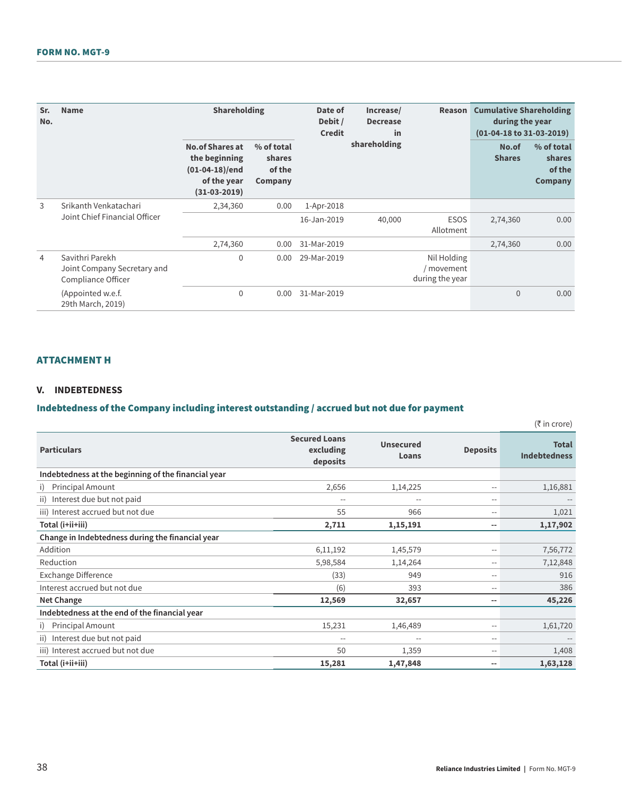#### FORM NO. MGT-9

| Sr.<br>No.     | <b>Name</b>                                                          | <b>Shareholding</b>                                                                          |                                           | Date of<br>Debit /<br><b>Credit</b> | Increase/<br><b>Decrease</b><br>in | Reason                                     | <b>Cumulative Shareholding</b><br>during the year<br>(01-04-18 to 31-03-2019) |                                           |
|----------------|----------------------------------------------------------------------|----------------------------------------------------------------------------------------------|-------------------------------------------|-------------------------------------|------------------------------------|--------------------------------------------|-------------------------------------------------------------------------------|-------------------------------------------|
|                |                                                                      | <b>No.of Shares at</b><br>the beginning<br>$(01-04-18)/end$<br>of the year<br>$(31-03-2019)$ | % of total<br>shares<br>of the<br>Company |                                     | shareholding                       |                                            | No.of<br><b>Shares</b>                                                        | % of total<br>shares<br>of the<br>Company |
| 3              | Srikanth Venkatachari                                                | 2,34,360                                                                                     | 0.00                                      | 1-Apr-2018                          |                                    |                                            |                                                                               |                                           |
|                | Joint Chief Financial Officer                                        |                                                                                              |                                           | 16-Jan-2019                         | 40,000                             | <b>ESOS</b><br>Allotment                   | 2,74,360                                                                      | 0.00                                      |
|                |                                                                      | 2,74,360                                                                                     | 0.00                                      | 31-Mar-2019                         |                                    |                                            | 2,74,360                                                                      | 0.00                                      |
| $\overline{4}$ | Savithri Parekh<br>Joint Company Secretary and<br>Compliance Officer | $\mathbf 0$                                                                                  | 0.00                                      | 29-Mar-2019                         |                                    | Nil Holding<br>movement<br>during the year |                                                                               |                                           |
|                | (Appointed w.e.f.)<br>29th March, 2019)                              | $\mathbf 0$                                                                                  | 0.00                                      | 31-Mar-2019                         |                                    |                                            | $\Omega$                                                                      | 0.00                                      |

# ATTACHMENT H

#### **V. INDEBTEDNESS**

# Indebtedness of the Company including interest outstanding / accrued but not due for payment

|                                                     |                                               |                           |                 | $(5 \text{ in } \text{core})$       |
|-----------------------------------------------------|-----------------------------------------------|---------------------------|-----------------|-------------------------------------|
| <b>Particulars</b>                                  | <b>Secured Loans</b><br>excluding<br>deposits | <b>Unsecured</b><br>Loans | <b>Deposits</b> | <b>Total</b><br><b>Indebtedness</b> |
| Indebtedness at the beginning of the financial year |                                               |                           |                 |                                     |
| Principal Amount<br>i)                              | 2,656                                         | 1,14,225                  | $-$             | 1,16,881                            |
| Interest due but not paid<br>ii)                    | $\overline{\phantom{a}}$                      | $\qquad \qquad -$         | $-$             |                                     |
| iii) Interest accrued but not due                   | 55                                            | 966                       | $-$             | 1,021                               |
| Total (i+ii+iii)                                    | 2,711                                         | 1,15,191                  | --              | 1,17,902                            |
| Change in Indebtedness during the financial year    |                                               |                           |                 |                                     |
| Addition                                            | 6,11,192                                      | 1,45,579                  | $-$             | 7,56,772                            |
| Reduction                                           | 5,98,584                                      | 1,14,264                  | $-$             | 7,12,848                            |
| Exchange Difference                                 | (33)                                          | 949                       | $-$             | 916                                 |
| Interest accrued but not due                        | (6)                                           | 393                       | $-$             | 386                                 |
| Net Change                                          | 12,569                                        | 32,657                    | $-$             | 45,226                              |
| Indebtedness at the end of the financial year       |                                               |                           |                 |                                     |
| <b>Principal Amount</b><br>i)                       | 15,231                                        | 1,46,489                  | $-$             | 1,61,720                            |
| Interest due but not paid<br>ii)                    | $-$                                           | $-$                       | $-$             |                                     |
| iii) Interest accrued but not due                   | 50                                            | 1,359                     | $-$             | 1,408                               |
| Total (i+ii+iii)                                    | 15,281                                        | 1,47,848                  | $-$             | 1,63,128                            |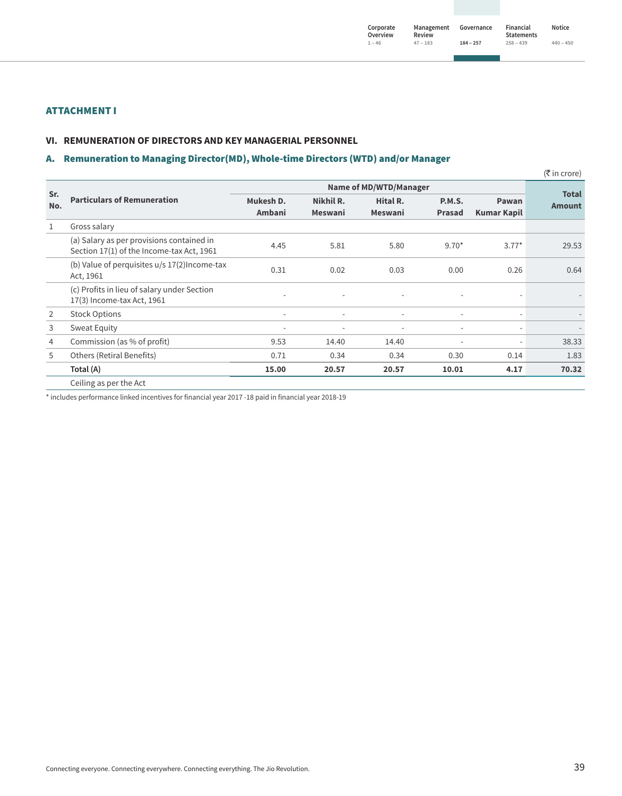### ATTACHMENT I

#### **VI. REMUNERATION OF DIRECTORS AND KEY MANAGERIAL PERSONNEL**

### A. Remuneration to Managing Director(MD), Whole-time Directors (WTD) and/or Manager

|                |                                                                                        |                          |                          |                          |                          |                          | (₹ in crore)                  |
|----------------|----------------------------------------------------------------------------------------|--------------------------|--------------------------|--------------------------|--------------------------|--------------------------|-------------------------------|
|                |                                                                                        |                          |                          |                          |                          |                          |                               |
| Sr.<br>No.     | <b>Particulars of Remuneration</b>                                                     | Mukesh D.                | Nikhil R.                | Hital R.                 | <b>P.M.S.</b>            | Pawan                    | <b>Total</b><br><b>Amount</b> |
|                |                                                                                        | Ambani                   | <b>Meswani</b>           | <b>Meswani</b>           | <b>Prasad</b>            | <b>Kumar Kapil</b>       |                               |
| $\mathbf{1}$   | Gross salary                                                                           |                          |                          |                          |                          |                          |                               |
|                | (a) Salary as per provisions contained in<br>Section 17(1) of the Income-tax Act, 1961 | 4.45                     | 5.81                     | 5.80                     | $9.70*$                  | $3.77*$                  | 29.53                         |
|                | (b) Value of perquisites $u/s$ 17(2) Income-tax<br>Act, 1961                           | 0.31                     | 0.02                     | 0.03                     | 0.00                     | 0.26                     | 0.64                          |
|                | (c) Profits in lieu of salary under Section<br>17(3) Income-tax Act, 1961              | ٠                        | ٠                        |                          |                          |                          |                               |
| 2              | <b>Stock Options</b>                                                                   | $\overline{\phantom{a}}$ | $\overline{\phantom{a}}$ | $\overline{\phantom{a}}$ | $\overline{\phantom{a}}$ | $\overline{\phantom{m}}$ | $\overline{\phantom{0}}$      |
| 3              | Sweat Equity                                                                           | $\overline{\phantom{a}}$ | $\overline{\phantom{a}}$ | $\overline{\phantom{a}}$ | $\overline{\phantom{a}}$ | $\overline{\phantom{m}}$ | $\overline{\phantom{0}}$      |
| $\overline{4}$ | Commission (as % of profit)                                                            | 9.53                     | 14.40                    | 14.40                    |                          | $\overline{\phantom{m}}$ | 38.33                         |
| 5              | Others (Retiral Benefits)                                                              | 0.71                     | 0.34                     | 0.34                     | 0.30                     | 0.14                     | 1.83                          |
|                | Total (A)                                                                              | 15.00                    | 20.57                    | 20.57                    | 10.01                    | 4.17                     | 70.32                         |
|                | Ceiling as per the Act                                                                 |                          |                          |                          |                          |                          |                               |

\* includes performance linked incentives for financial year 2017 -18 paid in financial year 2018-19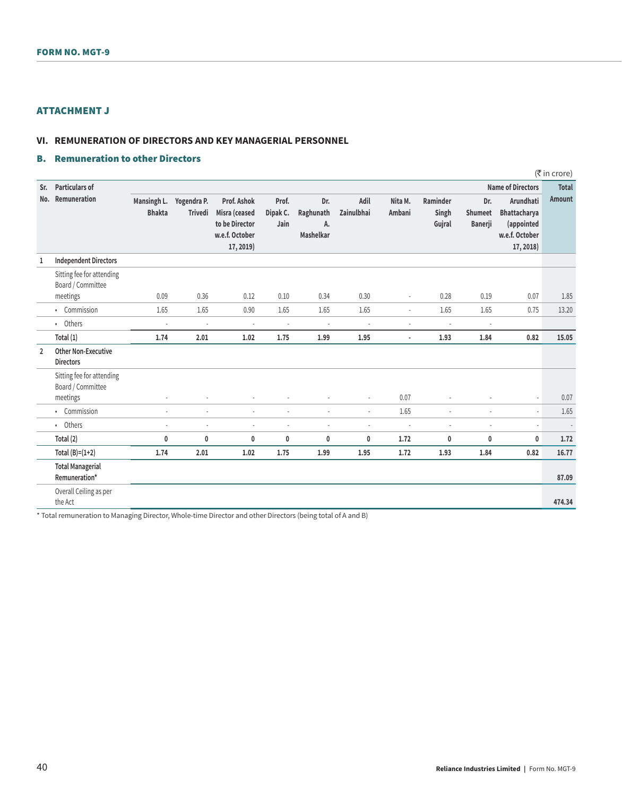# ATTACHMENT J

#### **VI. REMUNERATION OF DIRECTORS AND KEY MANAGERIAL PERSONNEL**

## B. Remuneration to other Directors

|                |                                                            |                              |                               |                                                                               |                           |                                     |                    |                          |                             |                                         |                                                                               | (₹ in crore)  |
|----------------|------------------------------------------------------------|------------------------------|-------------------------------|-------------------------------------------------------------------------------|---------------------------|-------------------------------------|--------------------|--------------------------|-----------------------------|-----------------------------------------|-------------------------------------------------------------------------------|---------------|
| Sr.            | <b>Particulars of</b>                                      |                              |                               |                                                                               |                           |                                     |                    |                          |                             |                                         | <b>Name of Directors</b>                                                      | <b>Total</b>  |
| No.            | Remuneration                                               | Mansingh L.<br><b>Bhakta</b> | Yogendra P.<br><b>Trivedi</b> | Prof. Ashok<br>Misra (ceased<br>to be Director<br>w.e.f. October<br>17, 2019) | Prof.<br>Dipak C.<br>Jain | Dr.<br>Raghunath<br>A.<br>Mashelkar | Adil<br>Zainulbhai | Nita M.<br>Ambani        | Raminder<br>Singh<br>Gujral | Dr.<br><b>Shumeet</b><br><b>Banerji</b> | Arundhati<br><b>Bhattacharya</b><br>(appointed<br>w.e.f. October<br>17, 2018) | <b>Amount</b> |
| 1              | <b>Independent Directors</b>                               |                              |                               |                                                                               |                           |                                     |                    |                          |                             |                                         |                                                                               |               |
|                | Sitting fee for attending<br>Board / Committee<br>meetings | 0.09                         | 0.36                          | 0.12                                                                          | 0.10                      | 0.34                                | 0.30               | $\sim$                   | 0.28                        | 0.19                                    | 0.07                                                                          | 1.85          |
|                | • Commission                                               | 1.65                         | 1.65                          | 0.90                                                                          | 1.65                      | 1.65                                | 1.65               | $\sim$                   | 1.65                        | 1.65                                    | 0.75                                                                          | 13.20         |
|                | • Others                                                   | ÷.                           | J.                            | ÷,                                                                            | ä,                        | ÷.                                  | ä,                 |                          | ä,                          | ÷.                                      |                                                                               |               |
|                | Total $(1)$                                                | 1.74                         | 2.01                          | 1.02                                                                          | 1.75                      | 1.99                                | 1.95               | $\overline{\phantom{a}}$ | 1.93                        | 1.84                                    | 0.82                                                                          | 15.05         |
| $\overline{2}$ | <b>Other Non-Executive</b><br><b>Directors</b>             |                              |                               |                                                                               |                           |                                     |                    |                          |                             |                                         |                                                                               |               |
|                | Sitting fee for attending<br>Board / Committee             |                              |                               |                                                                               |                           |                                     |                    |                          |                             |                                         |                                                                               |               |
|                | meetings                                                   |                              |                               |                                                                               |                           |                                     | ä,                 | 0.07                     | ÷,                          |                                         |                                                                               | 0.07          |
|                | • Commission                                               | ÷                            | ä,                            | ÷,                                                                            | ÷,                        | $\sim$                              | ä,                 | 1.65                     | ä,                          | $\sim$                                  | ÷,                                                                            | 1.65          |
|                | • Others                                                   |                              |                               | ÷.                                                                            | ÷,                        |                                     | ٠                  |                          | ÷.                          |                                         | ÷,                                                                            |               |
|                | Total (2)                                                  | 0                            | $\mathbf{0}$                  | 0                                                                             | 0                         | 0                                   | 0                  | 1.72                     | 0                           | 0                                       | 0                                                                             | 1.72          |
|                | Total $(B)=(1+2)$                                          | 1.74                         | 2.01                          | 1.02                                                                          | 1.75                      | 1.99                                | 1.95               | 1.72                     | 1.93                        | 1.84                                    | 0.82                                                                          | 16.77         |
|                | <b>Total Managerial</b><br>Remuneration*                   |                              |                               |                                                                               |                           |                                     |                    |                          |                             |                                         |                                                                               | 87.09         |
|                | Overall Ceiling as per<br>the Act                          |                              |                               |                                                                               |                           |                                     |                    |                          |                             |                                         |                                                                               | 474.34        |

\* Total remuneration to Managing Director, Whole-time Director and other Directors (being total of A and B)